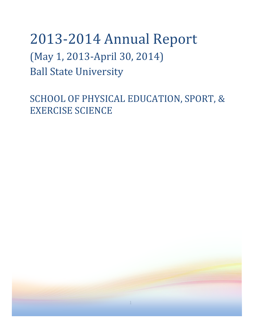# 2013-2014 Annual Report (May 1, 2013-April 30, 2014) Ball State University

SCHOOL OF PHYSICAL EDUCATION, SPORT, & EXERCISE SCIENCE

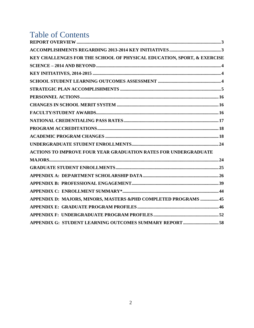## **Table of Contents**

| KEY CHALLENGES FOR THE SCHOOL OF PHYSICAL EDUCATION, SPORT, & EXERCISE |  |
|------------------------------------------------------------------------|--|
|                                                                        |  |
|                                                                        |  |
|                                                                        |  |
|                                                                        |  |
|                                                                        |  |
|                                                                        |  |
|                                                                        |  |
|                                                                        |  |
|                                                                        |  |
|                                                                        |  |
|                                                                        |  |
| ACTIONS TO IMPROVE FOUR YEAR GRADUATION RATES FOR UNDERGRADUATE        |  |
|                                                                        |  |
|                                                                        |  |
|                                                                        |  |
|                                                                        |  |
|                                                                        |  |
| APPENDIX D: MAJORS, MINORS, MASTERS &PHD COMPLETED PROGRAMS  45        |  |
|                                                                        |  |
|                                                                        |  |
| APPENDIX G: STUDENT LEARNING OUTCOMES SUMMARY REPORT 58                |  |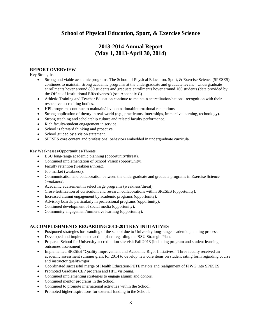## **School of Physical Education, Sport, & Exercise Science**

## **2013-2014 Annual Report (May 1, 2013-April 30, 2014)**

#### <span id="page-2-0"></span>**REPORT OVERVIEW**

Key Strengths:

- Strong and viable academic programs. The School of Physical Education, Sport, & Exercise Science (SPESES) continues to maintain strong academic programs at the undergraduate and graduate levels. Undergraduate enrollments hover around 860 students and graduate enrollments hover around 160 students (data provided by the Office of Institutional Effectiveness) (see Appendix C).
- Athletic Training and Teacher Education continue to maintain accreditation/national recognition with their respective accrediting bodies.
- HPL programs continue to maintain/develop national/international reputations.
- Strong application of theory in real-world (e.g., practicums, internships, immersive learning, technology).
- Strong teaching and scholarship culture and related faculty performance.
- Rich faculty/student engagement in service.
- School is forward thinking and proactive.
- School guided by a vision statement.
- SPESES core content and professional behaviors embedded in undergraduate curricula.

Key Weaknesses/Opportunities/Threats:

- BSU long-range academic planning (opportunity/threat).
- Continued implementation of School Vision (opportunity).
- Faculty retention (weakness/threat).
- Job market (weakness).
- Communication and collaboration between the undergraduate and graduate programs in Exercise Science (weakness).
- Academic advisement in select large programs (weakness/threat).
- Cross-fertilization of curriculum and research collaborations within SPESES (opportunity).
- Increased alumni engagement by academic programs (opportunity).
- Advisory boards, particularly in professional programs (opportunity).
- Continued development of social media (opportunity).
- Community engagement/immersive learning (opportunity).

#### <span id="page-2-1"></span>**ACCOMPLISHMENTS REGARDING 2013-2014 KEY INITIATIVES**

- Postponed strategies for branding of the school due to University long-range academic planning process.
- Developed and implemented action plans regarding the BSU Strategic Plan.
- Prepared School for University accreditation site visit Fall 2013 (including program and student learning outcomes assessment).
- Implemented SPESES "Quality Improvement and Academic Rigor Initiatives." Three faculty received an academic assessment summer grant for 2014 to develop new core items on student rating form regarding course and instructor quality/rigor.
- Coordinated successful merge of Health Education/PETE majors and realignment of FIWG into SPESES.
- Promoted Graduate CEP program and HPL visioning.
- Continued implementing strategies to engage alumni and donors.
- Continued mentor programs in the School.
- Continued to promote international activities within the School.
- Promoted higher aspirations for external funding in the School.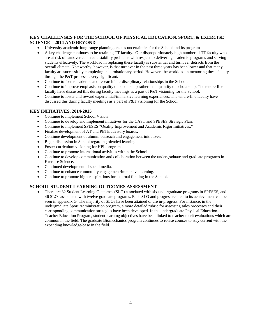## <span id="page-3-0"></span>**KEY CHALLENGES FOR THE SCHOOL OF PHYSICAL EDUCATION, SPORT, & EXERCISE SCIENCE – 2014 AND BEYOND**

- University academic long-range planning creates uncertainties for the School and its programs.
- A key challenge continues to be retaining TT faculty. Our disproportionately high number of TT faculty who are at risk of turnover can create stability problems with respect to delivering academic programs and serving students effectively. The workload in replacing these faculty is substantial and turnover detracts from the overall climate. Noteworthy, however, is that turnover in the past three years has been lower and that many faculty are successfully completing the probationary period. However, the workload in mentoring these faculty through the P&T process is very significant.
- Continue to foster academic and research interdisciplinary relationships in the School.
- Continue to improve emphasis on quality of scholarship rather than quantity of scholarship. The tenure-line faculty have discussed this during faculty meetings as a part of P&T visioning for the School.
- Continue to foster and reward experiential/immersive learning experiences. The tenure-line faculty have discussed this during faculty meetings as a part of P&T visioning for the School.

#### <span id="page-3-1"></span>**KEY INITIATIVES, 2014-2015**

- Continue to implement School Vision.
- Continue to develop and implement initiatives for the CAST and SPESES Strategic Plan.
- Continue to implement SPESES "Quality Improvement and Academic Rigor Initiatives."
- Finalize development of AT and PETE advisory boards.
- Continue development of alumni outreach and engagement initiatives.
- Begin discussion in School regarding blended learning.
- Foster curriculum visioning for HPL programs.
- Continue to promote international activities within the School.
- Continue to develop communication and collaboration between the undergraduate and graduate programs in Exercise Science.
- Continued development of social media.
- Continue to enhance community engagement/immersive learning.
- Continue to promote higher aspirations for external funding in the School.

#### <span id="page-3-2"></span>**SCHOOL STUDENT LEARNING OUTCOMES ASSESSMENT**

• There are 32 Student Learning Outcomes (SLO) associated with six undergraduate programs in SPESES, and 46 SLOs associated with twelve graduate programs. Each SLO and progress related to its achievement can be seen in appendix G. The majority of SLOs have been attained or are in-progress. For instance, in the undergraduate Sport Administration program, a more detailed rubric for assessing sales processes and their corresponding communication strategies have been developed. In the undergraduate Physical Education-Teacher Education Program, student learning objectives have been linked to teacher merit evaluations which are common in the field. The graduate Biomechanics program continues to revise courses to stay current with the expanding knowledge-base in the field.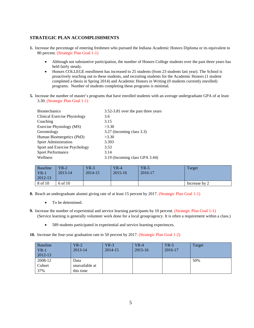## <span id="page-4-0"></span>**STRATEGIC PLAN ACCOMPLISHMENTS**

- **1.** Increase the percentage of entering freshmen who pursued the Indiana Academic Honors Diploma or its equivalent to 80 percent. (Strategic Plan Goal 1-1)
	- Although not substantive participation, the number of Honors College students over the past three years has held fairly steady.
	- Honors COLLEGE enrollment has increased to 25 students (from 23 students last year). The School is proactively reaching out to these students, and recruiting students for the Academic Honors (1 student completed a thesis in Spring 2014) and Academic Honors in Writing (0 students currently enrolled) programs. Number of students completing these programs is minimal.
- **5.** Increase the number of master's programs that have enrolled students with an average undergraduate GPA of at least 3.30. (Strategic Plan Goal 1-1)

| <b>Biomechanics</b>                 | 3.52-3.81 over the past three years |
|-------------------------------------|-------------------------------------|
| <b>Clinical Exercise Physiology</b> | 3.6                                 |
| Coaching                            | 3.15                                |
| Exercise Physiology (MS)            | >3.30                               |
| Gerontology                         | 3.27 (Incoming class 3.3)           |
| Human Bioenergetics (PhD)           | >3.30                               |
| Sport Administration                | 3.393                               |
| Sport and Exercise Psychology       | 3.53                                |
| <b>Sport Performance</b>            | 3.14                                |
| Wellness                            | 3.19 (Incoming class GPA 3.44)      |

| <b>Baseline</b><br>$YR-1$<br>$2012 - 13$ | $YR-2$<br>2013-14 | $YR-3$<br>2014-15 | $YR-4$<br>2015-16 | $YR-5$<br>2016-17 | Target        |
|------------------------------------------|-------------------|-------------------|-------------------|-------------------|---------------|
| 8 of 10                                  | 6 of 10           |                   |                   |                   | Increase by 2 |

- **8.** Reach an undergraduate alumni giving rate of at least 15 percent by 2017. (Strategic Plan Goal 1-1)
	- To be determined.
- **9.** Increase the number of experiential and service learning participants by 10 percent. (Strategic Plan Goal 1-1) (Service learning is generally volunteer work done for a local group/agency. It is often a requirement within a class.)
	- 589 students participated in experiential and service learning experiences.

**10.** Increase the four-year graduation rate to 50 percent by 2017. (Strategic Plan Goal 1-2)

| <b>Baseline</b> | YR-2           | YR-3    | $YR-4$      | $YR-5$  | Target |
|-----------------|----------------|---------|-------------|---------|--------|
| $YR-1$          | 2013-14        | 2014-15 | $2015 - 16$ | 2016-17 |        |
| $2012 - 13$     |                |         |             |         |        |
| 2008-12         | Data           |         |             |         | 50%    |
| Cohort          | unavailable at |         |             |         |        |
| 37%             | this time      |         |             |         |        |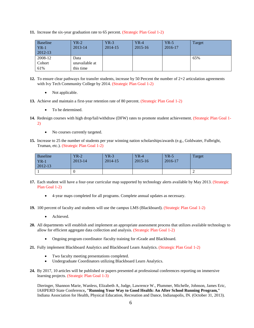**11.** Increase the six-year graduation rate to 65 percent. (Strategic Plan Goal 1-2)

| <b>Baseline</b><br>$YR-1$<br>$2012 - 13$ | $YR-2$<br>2013-14 | $YR-3$<br>2014-15 | $YR-4$<br>$2015 - 16$ | $YR-5$<br>2016-17 | Target |
|------------------------------------------|-------------------|-------------------|-----------------------|-------------------|--------|
| 2008-12                                  | Data              |                   |                       |                   | 65%    |
| Cohort                                   | unavailable at    |                   |                       |                   |        |
| 61%                                      | this time         |                   |                       |                   |        |

- **12.** To ensure clear pathways for transfer students, increase by 50 Percent the number of 2+2 articulation agreements with Ivy Tech Community College by 2014. (Strategic Plan Goal 1-2)
	- Not applicable.
- **13.** Achieve and maintain a first-year retention rate of 80 percent. (Strategic Plan Goal 1-2)
	- To be determined.
- **14.** Redesign courses with high drop/fail/withdraw (DFW) rates to promote student achievement. (Strategic Plan Goal 1- 2)
	- No courses currently targeted.
- **15.** Increase to 25 the number of students per year winning nation scholarships/awards (e.g., Goldwater, Fulbright, Truman, etc.). (Strategic Plan Goal 1-2)

| <b>Baseline</b><br>$YR-1$<br>2012-13 | $YR-2$<br>2013-14 | $YR-3$<br>2014-15 | $YR-4$<br>$2015 - 16$ | $YR-5$<br>2016-17 | Target |
|--------------------------------------|-------------------|-------------------|-----------------------|-------------------|--------|
|                                      |                   |                   |                       |                   | ∼      |

- **17.** Each student will have a four-year curricular map supported by technology alerts available by May 2013. (Strategic Plan Goal 1-2)
	- 4-year maps completed for all programs. Complete annual updates as necessary.
- **19.** 100 percent of faculty and students will use the campus LMS (Blackboard). (Strategic Plan Goal 1-2)
	- Achieved.
- **20.** All departments will establish and implement an appropriate assessment process that utilizes available technology to allow for efficient aggregate data collection and analysis. (Strategic Plan Goal 1-2)
	- Ongoing program coordinator /faculty training for rGrade and Blackboard.
- **21.** Fully implement Blackboard Analytics and Blackboard Learn Analytics. (Strategic Plan Goal 1-2)
	- Two faculty meeting presentations completed.
	- Undergraduate Coordinators utilizing Blackboard Learn Analytics.
- **24.** By 2017, 10 articles will be published or papers presented at professional conferences reporting on immersive learning projects. (Strategic Plan Goal 1-3)

Dieringer, Shannon Marie, Wanless, Elizabeth A, Judge, Lawrence W., Plummer, Michelle, Johnson, James Eric, IAHPERD State Conference**, "Running Your Way to Good Health: An After School Running Program,"** Indiana Association for Health, Physical Education, Recreation and Dance, Indianapolis, IN. (October 31, 2013).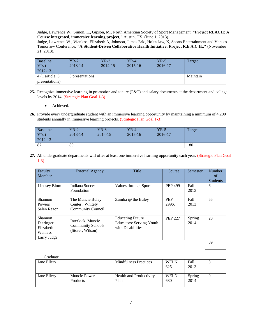Judge, Lawrence W., Simon, L., Gipson, M., North Amercian Society of Sport Management, **"Project REACH: A Course integrated, immersive learning project,"** Austin, TX. (June 1, 2013).

Judge, Lawrence W., Wanless, Elizabeth A, Johnson, James Eric, Holtzclaw, K, Sports Entertainment and Venues Tomorrow Conference, **"A Student-Driven Collaborative Health Initiative: Project R.E.A.C.H.."** (November 21, 2013).

| Baseline<br>$YR-1$ | $YR-2$<br>2013-14 | YR-3<br>2014-15 | $YR-4$<br>2015-16 | $YR-5$<br>2016-17 | Target   |
|--------------------|-------------------|-----------------|-------------------|-------------------|----------|
| 2012-13            |                   |                 |                   |                   |          |
| 4 (1 article; 3    | 3 presentations   |                 |                   |                   | Maintain |
| presentations)     |                   |                 |                   |                   |          |

- **25.** Recognize immersive learning in promotion and tenure (P&T) and salary documents at the department and college levels by 2014. (Strategic Plan Goal 1-3)
	- Achieved.
- **26.** Provide every undergraduate student with an immersive learning opportunity by maintaining a minimum of 4,200 students annually in immersive learning projects. (Strategic Plan Goal 1-3)

| <b>Baseline</b> | $YR-2$  | $YR-3$      | $YR-4$      | $YR-5$  | Target |
|-----------------|---------|-------------|-------------|---------|--------|
| $YR-1$          | 2013-14 | $2014 - 15$ | $2015 - 16$ | 2016-17 |        |
| $2012 - 13$     |         |             |             |         |        |
| 87              | 89      |             |             |         | 180    |

**27.** All undergraduate departments will offer at least one immersive learning opportunity each year. (Strategic Plan Goal 1-3)

| Faculty<br>Member                                                  | <b>External Agency</b>                                            | Title                                                                           | Course             | Semester       | Number<br>of<br><b>Students</b> |
|--------------------------------------------------------------------|-------------------------------------------------------------------|---------------------------------------------------------------------------------|--------------------|----------------|---------------------------------|
| Lindsey Blom                                                       | Indiana Soccer<br>Foundation                                      | Values through Sport                                                            | <b>PEP 499</b>     | Fall<br>2013   | 6                               |
| Shannon<br><b>Powers</b><br>Selen Razon                            | The Muncie Buley<br>Center, Whitely<br><b>Community Council</b>   | Zumba @ the Buley                                                               | <b>PEP</b><br>299X | Fall<br>2013   | 55                              |
| <b>Shannon</b><br>Dieringer<br>Elizabeth<br>Wanless<br>Larry Judge | Interlock, Muncie<br><b>Community Schools</b><br>(Storer, Wilson) | <b>Educating Future</b><br><b>Educators: Serving Youth</b><br>with Disabilities | <b>PEP 227</b>     | Spring<br>2014 | 28                              |
|                                                                    |                                                                   |                                                                                 |                    |                | 89                              |

| Graduate    |                          |                                 |                    |                |         |
|-------------|--------------------------|---------------------------------|--------------------|----------------|---------|
| Jane Ellery |                          | <b>Mindfulness Practices</b>    | <b>WELN</b>        | Fall           | $\circ$ |
|             |                          |                                 | 625                | 2013           |         |
| Jane Ellery | Muncie Power<br>Products | Health and Productivity<br>Plan | <b>WELN</b><br>630 | Spring<br>2014 |         |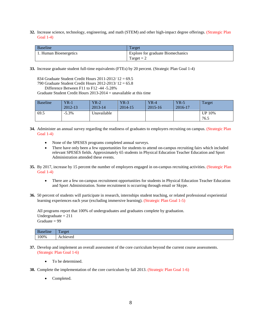**32.** Increase science, technology, engineering, and math (STEM) and other high-impact degree offerings. (Strategic Plan Goal 1-4)

| Baseline               | Target                            |
|------------------------|-----------------------------------|
| 1. Human Bioenergetics | Explore for graduate Biomechanics |
|                        | Target $= 2$                      |

- **33.** Increase graduate student full-time equivalents (FTEs) by 20 percent. (Strategic Plan Goal 1-4)
	- 834 Graduate Student Credit Hours 2011-2012/ 12 = 69.5
	- 790 Graduate Student Credit Hours 2012-2013/ 12 = 65.8

```
Difference Between F11 to F12 -44 -5.28%
```
Graduate Student Credit Hours 2013-2014 = unavailable at this time

| <b>Baseline</b> | $VR-1$<br>2012-13 | $YR-2$<br>$2013 - 14$ | $YR-3$<br>2014-15 | $YR-4$<br>$2015 - 16$ | $YR-5$<br>2016-17 | Target                |
|-----------------|-------------------|-----------------------|-------------------|-----------------------|-------------------|-----------------------|
| 69.5            | $-5.3\%$          | Unavailable           |                   |                       |                   | <b>UP 10%</b><br>76.5 |

- **34.** Administer an annual survey regarding the readiness of graduates to employers recruiting on campus. (Strategic Plan Goal 1-4)
	- None of the SPESES programs completed annual surveys.
	- There have only been a few opportunities for students to attend on-campus recruiting fairs which included relevant SPESES fields. Approximately 65 students in Physical Education Teacher Education and Sport Administration attended these events.
- **35.** By 2017, increase by 15 percent the number of employers engaged in on-campus recruiting activities. (Strategic Plan Goal 1-4)
	- There are a few on-campus recruitment opportunities for students in Physical Education Teacher Education and Sport Administration. Some recruitment is occurring through email or Skype.
- **36.** 50 percent of students will participate in research, internships student teaching, or related professional experiential learning experiences each year (excluding immersive learning). (Strategic Plan Goal 1-5)

All programs report that 100% of undergraduates and graduates complete by graduation. Undergraduate  $= 211$ Graduate  $= 99$ 

| $\bullet$<br>.seline | --<br>'aroet<br>$-1$ and $-1$ |
|----------------------|-------------------------------|
| 100%                 | Achieved                      |

- **37.** Develop and implement an overall assessment of the core curriculum beyond the current course assessments. (Strategic Plan Goal 1-6)
	- To be determined.
- **38.** Complete the implementation of the core curriculum by fall 2013. (Strategic Plan Goal 1-6)
	- Completed.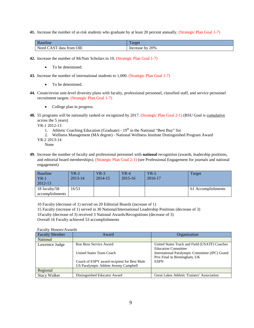**41.** Increase the number of at-risk students who graduate by at least 20 percent annually. (Strategic Plan Goal 1-7)

| $\mathbf{r}$<br>$\sim$<br>Baseline                         | arger                 |
|------------------------------------------------------------|-----------------------|
| C <sub>T</sub><br>OIE<br>Ned.<br>data<br>trom<br>$\lambda$ | 20%<br>hv<br>Increase |

- **42.** Increase the number of McNair Scholars to 10. (Strategic Plan Goal 1-7)
	- To be determined.
- **43.** Increase the number of international students to 1,000. (Strategic Plan Goal 1-7)
	- To be determined.
- **44.** Create/revise unit-level diversity plans with faculty, professional personnel, classified staff, and service personnel recruitment targets. (Strategic Plan Goal 1-7)
	- College plan in progress.
- **48.** 55 programs will be nationally ranked or recognized by 2017. (Strategic Plan Goal 2-1) (BSU Goal is cumulative across the 5 years)

YR-1 2012-13

- 1. Athletic Coaching Education (Graduate)  $19<sup>th</sup>$  in the National "Best Buy" list
- 2. Wellness Management (MA degree) National Wellness Institute Distinguished Program Award
- YR-2 2013-14 None
- **49.** Increase the number of faculty and professional personnel with **national** recognition (awards, leadership positions, and editorial board memberships). (Strategic Plan Goal 2-1) (see Professional Engagement for journals and national engagement)

| <b>Baseline</b><br>${\rm YR}\text{-}1$<br>2012-13 | $YR-2$<br>2013-14 | $YR-3$<br>$2014 - 15$ | YR-4<br>$2015 - 16$ | $YR-5$<br>2016-17 | Target             |
|---------------------------------------------------|-------------------|-----------------------|---------------------|-------------------|--------------------|
| 18 faculty/58<br>accomplishments                  | 6/53              |                       |                     |                   | 61 Accomplishments |

10 Faculty (decrease of 1) served on 20 Editorial Boards (increase of 1)

15 Faculty (increase of 1) served in 30 National/International Leadership Positions (decrease of 3)

1Faculty (decrease of 3) received 3 National Awards/Recognitions (decrease of 3)

Overall 16 Faculty achieved 53 accomplishments

Faculty Honors/Awards

| <b>Faculty Member</b> | Award                                       | Organization                                   |
|-----------------------|---------------------------------------------|------------------------------------------------|
| National              |                                             |                                                |
| Lawrence Judge        | <b>Ron Buss Service Award</b>               | United States Track and Field (USATF) Coaches  |
|                       |                                             | <b>Education Committee</b>                     |
|                       | United States Team Coach                    | International Paralympic Committee (IPC) Grand |
|                       |                                             | Prix Final in Birmingham, UK                   |
|                       | Coach of ESPY award recipient for Best Male | <b>ESPN</b>                                    |
|                       | US Paralympic Athlete Jeremy Campbell       |                                                |
| Regional              |                                             |                                                |
| <b>Stacy Walker</b>   | Distinguished Educator Award                | Great Lakes Athletic Trainers' Association     |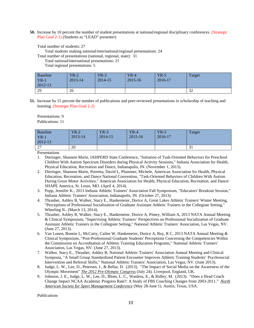**50.** Increase by 10 percent the number of student presentations at national/regional disciplinary conferences. (Strategic Plan Goal 2-1) (Students as "LEAD" presenter)

Total number of students: 27

Total students making national/international/regional presentations: 24

Total number of presentations (national, regional, state): 31

Total national/international presentations: 21

Total regional presentations: 5

| <b>Baseline</b> | $YR-2$  | $YR-3$  | $YR-4$  | $YR-5$  | Target    |
|-----------------|---------|---------|---------|---------|-----------|
| $YR-1$          | 2013-14 | 2014-15 | 2015-16 | 2016-17 |           |
| $2012 - 13$     |         |         |         |         |           |
| 29              | 26      |         |         |         | 32<br>ے ر |

**51.** Increase by 15 percent the number of publications and peer-reviewed presentations in scholarship of teaching and learning. (Strategic Plan Goal 2-2)

Presentations: 9 Publications: 11

| <b>Baseline</b><br>$YR-1$<br>2012-13 | $YR-2$<br>2013-14 | $YR-3$<br>2014-15 | $YR-4$<br>$2015 - 16$ | $YR-5$<br>2016-17 | Target |
|--------------------------------------|-------------------|-------------------|-----------------------|-------------------|--------|
| $\mathcal{L}$<br>$\sim$ 1            | 20                |                   |                       |                   | J 1    |

Presentations

- 1. Dieringer, Shannon Marie, IAHPERD State Conference, "Initiation of Task-Oriented Behaviors for Preschool Children With Autism Spectrum Disorders during Physical Activity Sessions," Indiana Association for Health, Physical Education, Recreation and Dance, Indianapolis, IN. (November 1, 2013).
- 2. Dieringer, Shannon Marie, Porretta, David L, Plummer, Michele, American Association for Health, Physical Education, Recreation, and Dance National Convention, "Task-Oriented Behaviors of Children With Autism During Gross Motor Activities," American Association for Health, Physical Education, Recreation, and Dance/ SHAPE America, St. Louis, MO. (April 4, 2014).
- 3. Popp, Jennifer K., 2013 Indiana Athletic Trainers' Association Fall Symposium, "Educators' Breakout Session," Indiana Athletic Trainers' Association, Indianapolis, IN. (October 27, 2013).
- 4. Thrasher, Ashley B, Walker, Stacy E., Hankemeier, Dorice A, Great Lakes Athletic Trainers' Winter Meeting, "Perceptions of Professional Socialization of Graduate Assistant Athletic Trainers in the Collegiate Setting," Wheeling IL. (March 13, 2014).
- 5. Thrasher, Ashley B, Walker, Stacy E., Hankemeier, Dorice A, Pitney, William A, 2013 NATA Annual Meeting & Clinical Symposium, "Supervising Athletic Trainers' Perspectives on Professional Socialization of Graduate Assistant Athletic Trainers in the Collegiate Setting," National Athletic Trainers' Association, Las Vegas, NV. (June 27, 2013).
- 6. Van Lunen, Bonnie L, McCarty, Cailee W, Hankemeier, Dorice A, Bay, R C, 2013 NATA Annual Meeting & Clinical Symposium, "Post-Professional Graduate Students' Perceptions Concerning the Competencies Within the Commission on Accreditation of Athletic Training Education Programs," National Athletic Trainers' Association, Las Vegas, NV. (June 27, 2013).
- 7. Walker, Stacy E., Thrasher, Ashley B, National Athletic Trainers' Association Annual Meeting and Clinical Symposia, "A Small Group Standardized Patient Encounter Improves Athletic Training Students' Psychosocial Intervention and Referral Skills," National Athletic Trainers' Association, Las Vegas, NV. (June 2013).
- 8. Judge, L. W., Lee, D., Petersen, J., & Bellar, D. (2013). "The Impact of Social Media on the Awareness of the Olympic Movement" *The 2012 Pre-Olympic Congress* (July 24). Liverpool, England, UK.
- 9. Johnson, J. E., Judge, L. W., Lee, D., Blom, L. C., Wanless, E., & Ridley, M. (2013). "Does a Head Coach Change Impact NCAA Academic Progress Rate?: A Study of FBS Coaching Changes from 2003-2011." *North American Society for Sport Management Conference* (May 28-June 1). Austin, Texas, USA.

Publications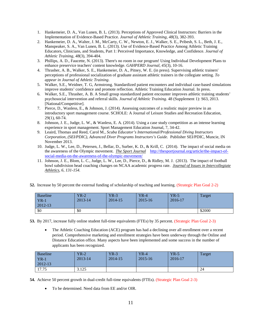- 1. Hankemeier, D. A., Van Lunen, B. L. (2013). Perceptions of Approved Clinical Instructors: Barriers in the Implementation of Evidence-Based Practice. *Journal of Athletic Training, 48*(3), 382-393.
- 2. Hankemeier, D. A., Walter, J. M., McCarty, C. W., Newton, E. J., Walker, S. E., Pribesh, S. L., Beth, J. E., Manspeaker, S. A., Van Lunen, B. L. (2013). Use of Evidence-Based Practice Among Athletic Training Educators, Clinicians, and Students, Part 1: Perceived Importance, Knowledge, and Confidence. *Journal of Athletic Training, 48*(3), 394-404.
- 3. Phillips, A. D., Faucette, N. (2013). There's no room in our program! Using Individual Development Plans to enhance preservice teachers' content knowledge. *GAHPERD Journal, 45*(3), 10-16.
- 4. Thrasher, A. B., Walker, S. E., Hankemeier, D. A., Pitney, W. E. (in press). Supervising athletic trainers' perceptions of professional socialization of graduate assistant athletic trainers in the collegiate setting. *To appear in Journal of Athletic Training*.
- 5. Walker, S.E., Weidner, T. G, Armstrong. Standardized patient encounters and individual case-based simulations improve students' confidence and promote reflection. Athletic Training Education Journal. In press.
- 6. Walker, S.E., Thrasher, A. B. A Small group standardized patient encounter improves athletic training students' psychosocial intervention and referral skills. *Journal of Athletic Training*. 48 (Supplement 1): S63, 2013. [National/Competitive].
- 7. Pierce, D., Wanless, E., & Johnson, J. (2014). Assessing outcomes of a realistic major preview in an introductory sport management course. SCHOLE: A Journal of Leisure Studies and Recreation Education, 29(1), 60-74.
- 8. Johnson, J. E., Judge, L. W., & Wanless, E. A. (2014). Using a case study competition as an intense learning experience in sport management. Sport Management Education Journal, 7, 34-42.
- 9. Leaird, Thomas and Reed, Carol M., *Scuba Educator's International/Professional Diving Instructors Corporation, (SEI/PDIC), Advanced Diver Programs Instructors's Guide.* Publisher SEI/PDIC, Muncie, IN November 2013.
- 10. Judge, L. W., Lee, D., Petersen, J., Bellar, D., Surber, K. D., & Krill, C. (2014). The impact of social media on the awareness of the Olympic movement. *The Sport Journal* [http://thesportjournal.org/article/the-impact-of](http://thesportjournal.org/article/the-impact-of-social-media-on-the-awareness-of-the-olympic-movement/)[social-media-on-the-awareness-of-the-olympic-movement/](http://thesportjournal.org/article/the-impact-of-social-media-on-the-awareness-of-the-olympic-movement/)
- 11. Johnson, J. E., Blom, L. C., Judge, L. W., Lee, D., Pierce, D., & Ridley, M. J. (2013). The impact of football bowl subdivision head coaching changes on NCAA academic progress rate. *Journal of Issues in Intercollegiate Athletics, 6, 131-154.*
- **52.** Increase by 50 percent the external funding of scholarship of teaching and learning. (Strategic Plan Goal 2-2)

| <b>Baseline</b> | $YR-2$  | $YR-3$      | $YR-4$  | $YR-5$  | Target |
|-----------------|---------|-------------|---------|---------|--------|
| $YR-1$          | 2013-14 | $2014 - 15$ | 2015-16 | 2016-17 |        |
| 2012-13         |         |             |         |         |        |
| \$0             | \$0     |             |         |         | \$2000 |

**53.** By 2017, increase fully online student full-time equivalents (FTEs) by 35 percent. (Strategic Plan Goal 2-3)

• The Athletic Coaching Education (ACE) program has had a declining over all enrollment over a recent period. Comprehensive marketing and enrollment strategies have been underway through the Online and Distance Education office. Many aspects have been implemented and some success in the number of applicants has been recognized.

| <b>Baseline</b> | $YR-2$  | $YR-3$  | $YR-4$  | $YR-5$  | Target |
|-----------------|---------|---------|---------|---------|--------|
| $YR-1$          | 2013-14 | 2014-15 | 2015-16 | 2016-17 |        |
| 2012-13         |         |         |         |         |        |
| 17.75           | 3.125   |         |         |         | 24     |

**54.** Achieve 50 percent growth in dual-credit full-time equivalents (FTEs). (Strategic Plan Goal 2-3)

• To be determined. Need data from EE and/or OIR.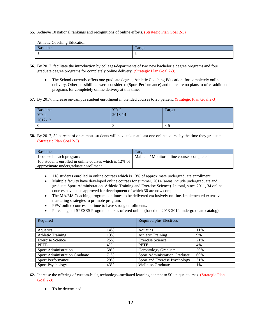**55.** Achieve 10 national rankings and recognitions of online efforts. (Strategic Plan Goal 2-3)

Athletic Coaching Education

| $\sim$<br>$\mathbf D$<br>шс | $T_{\alpha r \alpha \alpha}$ |
|-----------------------------|------------------------------|
|                             |                              |

- **56.** By 2017, facilitate the introduction by colleges/departments of two new bachelor's degree programs and four graduate degree programs for completely online delivery. (Strategic Plan Goal 2-3)
	- The School currently offers one graduate degree, Athletic Coaching Education, for completely online delivery. Other possibilities were considered (Sport Performance) and there are no plans to offer additional programs for completely online delivery at this time.
- **57.** By 2017, increase on-campus student enrollment in blended courses to 25 percent. (Strategic Plan Goal 2-3)

| Baseline        | $YR-2$  | Target  |
|-----------------|---------|---------|
| YR <sub>1</sub> | 2013-14 |         |
| $2012 - 13$     |         |         |
|                 |         | $3 - 5$ |

**58.** By 2017, 50 percent of on-campus students will have taken at least one online course by the time they graduate. (Strategic Plan Goal 2-3)

| Baseline                                                | Target                                    |
|---------------------------------------------------------|-------------------------------------------|
| 1 course in each program/                               | Maintain/Monitor online courses completed |
| 106 students enrolled in online courses which is 12% of |                                           |
| approximate undergraduate enrollment                    |                                           |

- 118 students enrolled in online courses which is 13% of approximate undergraduate enrollment.
- Multiple faculty have developed online courses for summer, 2014 (areas include undergraduate and graduate Sport Administration, Athletic Training and Exercise Science). In total, since 2011, 34 online courses have been approved for development of which 30 are now completed.
- The MA/MS Coaching program continues to be delivered exclusively on-line. Implemented extensive marketing strategies to promote program.
- PFW online courses continue to have strong enrollments.
- Percentage of SPESES Program courses offered online (based on 2013-2014 undergraduate catalog).

| Required                      |     | Required plus Electives              |     |
|-------------------------------|-----|--------------------------------------|-----|
|                               |     |                                      |     |
| Aquatics                      | 14% | Aquatics                             | 11% |
| <b>Athletic Training</b>      | 13% | <b>Athletic Training</b>             | 9%  |
| <b>Exercise Science</b>       | 25% | <b>Exercise Science</b>              | 21% |
| <b>PETE</b>                   | 4%  | <b>PETE</b>                          | 4%  |
| <b>Sport Administration</b>   | 58% | <b>Gerontology Graduate</b>          | 50% |
| Sport Administration Graduate | 71% | <b>Sport Administration Graduate</b> | 60% |
| <b>Sport Performance</b>      | 29% | Sport and Exercise Psychology        | 31% |
| <b>Sport Psychology</b>       | 43% | <b>Wellness Graduate</b>             | 1%  |

- **62.** Increase the offering of custom-built, technology-mediated learning content to 50 unique courses. (Strategic Plan Goal 2-3)
	- To be determined.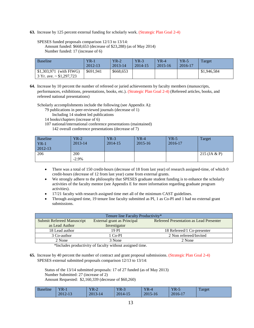**63.** Increase by 125 percent external funding for scholarly work. (Strategic Plan Goal 2-4)

SPESES funded proposals comparison 12/13 to 13/14: Amount funded: \$668,653 (decrease of \$23,288) (as of May 2014) Number funded: 17 (increase of 6)

| <b>Baseline</b>                                           | $YR-1$<br>2012-13 | $YR-2$<br>2013-14 | $YR-3$<br>2014-15 | $YR-4$<br>$2015 - 16$ | $YR-5$<br>2016-17 | Target      |
|-----------------------------------------------------------|-------------------|-------------------|-------------------|-----------------------|-------------------|-------------|
| $$1,303,971$ (with FIWG)<br>3 Yr. ave. $\sim$ \$1,297,723 | \$691,941         | \$668,653         |                   |                       |                   | \$1,946,584 |

**64.** Increase by 10 percent the number of refereed or juried achievements by faculty members (manuscripts, performances, exhibitions, presentations, books, etc.). (Strategic Plan Goal 2-4) (Refereed articles, books, and refereed national presentations)

Scholarly accomplishments include the following (see Appendix A):

79 publications in peer-reviewed journals (decrease of 1)

Including 14 student led publications

- 14 books/chapters (increase of 6)
- 107 national/international conference presentations (maintained) 142 overall conference presentations (decrease of 7)

| <b>Baseline</b><br>$YR-1$<br>2012-13 | $YR-2$<br>$2013 - 14$ | $YR-3$<br>2014-15 | $YR-4$<br>$2015 - 16$ | $YR-5$<br>2016-17 | Target         |
|--------------------------------------|-----------------------|-------------------|-----------------------|-------------------|----------------|
| 206                                  | 200<br>$-2.9%$        |                   |                       |                   | 215 (JA $&$ P) |

- There was a total of 150 credit-hours (decrease of 18 from last year) of research assigned-time, of which 0 credit-hours (decrease of 12 from last year) came from external grants.
- We strongly adhere to the philosophy that SPESES graduate student funding is to enhance the scholarly activities of the faculty mentor (see Appendix E for more information regarding graduate program activities).
- 17/21 faculty with research assigned time met all of the minimum CAST guidelines.
- Through assigned time, 19 tenure line faculty submitted as PI, 1 as Co-PI and 1 had no external grant submissions.

| Tenure line Faculty Productivity* |                             |                                                |  |  |
|-----------------------------------|-----------------------------|------------------------------------------------|--|--|
| <b>Submit Refereed Manuscript</b> | External grant as Principal | <b>Refereed Presentation as Lead Presenter</b> |  |  |
| as Lead Author                    | Investigator                |                                                |  |  |
| 18 Lead author                    | 19 PI                       | 18 Refereed/1 Co-presenter                     |  |  |
| 3 Co-author                       | 1 Co-PI                     | 2 Non refereed/Invited                         |  |  |
| 2 None                            | 3 None                      | 2 None                                         |  |  |

\*Includes productivity of faculty without assigned time.

**65.** Increase by 40 percent the number of contract and grant proposal submissions. (Strategic Plan Goal 2-4) SPESES external submitted proposals comparison 12/13 to 13/14:

Status of the 13/14 submitted proposals: 17 of 27 funded (as of May 2013) Number Submitted: 27 (increase of 2) Amount Requested: \$2,160,339 (decrease of \$60,260)

| $-1$<br><b>Baseline</b> | YR-1<br>2012-13 | $YR-2$<br>2013-<br>3-14 | YR-3<br>$2014 - 1$<br>$\sim$ | ${\rm YR}\text{-}4$<br>2015-<br>5-16 | $YR-5$<br>2016-17 | Target |
|-------------------------|-----------------|-------------------------|------------------------------|--------------------------------------|-------------------|--------|
|                         |                 |                         |                              |                                      |                   |        |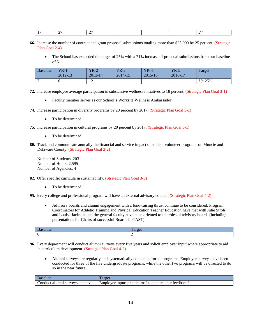- **66.** Increase the number of contract and grant proposal submissions totaling more than \$25,000 by 25 percent. (Strategic Plan Goal 2-4)
	- The School has exceeded the target of 25% with a 71% increase of proposal submissions from our baseline of 5.

| <b>Baseline</b> | $YR-1$<br>2012-13 | $YR-2$<br>$2013 - 14$         | $YR-3$<br>$2014 - 15$ | $YR-4$<br>$2015 - 16$ | $YR-5$<br>2016-17 | Target    |
|-----------------|-------------------|-------------------------------|-----------------------|-----------------------|-------------------|-----------|
|                 |                   | $1^{\circ}$<br>$\overline{1}$ |                       |                       |                   | $Up~25\%$ |

**72.** Increase employee average participation in substantive wellness initiatives to 18 percent. (Strategic Plan Goal 3-1)

- Faculty member serves as our School's Worksite Wellness Ambassador.
- **74.** Increase participation in diversity programs by 20 percent by 2017. (Strategic Plan Goal 3-1)
	- To be determined.
- **75.** Increase participation in cultural programs by 20 percent by 2017. (Strategic Plan Goal 3-1)
	- To be determined.
- **80.** Track and communicate annually the financial and service impact of student volunteer programs on Muncie and Delaware County. (Strategic Plan Goal 3-2)

Number of Students: 203 Number of Hours: 2,595 Number of Agencies: 4

- **82.** Offer specific curricula in sustainability. (Strategic Plan Goal 3-3)
	- To be determined.
- **95.** Every college and professional program will have an external advisory council. (Strategic Plan Goal 4-2)
	- Advisory boards and alumni engagement with a fund-raising thrust continue to be considered. Program Coordinators for Athletic Training and Physical Education Teacher Education have met with Julie Stroh and Louise Jackson, and the general faculty have been oriented to the roles of advisory boards (including presentations for Chairs of successful Boards in CAST).

| лшк | . |
|-----|---|
|     | - |

- **96.** Every department will conduct alumni surveys every five years and solicit employer input where appropriate to aid in curriculum development. (Strategic Plan Goal 4-2)
	- Alumni surveys are regularly and systematically conducted for all programs. Employer surveys have been conducted for three of the five undergraduate programs, while the other two programs will be directed to do so in the near future.

| :onduct<br>achieved<br>surveys<br>alumn | feedback?<br>practicums/<br>Employer<br>/student<br>1nput<br>, teacher |
|-----------------------------------------|------------------------------------------------------------------------|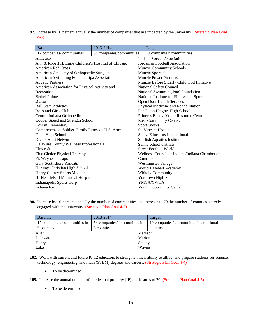**97.** Increase by 10 percent annually the number of companies that are impacted by the university. (Strategic Plan Goal 4-3)

| <b>Baseline</b>                                      | 2013-2014                | Target                                         |
|------------------------------------------------------|--------------------------|------------------------------------------------|
| 17 companies/communities                             | 54 companies/communities | 19 companies/ communities                      |
| Athletico                                            |                          | <b>Indiana Soccer Association</b>              |
| Ann & Robert H. Lurie Children's Hospital of Chicago |                          | Jordanian Football Association                 |
| American Red Cross                                   |                          | <b>Muncie Community Schools</b>                |
| American Academy of Orthopaedic Surgeons             |                          | Muncie Sportsplex                              |
| American Swimming Pool and Spa Association           |                          | <b>Muncie Power Products</b>                   |
| <b>Aquatic Partners</b>                              |                          | Muncie Before 5 Early Childhood Initiative     |
| American Association for Physical Activity and       |                          | National Safety Council                        |
| Recreation                                           |                          | National Swimming Pool Foundation              |
| <b>Bethel Pointe</b>                                 |                          | National Institute for Fitness and Sport       |
| <b>Burris</b>                                        |                          | Open Door Health Services                      |
| <b>Ball State Athletics</b>                          |                          | Physical Medicine and Rehabilitation           |
| Boys and Girls Club                                  |                          | Pendleton Heights High School                  |
| Central Indiana Orthopedics                          |                          | Princess Basma Youth Resource Centre           |
| Cooper Speed and Strength School                     |                          | Ross Community Center, Inc.                    |
| Cowan Elementary                                     |                          | Sport Works                                    |
| Comprehensive Soldier Family Fitness - U.S. Army     |                          | St. Vincent Hospital                           |
| Delta High School                                    |                          | Scuba Educators International                  |
| Divers Alert Network                                 |                          | <b>Starfish Aquatics Institute</b>             |
| Delaware County Wellness Professionals               |                          | Selma school districts                         |
| Elmeroft                                             |                          | <b>Street Football World</b>                   |
| First Choice Physical Therapy                        |                          | Wellness Council of Indiana/Indiana Chamber of |
| Ft. Wayne TinCaps                                    |                          | Commerce                                       |
| <b>Gary Southshore Railcats</b>                      |                          | Westminster Village                            |
| Heritage Christian High School                       |                          | World Baseball Academy                         |
| Henry County Sports Medicine                         |                          | <b>Whitely Community</b>                       |
| IU Health/Ball Memorial Hospital                     |                          | Yorktown High School                           |
| Indianapolis Sports Corp                             |                          | YMCA/YWCA                                      |
| Indiana Ice                                          |                          | <b>Youth Opportunity Center</b>                |

**98.** Increase by 10 percent annually the number of communities and increase to 70 the number of counties actively engaged with the university. (Strategic Plan Goal 4-3)

| <b>Baseline</b>              | 2013-2014                   | Target                                  |  |  |
|------------------------------|-----------------------------|-----------------------------------------|--|--|
| 17 companies/ communities in | 54 companies/communities in | 19 companies/ communities in additional |  |  |
| 5 counties                   | 8 counties                  | counties                                |  |  |
| Allen                        | Madison                     |                                         |  |  |
| Delaware                     | Marion                      |                                         |  |  |
| Henry                        | Shelby                      |                                         |  |  |
| Lake                         | Wayne                       |                                         |  |  |

- **102.** Work with current and future K–12 educators to strengthen their ability to attract and prepare students for science, technology, engineering, and math (STEM) degrees and careers. (Strategic Plan Goal 4-4)
	- To be determined.
- **105.** Increase the annual number of intellectual property (IP) disclosures to 20. (Strategic Plan Goal 4-5)
	- To be determined.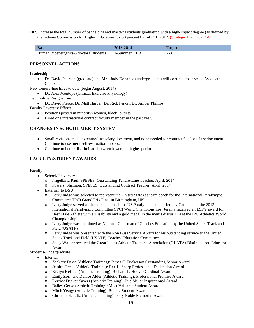**107.** Increase the total number of bachelor's and master's students graduating with a high-impact degree (as defined by the Indiana Commission for Higher Education) by 50 percent by July 31, 2017. (Strategic Plan Goal 4-6)

| Baseline                                   | 2014 <sup>-</sup><br>ת ו עצ<br>$\sim$ | arge     |
|--------------------------------------------|---------------------------------------|----------|
| Human<br>Bioenergetics-3 doctoral students | 1-Summer<br>2013                      | -47<br>- |

#### <span id="page-15-0"></span>**PERSONNEL ACTIONS**

Leadership

• Dr. David Pearson (graduate) and Mrs. Judy Donahue (undergraduate) will continue to serve as Associate Chairs.

New Tenure-line hires to date (begin August, 2014)

• Dr. Alex Montoye (Clinical Exercise Physiology)

Tenure-line Resignations

• Dr. David Pierce, Dr. Matt Harber, Dr. Rick Ferkel, Dr. Amber Phillips

Faculty Diversity Efforts

- Positions posted in minority (women, black) outlets.
- Hired one international contract faculty member in the past year.

#### <span id="page-15-1"></span>**CHANGES IN SCHOOL MERIT SYSTEM**

- Small revisions made to tenure-line salary document, and none needed for contract faculty salary document. Continue to use merit self-evaluation rubrics.
- Continue to better discriminate between lower and higher performers.

#### <span id="page-15-2"></span>**FACULTY/STUDENT AWARDS**

Faculty

- School/University
	- o Nagelkirk, Paul: SPESES, Outstanding Tenure-Line Teacher, April, 2014
	- o Powers, Shannon: SPESES, Outstanding Contract Teacher, April, 2014
- External to BSU
	- o Larry Judge was selected to represent the United States as team coach for the International Paralympic Committee (IPC) Grand Prix Final in Birmingham, UK.
	- o Larry Judge served as the personal coach for US Paralympic athlete Jeremy Campbell at the 2013 International Paralympic Committee (IPC) World Championships. Jeremy received an ESPY award for Best Male Athlete with a Disability and a gold medal in the men's discus F44 at the IPC Athletics World Championship.
	- o Larry Judge was appointed as National Chairman of Coaches Education by the United States Track and Field (USATF).
	- o Larry Judge was presented with the Ron Buss Service Award for his outstanding service to the United States Track and Field (USATF) Coaches Education Committee.
	- o Stacy Walker received the Great Lakes Athletic Trainers' Association (GLATA) Distinguished Educator Award.

#### Students-Undergraduate

- Internal
	- o Zackary Davis (Athletic Training): James C. Dickerson Outstanding Senior Award
	- Jessica Trcka (Athletic Training): Rex L. Sharp Professional Dedication Award
	- o Evelyn Heffner (Athletic Training): Richard L. Hoover Cardinal Award
	- o Emily Zorn and Denise Alder (Athletic Training): Professional Promise Award
	- o Derrick Decker Sayers (Athletic Training): Bud Miller Inspirational Award
	- o Bailey Gerke (Athletic Training): Most Valuable Student Award
	- Mitch Yeagy (Athletic Training): Rookie Student Award
	- o Christine Schultz (Athletic Training): Gary Noble Memorial Award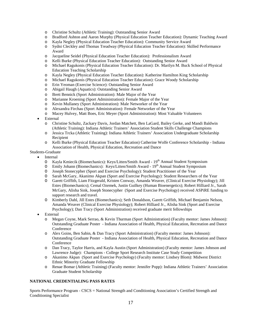- o Christine Schultz (Athletic Training): Outstanding Senior Award
- o Bradford Ashton and Aaron Murphy (Physical Education Teacher Education): Dynamic Teaching Award
- o Kayla Negley (Physical Education Teacher Education): Community Service Award
- o Sydni Cleckley and Thomas Treadway (Physical Education Teacher Education): Skilled Performance Award
- o Jacqueline Seidel (Physical Education Teacher Education): Professionalism Award
- o Kelli Burke (Physical Education Teacher Education): Outstanding Senior Award
- o Michael Ragukonis (Physical Education Teacher Education): Dr. Marilyn M. Buck School of Physical Education Teaching Scholarship
- o Kayla Negley (Physical Education Teacher Education): Katherine Hamilton King Scholarship
- o Michael Ragukonis (Physical Education Teacher Education): Grace Woody Scholarship
- o Erin Yeoman (Exercise Science): Outstanding Senior Award
- o Abigail Haugh (Aquatics): Outstanding Senior Award
- o Brett Bennick (Sport Administration): Male Major of the Year
- o Marianne Kroening (Sport Administration): Female Major of the Year
- Kevin Mullaney (Sport Administration): Male Networker of the Year
- o Alexandra Firchau (Sport Administration): Female Networker of the Year
- Macey Hulvey, Matt Boes, Eric Meyer (Sport Administration): Most Valuable Volunteers
- **External** 
	- o Christine Schultz, Zackary Davis, Jordan Matchett, Ben LaGard, Bailey Gerke, and Mandi Baldwin (Athletic Training): Indiana Athletic Trainers' Association Student Skills Challenge Champions
	- o Jessica Trcka (Athletic Training): Indiana Athletic Trainers' Association Undergraduate Scholarship Recipient
	- o Kelli Burke (Physical Education Teacher Education) Catherine Wolfe Conference Scholarship Indiana Association of Health, Physical Education, Recreation and Dance

Students-Graduate

- **Internal** 
	- O Kayla Kmiecik (Biomechanics): Keys/Litten/Smith Award 19<sup>th</sup> Annual Student Symposium
	- O Emily Johann (Biomechanics): Keys/Litten/Smith Award 19<sup>th</sup> Annual Student Symposium
	- O Joseph Stonecypher (Sport and Exercise Psychology): Student Practitioner of the Year
	- O Sarah McGary, Akanimo Akpan (Sport and Exercise Psychology): Student Researchers of the Year
	- O Garett Griffith, Liam Fitzgerald, Kristen Conway, Amanda Weaver, (Clinical Exercise Physiology); Jill Estes (Biomechanics); Cemal Ozemek, Justin Guilkey (Human Bioenergetics); Robert Hilliard Jr., Sarah McGary, Alisha Sink, Joseph Stonecypher (Sport and Exercise Psychology) received ASPiRE funding to support research and travel.
	- O Kimberly Dahl, Jill Estes (Biomechanics); Seth Donaldson, Garett Griffith, Michael Benjamin Nelson, Amanda Weaver (Clinical Exercise Physiology); Robert Hilliard Jr., Alisha Sink (Sport and Exercise Psychology); Dan Tracy (Sport Administration) received graduate merit fellowships
- **External** 
	- o Megan Coyne, Mark Serrao, & Kevin Thurman (Sport Administration) (Faculty mentor: James Johnson): Outstanding Graduate Poster - Indiana Association of Health, Physical Education, Recreation and Dance **Conference**
	- o Alex Goins, Ben Sabin, & Dan Tracy (Sport Administration) (Faculty mentor: James Johnson): Outstanding Graduate Poster - Indiana Association of Health, Physical Education, Recreation and Dance Conference
	- o Dan Tracy, Taylor Harris, and Kayla Austin (Sport Administration) (Faculty mentor: James Johnson and Lawrence Judge): Champions - College Sport Research Institute Case Study Competition
	- o Akanimo Akpan (Sport and Exercise Psychology) (Faculty mentor: Lindsey Blom): Midwest District Ethnic Minority Graduate Fellowship
	- o Renae Bomar (Athletic Training) (Faculty mentor: Jennifer Popp): Indiana Athletic Trainers' Association Graduate Student Scholarship

#### <span id="page-16-0"></span>**NATIONAL CREDENTIALING PASS RATES**

Sports Performance Program - CSCS = National Strength and Conditioning Association's Certified Strength and Conditioning Specialist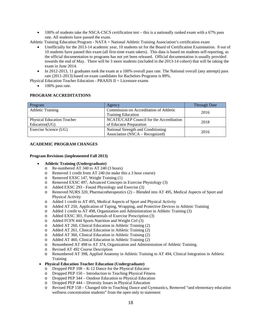• 100% of students take the NSCA-CSCS certification test – this is a nationally ranked exam with a 67% pass rate. All students have passed the exam.

Athletic Training Education Program - NATA = National Athletic Training Association's certification exam

- Unofficially for the 2013-14 academic year, 10 students sit for the Board of Certification Examination. 8 out of 10 students have passed this exam (all first-time exam takers). This data is based on students self-reporting, as the official documentation to programs has not yet been released. Official documentation is usually provided towards the end of May. There will be 3 more students (included in the 2013-14 cohort) that will be taking the exam in June 2014.
- In 2012-2013, 11 graduates took the exam at a 100% overall pass rate. The National overall (any attempt) pass rate (2011-2013) based on exam candidates for Bachelors Programs is 89%.
- Physical Education Teacher Education PRAXIS II = Licensure exams
	- 100% pass rate.

#### <span id="page-17-0"></span>**PROGRAM ACCREDITATIONS**

| Program                                            | Agency                                                                | <b>Through Date</b> |
|----------------------------------------------------|-----------------------------------------------------------------------|---------------------|
| <b>Athletic Training</b>                           | Commission on Accreditation of Athletic<br><b>Training Education</b>  | 2016                |
| <b>Physical Education Teacher</b><br>Education(UG) | NCATE/CAEP Council for the Accreditation<br>of Educator Preparation   | 2018                |
| Exercise Science (UG)                              | National Strength and Conditioning<br>Association (NSCA – Recognized) | 2016                |

#### <span id="page-17-1"></span>**ACADEMIC PROGRAM CHANGES**

#### **Program Revisions (implemented Fall 2013)**

- **Athletic Training (Undergraduate)**
	- o Re-numbered AT 340 to AT 240 (3 hours)<br>
	Removed 1 credit from AT 240 (to make the
	- Removed 1 credit from AT 240 (to make this a 3 hour course)
	- o Removed EXSC 147, Weight Training (1)<br>
	o Removed EXSC 497, Advanced Concepts
	- Removed EXSC 497, Advanced Concepts in Exercise Physiology (3)
	- o Added EXSC 293 Found Physiology and Exercise (3)
	- o Removed NURS 320, Pharmacotherapeutics (2) Blended into AT 495, Medical Aspects of Sport and Physical Activity
	- o Added 1 credit to AT 495, Medical Aspects of Sport and Physical Activity
	- o Added AT 250, Application of Taping, Wrapping, and Protective Devices in Athletic Training
	- Added 1 credit to AT 498, Organization and Administration in Athletic Training (3)
	- o Added EXSC 301, Fundamentals of Exercise Prescription (3)
	- o Added FCFN 444 Sports Nutrition and Weight Ctrl (3)<br>
	Added AT 260. Clinical Education in Athletic Training
	- Added AT 260, Clinical Education in Athletic Training (2)
	- o Added AT 261, Clinical Education in Athletic Training (2)
	- o Added AT 360, Clinical Education in Athletic Training (2)
	- o Added AT 460, Clinical Education in Athletic Training (2)
	- o Renumbered AT 498 to AT 374, Organization and Administration of Athletic Training.
	- o Revised AT 492 Course Description
	- o Renumbered AT 398, Applied Anatomy in Athletic Training to AT 494, Clinical Integration in Athletic **Training**
- **Physical Education Teacher Education (Undergraduate)**
	- o Dropped PEP 108 K-12 Dance for the Physical Educator
	- o Dropped PEP 150 Introduction to Teaching Physical Fitness
	- o Dropped PEP 344 Outdoor Education to Physical Education
	- o Dropped PEP 444 Diversity Issues in Physical Education
	- o Revised PEP 158 Changed title to Teaching Dance and Gymnastics, Removed "and elementary education wellness concentration students" from the open only to statement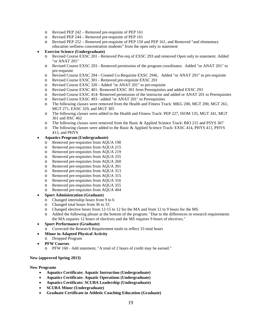- o Revised PEP 242 Removed pre-requisite of PEP 161
- o Revised PEP 244 Removed pre-requisite of PEP 161<br>
o Revised PEP 252 Removed pre-requisite of PEP 150
- Revised PEP 252 Removed pre-requisite of PEP 150 and PEP 161, and Removed "and elementary" education wellness concentration students" from the open only to statement
- **Exercise Science (Undergraduate)**
	- o Revised Course EXSC 201 Removed Pre-req of EXSC 293 and removed Open only to statement. Added "or ANAT 201"
	- o Revised Course EXSC 293 Removed permission of the program coordinator. Added "or ANAT 201" to pre-requisite
	- o Revised Course EXSC 294 Created Co-Requisite EXSC 294L. Added "or ANAT 201" to pre-requisite
	- Revised Course EXSC 301 Removed pre-requisite EXSC 201
	- o Revised Course EXSC 320 Added "or ANAT 201" to pre-requisite
	- o Revised Course EXSC 401- Removed EXSC 301 from Prerequisites and added EXSC 293
	- o Revised Course EXSC 414- Removed permission of the instructor and added or ANAT 201 to Prerequisites
	- o Revised Course EXSC 493 added "or ANAT 201" to Prerequisites
	- The following classes were removed from the Health and Fitness Track: MKG 200, MGT 200, MGT 261, MGT 271, EXSC 329, and MGT 305
	- o The following classes were added to the Health and Fitness Track: PEP 227, ISOM 135, MGT 341, MGT 361 and HSC 462
	- o The following classes were removed from the Basic & Applied Science Track: BIO 215 and PSYS 367
	- o The following classes were added to the Basic & Applied Science Track: EXSC 414, PHYS 411, PHYS 413, and PHYS

#### • **Aquatics Program (Undergraduate)**

- o Removed pre-requisites from AQUA 190
- o Removed pre-requisites from AQUA 215
- Removed pre-requisites from AQUA 219
- o Removed pre-requisites from AQUA 255<br>
o Removed pre-requisites from AOUA 260
- o Removed pre-requisites from AQUA 260<br>
o Removed pre-requisites from AQUA 301
- Removed pre-requisites from AQUA 301
- o Removed pre-requisites from AQUA 313
- o Removed pre-requisites from AQUA 315<br>
o Removed pre-requisites from AQUA 316
- Removed pre-requisites from AQUA 316
- o Removed pre-requisites from AQUA 355
- o Removed pre-requisites from AQUA 404

#### • **Sport Administration (Graduate)**

- o Changed internship hours from 9 to 6<br>
o Changed total hours from 36 to 33
- Changed total hours from 36 to 33
- o Changed elective hours from 12-15 to 12 for the MA and from 12 to 9 hours for the MS.
- o Added the following phrase at the bottom of the program: "Due to the differences in research requirements the MA requires 12 hours of electives and the MS requires 9 hours of electives."
- **Sport Performance (Graduate)**
	- o Corrected the Research Requirement totals to reflect 33 total hours
- **Minor in Adapted Physical Activity**
	- o Dropped Program
- **PFW Courses**
	- o PFW 160 Add statement, "A total of 2 hours of credit may be earned."

#### **New (approved Spring 2013)**

#### **New Programs**

- **Aquatics Certificate: Aquatic Instruction (Undergraduate)**
- **Aquatics Certificate: Aquatic Operations (Undergraduate)**
- **Aquatics Certificate: SCUBA Leadership (Undergraduate)**
- **SCUBA Minor (Undergraduate)**
- **Graduate Certificate in Athletic Coaching Education (Graduate)**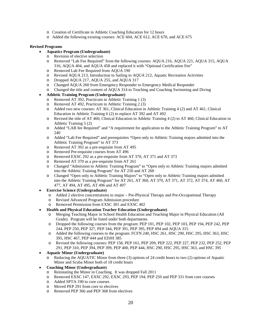- o Creation of Certificate in Athletic Coaching Education for 12 hours
- o Added the following existing courses: ACE 604, ACE 612, ACE 670, and ACE 675

#### **Revised Programs**

- **Aquatics Program (Undergraduate)**
	- Revision of elective selection
	- o Removed "Lab Fee Required" from the following courses: AQUA 216, AQUA 221, AQUA 315, AQUA 316, AQUA 404, and AQUA 458 and replaced it with "Optional Certification Fee"
	- o Removed Lab Fee Required from AQUA 190<br>
	o Revised AQUA 213, Introduction to Sailing to
	- Revised AQUA 213, Introduction to Sailing to AQUA 212, Aquatic Recreation Activities
	- o Dropped AQUA 217, AQUA 255, and AQUA 317
	- o Changed AQUA 260 from Emergency Responder to Emergency Medical Responder
	- o Changed the title and content of AQUA 314 to Teaching and Coaching Swimming and Diving

#### • **Athletic Training Program (Undergraduate)**

- o Removed AT 392, Practicum in Athletic Training 1 (3)
- o Removed AT 492, Practicum in Athletic Training 2 (3)
- o Added two new courses: AT 361, Clinical Education in Athletic Training 4 (2) and AT 461, Clinical Education in Athletic Training 6 (2) to replace AT 392 and AT 492
- o Revised the title of AT 460, Clinical Education in Athletic Training 4 (2) to AT 460, Clinical Education in Athletic Training 5 (2)
- o Added "LAB fee Required" and "A requirement for application to the Athletic Training Program" to AT 240
- o Added "Lab Fee Required" and prerequisites "Open only to Athletic Training majors admitted into the Athletic Training Program" to AT 373
- o Removed AT 392 as a pre-requisite from AT 495<br>
Removed Pre-requisite courses from AT 496
- Removed Pre-requisite courses from AT 496
- o Removed EXSC 292 as a pre-requisite from AT 370, AT 371 and AT 373
- o Removed AT 370 as a pre-requisite from AT 261<br>Changed "Admission to Athletic Training Program
- o Changed "Admission to Athletic Training Program" to "Open only to Athletic Training majors admitted into the Athletic Training Program" for AT 250 and AT 260
- o Changed "Open only to Athletic Training Majors" to "Open only to Athletic Training majors admitted into the Athletic Training Program" for AT 261, AT 360, AT 370, AT 371, AT 372, AT 374, AT 460, AT 477, AT 494, AT 495, AT 496 and AT 497
- **Exercise Science (Undergraduate)**<br>  $\circ$  Added 2 elective concentration
	- Added 2 elective concentrations to major Pre-Physical Therapy and Pre-Occupational Therapy
	- o Revised Advanced Program Admission procedure
	- o Removed Permission from EXSC 301 and EXSC 402
- **Health and Physical Education Teacher Education (Undergraduate)**
	- o Merging Teaching Major in School Health Education and Teaching Major in Physical Education (All Grade). Program will be listed under both departments
	- o Dropped the following courses from the program: PEP 101, PEP 102, PEP 103, PEP 194, PEP 242, PEP 244, PEP 250, PEP 327, PEP 344, PEP 391, PEP 395, PEP 494 and AQUA 315
	- o Added the following courses to the program: FCFN 240, HSC 261, HSC 290, HSC 295, HSC 363, HSC 395, HSC 467, PEP 444 and EDJH 385
	- o Revised the following courses: PEP 158, PEP 161, PEP 209, PEP 222, PEP 227, PEP 232, PEP 252, PEP 291, PEP 310, PEP 394, PEP 399, PEP 400, PEP 444, HSC 290, HSC 295, HSC 363, and HSC 395

#### • **Aquatic Minor (Undergraduate)**

Reducing the AQUATIC Minor from three (3) options of 24 credit hours to two (2) options of Aquatic Minor and Scuba Minor both of 18 credit hours

#### • **Coaching Minor (Undergraduate)**

- o Reinstating the Minor in Coaching. It was dropped Fall 2011
- o Removed EXSC 147, EXSC 292, EXSC 293, PEP 194, PEP 250 and PEP 331 from core courses
- Added SPTA 190 to core courses
- o Moved PEP 291 from core to electives
- o Removed PEP 366 and PEP 368 from electives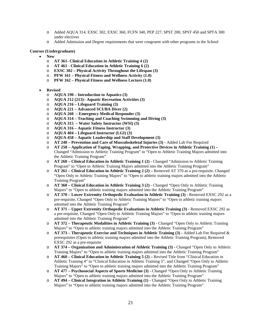- o Added AQUA 314, EXSC 302, EXSC 360, FCFN 340, PEP 227, SPST 200, SPST 450 and SPTA 300 under electives
- o Added Admission and Degree requirements that were congruent with other programs in the School

#### **Courses (Undergraduate)**

- **New**
	- o **AT 361- Clinical Education in Athletic Training 4 (2)**
	- o **AT 461 - Clinical Education in Athletic Training 6 (2)**
	- o **EXSC 302 – Physical Activity Throughout the Lifespan (3)**
	- o **PFW 161 – Physical Fitness and Wellness Activity (1.0)**
	- o **PFW 162 – Physical Fitness and Wellness Lecture (1.0)**
- **Revised**
	- o **AQUA 190 – Introduction to Aquatics (3)**
	- o **AQUA 212 (213)– Aquatic Recreation Activities (3)**
	- o **AQUA 216 – Lifeguard Training (3)**
	- o **AQUA 221 – Advanced SCUBA Diver (2)**
	- o **AQUA 260 – Emergency Medical Responder (3)**
	- o **AQUA 314 – Teaching and Coaching Swimming and Diving (3)**
	- o **AQUA 315 – Water Safety Instructor (WSI) (3)**
	- o **AQUA 316 – Aquatic Fitness Instructor (3)**
	- o **AQUA 404 – Lifeguard Instructor (LGI) (3)**
	- o **AQUA 458 – Aquatic Leadership and Staff Development (3)**
	- o **AT 240 – Prevention and Care of Musculoskeletal Injuries (3) -** Added Lab Fee Required
	- o **AT 250 – Application of Taping, Wrapping, and Protective Devices in Athletic Training (1) –** Changed "Admission to Athletic Training Program" to "Open to Athletic Training Majors admitted into the Athletic Training Program"
	- o **AT 260 – Clinical Education in Athletic Training 1 (2) -** Changed "Admission to Athletic Training Program" to "Open to Athletic Training Majors admitted into the Athletic Training Program"
	- o **AT 261 – Clinical Education in Athletic Training 2 (2) –** Removed AT 370 as a pre-requisite. Changed "Open Only to Athletic Training Majors" to "Open to athletic training majors admitted into the Athletic Training Program"
	- o **AT 360 – Clinical Education in Athletic Training 3 (2) -** Changed "Open Only to Athletic Training Majors" to "Open to athletic training majors admitted into the Athletic Training Program"
	- o **AT 370 – Lower Extremity Orthopedic Evaluation in Athletic Training (3) -** Removed EXSC 292 as a pre-requisite, Changed "Open Only to Athletic Training Majors" to "Open to athletic training majors admitted into the Athletic Training Program"
	- o **AT 371 – Upper Extremity Orthopedic Evaluations in Athletic Training (3) -** Removed EXSC 292 as a pre-requisite, Changed "Open Only to Athletic Training Majors" to "Open to athletic training majors admitted into the Athletic Training Program"
	- o **AT 372 – Therapeutic Modalities in Athletic Training (3) -** Changed "Open Only to Athletic Training Majors" to "Open to athletic training majors admitted into the Athletic Training Program"
	- o **AT 373 – Therapeutic Exercise and Techniques in Athletic Training (3) -** Added Lab Fee Required & prerequisites (Open to athletic training majors admitted into the Athletic Training Program), Removed EXSC 292 as a pre-requisite
	- o **AT 374 – Organization and Administration of Athletic Training (3) -** Changed "Open Only to Athletic Training Majors" to "Open to athletic training majors admitted into the Athletic Training Program"
	- o **AT 460 – Clinical Education in Athletic Training 5 (2) –** Revised Title from "Clinical Education in Athletic Training 4" to "Clinical Education in Athletic Training 5", and Changed "Open Only to Athletic Training Majors" to "Open to athletic training majors admitted into the Athletic Training Program"
	- o **AT 477 – Psychosocial Aspects of Sports Medicine (3) -** Changed "Open Only to Athletic Training Majors" to "Open to athletic training majors admitted into the Athletic Training Program"
	- o **AT 494 – Clinical Integration in Athletic Training (1) -** Changed "Open Only to Athletic Training Majors" to "Open to athletic training majors admitted into the Athletic Training Program"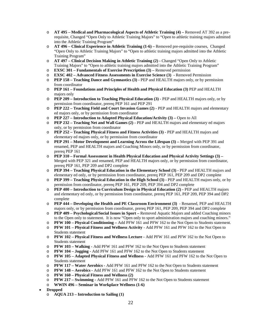- o **AT 495 – Medical and Pharmacological Aspects of Athletic Training (4) –** Removed AT 392 as a prerequisite, Changed "Open Only to Athletic Training Majors" to "Open to athletic training majors admitted into the Athletic Training Program"
- o **AT 496 – Clinical Experience in Athletic Training (1-6) –** Removed pre-requisite courses, Changed "Open Only to Athletic Training Majors" to "Open to athletic training majors admitted into the Athletic Training Program"
- o **AT 497 – Clinical Decision Making in Athletic Training (2) -** Changed "Open Only to Athletic Training Majors" to "Open to athletic training majors admitted into the Athletic Training Program"
- o **EXSC 301 – Fundamentals of Exercise Prescription (3) –** Removed permission
- o **EXSC 402 – Advanced Fitness Assessments in Exercise Science (3) -** Removed Permission
- o **PEP 158 – Teaching Dance and Gymnastics (3) -** PEP and HEALTH majors only, or by permission from coordinator
- **PEP 161 Foundations and Principles of Health and Physical Education (3) PEP and HEALTH** majors only
- o **PEP 209 – Introduction to Teaching Physical Education (3) -** PEP and HEALTH majors only, or by permission from coordinator, prereq PEP 161 and PEP 291
- o **PEP 222 – Teaching Field and Court Invasion Games (2) -** PEP and HEALTH majors and elementary ed majors only, or by permission from coordinator
- o **PEP 227 – Introduction to Adapted Physical Education/Activity (3) –** Open to All
- o **PEP 232 – Teaching Net and Wall Games (2) -** PEP and HEALTH majors and elementary ed majors only, or by permission from coordinator
- o **PEP 252 – Teaching Physical Fitness and Fitness Activities (3) -** PEP and HEALTH majors and elementary ed majors only, or by permission from coordinator
- o **PEP 291 – Motor Development and Learning Across the Lifespan (3) –** Merged with PEP 391 and renamed, PEP and HEALTH majors and Coaching Minors only, or by permission from coordinator, prereq PEP 161
- o **PEP 310 – Formal Assessment in Health Physical Education and Physical Activity Settings (3) –** Merged with PEP 321 and renamed, PEP and HEALTH majors only, or by permission from coordinator, prereq PEP 161, PEP 209 and DP2 complete
- o **PEP 394 – Teaching Physical Education in the Elementary School (3) -** PEP and HEALTH majors and elementary ed only, or by permission from coordinator, prereq PEP 161, PEP 209 and DP2 complete
- o **PEP 399 – Teaching Physical Education in the High School (3) -** PEP and HEALTH majors only, or by permission from coordinator, prereq PEP 161, PEP 209, PEP 394 and DP2 complete
- o **PEP 400 – Introduction to Curriculum Design in Physical Education (2) -** PEP and HEALTH majors and elementary ed only, or by permission from coordinator, prereq PEP 161, PEP 209, PEP 394 and DP2 complete
- o **PEP 444 – Developing the Health and PE Classroom Environment (3)** Renamed, PEP and HEALTH majors only, or by permission from coordinator, prereq PEP 161, PEP 209, PEP 394 and DP2 complete
- o **PEP 409 – Psychological/Social Issues in Sport –** Removed Aquatic Majors and added Coaching minors to the Open only to statement. It is now "Open only to sport administration majors and coaching minors."
- o **PFW 100 – Physical Conditioning –** Add PFW 161 and PFW 162 to the Not Open to Students statement.
- o **PFW 101 – Physical Fitness and Wellness Activity** Add PFW 161 and PFW 162 to the Not Open to Students statement
- o **PFW 102 – Physical Fitness and Wellness Lecture -** Add PFW 161 and PFW 162 to the Not Open to Students statement
- o **PFW 103 – Walking -** Add PFW 161 and PFW 162 to the Not Open to Students statement
- o **PFW 104 – Jogging -** Add PFW 161 and PFW 162 to the Not Open to Students statement
- o **PFW 105 – Adapted Physical Fitness and Wellness -** Add PFW 161 and PFW 162 to the Not Open to Students statement
- o **PFW 117 – Water Aerobics -** Add PFW 161 and PFW 162 to the Not Open to Students statement
- o **PFW 148 – Aerobics -** Add PFW 161 and PFW 162 to the Not Open to Students statement
- o **PFW 160 – Physical Fitness and Wellness (2)**
- o **PFW 217 – Swimming -** Add PFW 161 and PFW 162 to the Not Open to Students statement
- o **WWIN 496 – Seminar in Workplace Wellness (1-6)**
- **Dropped**
	- o **AQUA 213 – Introduction to Sailing (1)**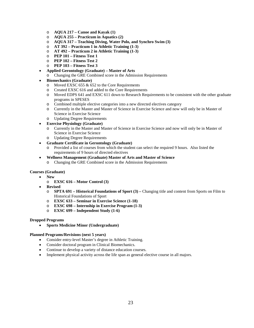- o **AQUA 217 – Canoe and Kayak (1)**
- o **AQUA 255 – Practicum in Aquatics (2)**
- o **AQUA 317 – Teaching Diving, Water Polo, and Synchro Swim (3)**
- o **AT 392 – Practicum 1 in Athletic Training (1-3)**
- o **AT 492 – Practicum 2 in Athletic Training (1-3)**
- o **PEP 101 – Fitness Test 1**
- o **PEP 102 – Fitness Test 2**
- o **PEP 103 – Fitness Test 3**
- **Applied Gerontology (Graduate) – Master of Arts** 
	- o Changing the GRE Combined score in the Admission Requirements

#### • **Biomechanics (Graduate)**

- o Moved EXSC 655 & 652 to the Core Requirements
- o Created EXSC 616 and added to the Core Requirements<br>  $\Omega$  Moved EDPS 641 and EXSC 611 down to Research Req
- Moved EDPS 641 and EXSC 611 down to Research Requirements to be consistent with the other graduate programs in SPESES
- o Combined multiple elective categories into a new directed electives category
- Currently in the Master and Master of Science in Exercise Science and now will only be in Master of Science in Exercise Science
- o Updating Degree Requirements

#### • **Exercise Physiology (Graduate)**

- o Currently in the Master and Master of Science in Exercise Science and now will only be in Master of Science in Exercise Science
- o Updating Degree Requirements

#### • **Graduate Certificate in Gerontology (Graduate)**

- o Provided a list of courses from which the student can select the required 9 hours. Also listed the requirements of 9 hours of directed electives
- **Wellness Management (Graduate) Master of Arts and Master of Science**
	- o Changing the GRE Combined score in the Admission Requirements

#### **Courses (Graduate)**

- **New**
	- o **EXSC 616 – Motor Control (3)**
- **Revised**
	- o **SPTA 691 – Historical Foundations of Sport (3) –** Changing title and content from Sports on Film to Historical Foundations of Sport
	- o **EXSC 633 – Seminar in Exercise Science (1-18)**
	- o **EXSC 698 – Internship in Exercise Program (1-3)**
	- o **EXSC 699 – Independent Study (1-6)**

#### **Dropped Programs**

• **Sports Medicine Minor (Undergraduate)**

#### **Planned Programs/Revisions (next 5 years)**

- Consider entry-level Master's degree in Athletic Training.
- Consider doctoral program in Clinical Biomechanics.
- Continue to develop a variety of distance education courses.
- Implement physical activity across the life span as general elective course in all majors.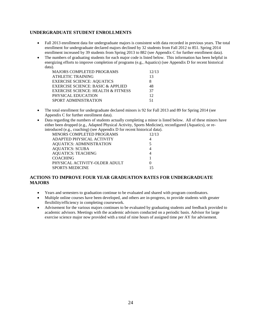#### <span id="page-23-0"></span>**UNDERGRADUATE STUDENT ENROLLMENTS**

- Fall 2013 enrollment data for undergraduate majors is consistent with data recorded in previous years. The total enrollment for undergraduate declared majors declined by 32 students from Fall 2012 to 851. Spring 2014 enrollment increased by 39 students from Spring 2013 to 882 (see Appendix C for further enrollment data).
- The numbers of graduating students for each major code is listed below. This information has been helpful in energizing efforts to improve completion of programs (e.g., Aquatics) (see Appendix D for recent historical data).

| <b>MAJORS COMPLETED PROGRAMS</b>              | 12/13 |
|-----------------------------------------------|-------|
| <b>ATHLETIC TRAINING</b>                      | 13    |
| <b>EXERCISE SCIENCE: AQUATICS</b>             | 8     |
| <b>EXERCISE SCIENCE: BASIC &amp; APPLIED</b>  | 48    |
| <b>EXERCISE SCIENCE: HEALTH &amp; FITNESS</b> | 37    |
| PHYSICAL EDUCATION                            | 12    |
| SPORT ADMINISTRATION                          | 51    |

- The total enrollment for undergraduate declared minors is 92 for Fall 2013 and 89 for Spring 2014 (see Appendix C for further enrollment data).
- Data regarding the numbers of students actually completing a minor is listed below. All of these minors have either been dropped (e.g., Adapted Physical Activity, Sports Medicine), reconfigured (Aquatics), or reintroduced (e.g., coaching) (see Appendix D for recent historical data).

| $\sigma$ and $\sigma$ , $\sigma$ , $\sigma$ , $\sigma$ , $\sigma$ , $\sigma$ , $\sigma$ , $\sigma$ , $\sigma$ , $\sigma$ , $\sigma$ , $\sigma$ , $\sigma$ , $\sigma$ , $\sigma$ , $\sigma$ , $\sigma$ , $\sigma$ , $\sigma$ , $\sigma$ , $\sigma$ , $\sigma$ , $\sigma$ , $\sigma$ , $\sigma$ , $\sigma$ , $\sigma$ , $\sigma$ , $\sigma$ , $\sigma$ , $\sigma$ , $\sigma$ , $\sigma$ , $\sigma$ , $\sigma$ , $\$ |       |
|-------------------------------------------------------------------------------------------------------------------------------------------------------------------------------------------------------------------------------------------------------------------------------------------------------------------------------------------------------------------------------------------------------------------|-------|
| MINORS COMPLETED PROGRAMS                                                                                                                                                                                                                                                                                                                                                                                         | 12/13 |
| ADAPTED PHYSICAL ACTIVITY                                                                                                                                                                                                                                                                                                                                                                                         |       |
| <b>AQUATICS: ADMINISTRATION</b>                                                                                                                                                                                                                                                                                                                                                                                   | 5     |
| <b>AQUATICS: SCUBA</b>                                                                                                                                                                                                                                                                                                                                                                                            |       |
| <b>AQUATICS: TEACHING</b>                                                                                                                                                                                                                                                                                                                                                                                         |       |
| <b>COACHING</b>                                                                                                                                                                                                                                                                                                                                                                                                   |       |
| PHYSICAL ACTIVITY-OLDER ADULT                                                                                                                                                                                                                                                                                                                                                                                     |       |
| <b>SPORTS MEDICINE</b>                                                                                                                                                                                                                                                                                                                                                                                            | 15    |
|                                                                                                                                                                                                                                                                                                                                                                                                                   |       |

### <span id="page-23-1"></span>**ACTIONS TO IMPROVE FOUR YEAR GRADUATION RATES FOR UNDERGRADUATE MAJORS**

- Years and semesters to graduation continue to be evaluated and shared with program coordinators.
- Multiple online courses have been developed, and others are in-progress, to provide students with greater flexibility/efficiency in completing coursework.
- Advisement for the various majors continues to be evaluated by graduating students and feedback provided to academic advisors. Meetings with the academic advisors conducted on a periodic basis. Advisor for large exercise science major now provided with a total of nine hours of assigned time per AY for advisement.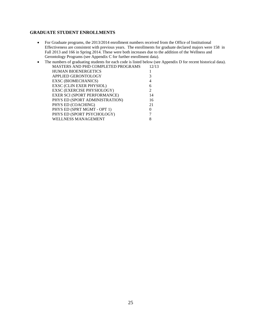#### <span id="page-24-0"></span>**GRADUATE STUDENT ENROLLMENTS**

- For Graduate programs, the 2013/2014 enrollment numbers received from the Office of Institutional Effectiveness are consistent with previous years. The enrollments for graduate declared majors were 158 in Fall 2013 and 166 in Spring 2014. These were both increases due to the addition of the Wellness and Gerontology Programs (see Appendix C for further enrollment data).
- The numbers of graduating students for each code is listed below (see Appendix D for recent historical data). MASTERS AND PHD COMPLETED PROGRAMS 12/13

| MASTERS ARD THD COMELETED FROURAINS |    |
|-------------------------------------|----|
| <b>HUMAN BIOENERGETICS</b>          |    |
| APPLIED GERONTOLOGY                 | 3  |
| <b>EXSC (BIOMECHANICS)</b>          |    |
| <b>EXSC (CLIN EXER PHYSIOL)</b>     | 6  |
| EXSC (EXERCISE PHYSIOLOGY)          |    |
| <b>EXER SCI (SPORT PERFORMANCE)</b> | 14 |
| PHYS ED (SPORT ADMINISTRATION)      | 16 |
| PHYS ED (COACHING)                  | 21 |
| PHYS ED (SPRT MGMT - OPT 1)         |    |
| PHYS ED (SPORT PSYCHOLOGY)          |    |
| WELLNESS MANAGEMENT                 |    |
|                                     |    |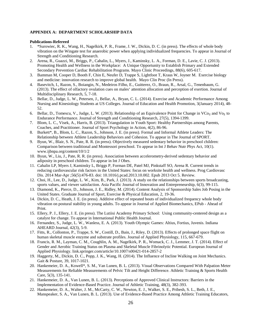#### <span id="page-25-0"></span>**APPENDIX A: DEPARTMENT SCHOLARSHIP DATA**

#### **Publications-Refereed**

- 1. \*Surowiec, R. K., Wang, H., Nagelkirk, P. R., Frame, J. W., Dickin, D. C. (in press). The effects of whole body vibration on the Wingate test for anaerobic power when applying individualized frequencies. To appear in Journal of Strength and Conditioning Research.
- 2. Arena, R., Guazzi, M., Briggs, P., Cahalin, L., Myers, J., Kaminsky, L. A., Forman, D. E., Lavie, C. J. (2013). Promoting Health and Wellness in the Workplace: A Unique Opportunity to Establish Primary and Extended Secondary Prevention Cardiac Rehabilitation Programs. Mayo Clinic Proceedings, 88(6), 605-617.
- 3. Bamman M, Cooper D, Booth F, Chin E, Neufer D, Trappe S, Lightfoot T, Kraus W, Joyner M. Exercise biology and medicine: innovation research to improve global health. Mayo Clin Proc (In Press).
- 4. Basevitch, I., Razon, S., Boiangin, N., Medeiros Filho, E., Guitterez, O., Braun, R., Arsal, G., Tenenbaum, G. (2013). The effect of olfactory ovulation cues on males' attention allocation and perception of exertion. Journal of Multidisciplinary Research, 5, 7-18.
- 5. Bellar, D., Judge, L. W., Petersen, J., Bellar, A., Bryan, C. L. (2014). Exercise and Academic Performance Among Nursing and Kinesiology Students at US Colleges. Journal of Education and Health Promotion, 3(January 2014), 48- 52.
- 6. Bellar, D., Tomescu, V., Judge, L. W. (2013). Relationship of an Equivalence Point for Change in VCo<sub>2</sub> and Vo<sub>2</sub> to Endurance Performance. Journal of Strength and Conditioning Research, 27(5), 1394-1399.
- 7. Blom, L. C., Visek, A., Harris, B. (2013). Triangulation in Youth Sport: Healthy Partnerships among Parents, Coaches, and Practitioner. Journal of Sport Psychology in Action, 4(2), 86-96.
- 8. Burkett\*, B., Blom, L. C., Razon, S., Johnson, J. E. (in press). Formal and Informal Athlete Leaders: The Relationship between Athlete Leadership Behaviors and Cohesion. To appear in The Journal of SPORT.
- 9. Byun, W., Blair, S. N., Pate, R. R. (in press). Objectively measured sedentary behavior in preschool children: Comparison between traditional and Montessori preschool. To appear in Int J Behav Nutr Phys Act, 10(1). www.ijbnpa.org/content/10/1/2
- 10. Byun, W., Liu, J., Pate, R. R. (in press). Association between accelerometry-derived sedentary behavior and adiposity in preschool children. To appear in Int J Obes.
- 11. Cahalin LP, Myers J, Kaminsky L, Briggs P, Forman DE, Patel MJ, Pinkstaff SO, Arena R. Current trends in reducing cardiovascular risk factors in the United States: focus on worksite health and wellness. Prog Cardiovasc Dis. 2014 Mar-Apr ;56(5):476-83. doi: 10.1016/j.pcad.2013.10.002. Epub 2013 Oct 5. Review.
- 12. Choi, H., Lee, D., Judge, L. W., Kim, B., Park, J. (2013). A study on the relationships between sports broadcasting, sports values, and viewer satisfaction. Asia Pacific Journal of Innovation and Entrepreneurship, 6(3), 99-115.
- 13. Diamond, K., Pierce, D., Johnson, J. E., Ridley, M. (2014). Content Analysis of Sponsorship Sales Job Posing in the United States. Graduate Journal of Sport, Exercise & Physical Education, 2, 19-36.
- 14. Dickin, D. C., Heath, J. E. (in press). Additive effect of repeated bouts of individualized frequency whole body vibration on postural stability in young adults. To appear in Journal of Applied Biomechanics, EPub - Ahead of Print.
- 15. Ellery, P. J., Ellery, J. E. (in press). The Lutiisi Academy Primary School: Using community-centered design as a catalyst for change. To appear in International Public Health Journal.
- 16. Fernandez, S., Judge, L. W., Wanless, E. A. (2013). Youth Olympic Games: Altius, Fortius, Juvenis. Indiana AHEARD Journal, 42(3), 5-9.
- 17. Fitts, R., Collonton, P., Trappe, S. W., Costill, D., Bain, J., Riley, D. (2013). Effects of prolonged space flight on human skeletal muscle enzyme and substrate profiles. Journal of Applied Physiology, 115, 667-679.
- 18. Francis, R. M., Layman, C. M., Coughlin, A. M., Nagelkirk, P. R., Womack, C. J., Lemmer, J. T. (2014). Effect of Gender and Aerobic Training Status on Plasma and Skeletal Muscle Fibrinolytic Potential. European Journal of Applied Physiology. link.springer.com/article/10.1007/s00421-014-2857-2
- 19. Haggerty, M., Dickin, D. C., Popp, J. K., Wang, H. (2014). The Influence of Incline Walking on Joint Mechanics. Gait & Posture, 39, 1017-1021.
- 20. Hankemeier, D. A., Kowell\*, S. M., Van Lunen, B. L. (2013). Visual Observations Compared With Palpation Meter Measurements for Reliable Measurements of Pelvic Tilt and Height Difference. Athletic Training & Sports Health Care, 5(3), 135-141.
- 21. Hankemeier, D. A., Van Lunen, B. L. (2013). Perceptions of Approved Clinical Instructors: Barriers in the Implementation of Evidence-Based Practice. Journal of Athletic Training, 48(3), 382-393.
- 22. Hankemeier, D. A., Walter, J. M., McCarty, C. W., Newton, E. J., Walker, S. E., Pribesh, S. L., Beth, J. E., Manspeaker, S. A., Van Lunen, B. L. (2013). Use of Evidence-Based Practice Among Athletic Training Educators,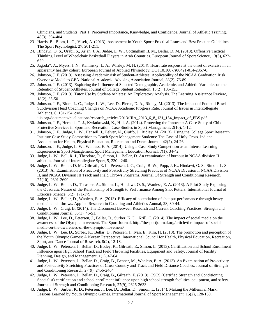Clinicians, and Students, Part 1: Perceived Importance, Knowledge, and Confidence. Journal of Athletic Training, 48(3), 394-404.

- 23. Harris, B., Blom, L. C., Visek, A. (2013). Assessment in Youth Sport: Practical Issues and Best Practice Guidelines. The Sport Psychologist, 27, 201-211.
- 24. Hindawi, O. S., Orabi, S., Arjan, J. A., Judge, L. W., Cottingham II, M., Bellar, D. M. (2013). Offensive Tactical Thinking Level of Wheelchair Basketball Players in Arab Countries. European Journal of Sport Science, 13(6), 622- 629.
- 25. Jagoda\*, A., Myers, J. N., Kaminsky, L. A., Whaley, M. H. (2014). Heart rate response at the onset of exercise in an apparently healthy cohort. European Journal of Applied Physiology, DOI 10.1007/s00421-014-2867-0.
- 26. Johnson, J. E. (2013). Assessing Academic risk of Student-Athletes: Applicability of the NCAA Graduation Risk Overview Model to GPA. National Academic Advising Association Journal, 33(2), 76-89.
- 27. Johnson, J. E. (2013). Exploring the Influence of Selected Demographic, Academic, and Athletic Variables on the Retention of Student-Athletes. Journal of College Student Retention, 15(2), 135-155.
- 28. Johnson, J. E. (2013). Tutor Use by Student-Athletes: An Exploratory Analysis. The Learning Assistance Review, 18(2), 35-50.
- 29. Johnson, J. E., Blom, L. C., Judge, L. W., Lee, D., Pierce, D. A., Ridley, M. (2013). The Impact of Football Bowl Subdivision Head Coaching Changes on NCAA Academic Progress Rate. Journal of Issues in Intercollegiate Athletics, 6, 131-154. csri-
- jiia.org/documents/puclications/research\_articles/2013/JIIA\_2013\_6\_8\_131\_154\_Impact\_of\_FBS.pdf 30. Johnson, J. E., Herniak, T. J., Kwiatkowski, K., Hill, A. (2014). Protecting the Innocent: A Case Study of Child Protective Services in Sport and Recreation. Case Studies in Sport Management, 2(10), 1-12.
- 31. Johnson, J. E., Judge, L. W., Hansell, J., Felver, N., Ciuffo, J., Ridley, M. (2013). Using the College Sport Research Institute Case Study Competition to Teach Sport Management Students: The Case of Holy Cross. Indiana Association for Health, Physical Education, Recreation and Dance Journal, 42(2), 24-26.
- 32. Johnson, J. E., Judge, L. W., Wanless, E. A. (2014). Using a Case Study Competition as an Intense Learning Experience in Sport Management. Sport Management Education Journal, 7(1), 34-42.
- 33. Judge, L. W., Bell, R. J., Theodore, R., Simon, L., Bellar, D. An examination of burnout in NCAA division II athletics. Journal of Intercolleglate Sport, 5, 230 - 240.
- 34. Judge, L. W., Bellar, D. M., Gilreath, E. L., Petersen, J. C., Craig, B. W., Popp, J. K., Hindawi, O. S., Simon, L. S. (2013). An Examination of Preactivity and Postactivity Stretching Practices of NCAA Divesion I, NCAA Division II, and NCAA Division III Track and Field Throws Programs. Journal Of Strength and Conditioning Research, 27(10), 2691-2699.
- 35. Judge, L. W., Bellar, D., Thrasher, A., Simon, L., Hindawi, O. S., Wanless, E. A. (2013). A Pilot Study Exploring the Quadratic Nature of the Relationship of Strength to Performance Among Shot Putters. International Journal of Exercise Science, 6(2), 171-179.
- 36. Judge, L. W., Bellar, D., Wanless, E. A. (2013). Efficacy of potentiation of shot put performance through heavy medicine ball throws. Applied Research in Coaching and Athletics Annual, 28, 30-44.
- 37. Judge, L. W., Craig, B. (2014). The Disconnect Between Research and Current Coaching Practices. Strength and Conditioning Journal, 36(1), 46-51.
- 38. Judge, L. W., Lee, D., Petersen, J., Bellar, D., Surber, K. D., Krill, C. (2014). The impact of social media on the awareness of the Olympic movement. The Sport Journal. http://thesportjournal.org/article/the-impact-of-socialmedia-on-the-awareness-of-the-olympic-movement/
- 39. Judge, L. W., Lee, D., Surber, K., Bellar, D., Petersen, J., Ivan, E., Kim, H. (2013). The promotion and perception of the Youth Olympic Games: A Korean Perspective. International Council for Health, Physical Education, Recreation, Sport, and Dance Journal of Research, 8(2), 12-18.
- 40. Judge, L. W., Petersen, J., Bellar, D., Bodey, K., Gilreath, E., Simon, L. (2013). Certification and School Enrollment Influence upon High School Track and Field Throwing Facilities, Equipment and Safety. Journal of Facility Planning, Design, and Management, 1(1), 47-64.
- 41. Judge, L. W., Petersen, J., Bellar, D., Craig, B., Benner, M., Wanless, E. A. (2013). An Examination of Pre-activity and Post-activity Stretching Practices of Cross Country and Track and Field Distance Coaches. Journal of Strength and Conditioning Research, 27(9), 2456-2464.
- 42. Judge, L. W., Petersen, J., Bellar, D., Craig, B., Gilreath, E. (2013). CSCS (Certified Strength and Conditioning Specialist) certification and school enrollment influence upon high school strength facilities, equipment, and safety. Journal of Strength and Conditioning Research, 27(9), 2626-2633.
- 43. Judge, L. W., Surber, K. D., Petersen, J., Lee, D., Bellar, D., Simon, L. (2014). Making the Millennial Mark: Lessons Learned by Youth Olympic Games. International Journal of Sport Management, 15(2), 128-150.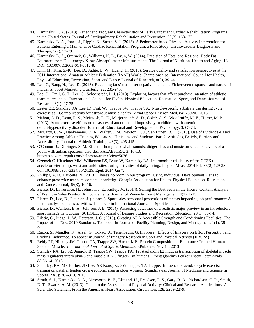- 44. Kaminsky, L. A. (2013). Patient and Program Characteristics of Early Outpatient Cardiac Rehabilitation Programs in the United States. Journal of Cardiopulmary Rehabilitation and Prevention, 33(3), 168-172.
- 45. Kaminsky, L. A., Jones, J., Riggin, K., Strath, S. J. (2013). A Pedometer-based Physical Activity Intervention for Patients Entering a Maintenance Cardiac Rehabilitation Program: a Pilot Study. Cardiovascular Diagnosis and Therapy, 3(2), 73-79.
- 46. Kaminsky, L. A., Ozemek, C., Williams, K. L., Byun, W. (2014). Precision of Total and Regional Body Fat Estimates from Dual-energy X-ray Absorptiometer Measurements. The Journal of Nutrition, Health and Aging, 18, DOI 10.1007/s12603-014-0012-8.
- 47. Kim, M., Kim, S.-K., Lee, D., Judge, L. W., Huang, H. (2013). Service quality and satisfaction perspectives at the 2011 International Amateur Athletic Federation (IAAF) World Championships. International Council for Health, Physical Education, Recreation, Sport, and Dance Journal of Research, 8(2), 39-44.
- 48. Lee, C., Bang, H., Lee, D. (2013). Regaining fans' trust after negative incidents: Fit between responses and nature of incidents. Sport Marketing Quarterly, 22, 235-245.
- 49. Lee, D., Trail, G. T., Lee, C., Schoenstedt, L. J. (2013). Exploring factors that affect purchase intention of athletic team merchandise. International Council for Health, Physical Education, Recreation, Sport, and Dance Journal of Research, 8(1), 27-35.
- 50. Lester BE, Standley RA, Lee JD, Fink WJ, Trappe SW, Trappe TA. Muscle-specific substrate use during cycle exercise at 1 G: implications for astronaut muscle health. Aviat Space Environ Med, 84: 789-96, 2013.
- 51. Mahon, A. D., Dean, R. S., McIntosh, D. E., Marjerrison\*, A. D., Cole\*, A. S., Woodruff\*, M. E., Horn\*, M. P. (2013). Acute exercise effects on measures of attention and impulsivity in children with attention deficit/hyperactivity disorder. Journal of Educational and Developmental Psychology, 3, 65-73.
- 52. McCarty, C. W., Hankemeier, D. A., Walter, J. M., Newton, E. J., Van Lunen, B. L. (2013). Use of Evidence-Based Practice Among Athletic Training Educators, Clinicians, and Students, Part 2: Attitudes, Beliefs, Barriers and Accessibility. Journal of Athletic Training, 48(3), 405-415.
- 53. O'Connor, J., Dieringer, S. M. Effect of humpback whale sounds, didgeridoo, and music on select behaviors of a youth with autism spectrum disorder. PALAESTRA, 3, 10-13. http://js.sagamorepub.com/palaestra/article/view/5036
- 54. Ozemek C, Kirschner MM, Wilkerson BS, Byun W, Kaminsky LA. Intermonitor reliability of the GT3X+ accelerometer at hip, wrist and ankle sites during activities of daily living., Physiol Meas. 2014 Feb;35(2):129-38. doi: 10.1088/0967-3334/35/2/129. Epub 2014 Jan 7.
- 55. Phillips, A. D., Faucette, N. (2013). There's no room in our program! Using Individual Development Plans to enhance preservice teachers' content knowledge. Georgia Association for Health, Physical Education, Recreation and Dance Journal, 45(3), 10-16.
- 56. Pierce, D., Lawerence, H., Johnson, J. E., Ridley, M. (2014). Selling the Best Seats in the House: Content Analysis of Premium Sales Position Announcements. Journal of Venue & Event Management, 4(2), 1-13.
- 57. Pierce, D., Lee, D., Petersen, J. (in press). Sport sales personnel perceptions of factors impacting job performance: A factor analysis of sales activities. To appear in International Journal of Sport Management.
- 58. Pierce, D., Wanless, E. A., Johnson, J. E. (2014). Assessing outcomes of a realistic major preview in an introductory sport management course. SCHOLE: A Journal of Leisure Studies and Recreation Education, 29(1), 60-74.
- 59. Piletic, C., Judge, L. W., Petersen, J. C. (2013). Creating ADA Accessible Strength and Conditioning Facilities: The Impact of the New 2010 Standards. To appear in Journal of Facility Planning, Design, and Management, 1(1), 35- 46.
- 60. Razon, S., Mandler, K., Arsal, G., Tokac, U., Tenenbaum, G. (in press). Effects of Imagery on Effort Perception and Cycling Endurance. To appear in Journal of Imagery Research in Sport and Physical Activity (JIRSPA).
- 61. Reidy PT, Hinkley JM, Trappe TA, Trappe SW, Harber MP. [Protein Composition of Endurance Trained Human](http://www.ncbi.nlm.nih.gov/pubmed/24234010)  [Skeletal Muscle.](http://www.ncbi.nlm.nih.gov/pubmed/24234010) *International Journal of Sports Medicine*, EPub date: Nov 14, 2013
- 62. Standley RA, Liu SZ, Jemiolo B, Trappe SW, Trappe TA. Prostaglandin E2 induces transcription of skeletal muscle mass regulators interleukin-6 and muscle RING finger-1 in humans. Prostaglandins Leukot Essent Fatty Acids 88:361-4, 2013.
- 63. Standley, RA, MP Harber, JD Lee, AR Konopka, SW Trappe, TA Trappe. Influence of aerobic cycle exercise training on patellar tendon cross-sectional area in older women. Scandinavian Journal of Medicine and Science in Sports 23(3): 367-373, 2013.
- 64. Strath, S. J., Kaminsky, L. A., Ainsworth, B. E., Ekeland, U., Freedson, P. S., Gary, R. A., Richardson, C. R., Smith, D. T., Swartz, A. M. (2013). Guide to the Assessment of Physical Activity: Clinical and Research Applications: A Scientific Statement From the American Heart Association. Circulation, 128, 2259-2279.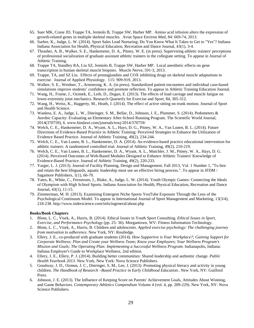- 65. Suer MK, Crane JD, Trappe TA, Jemiolo B, Trappe SW, Harber MP. Amino acid infusion alters the expression of growth-related genes in multiple skeletal muscles. Aviat Space Environ Med, 84: 669-74, 2013.
- 66. Surber, K., Judge, L. W. (2014). Sport Sales Lead Nurturing: Do You Know What It Takes to Get to "Yes"? Indiana Indiana Association for Health, Physical Education, Recreation and Dance Journal, 43(1), 3-4.
- 67. Thrasher, A. B., Walker, S. E., Hankemeier, D. A., Pitney, W. E. (in press). Supervising athletic trainers' perceptions of professional socialization of graduate assistant athletic trainers in the collegiate setting. To appear in Journal of Athletic Training.
- 68. Trappe TA, Standley RA, Liu SZ, Jemiolo B, Trappe SW, Harber MP. Local anesthetic effects on gene transcription in human skeletal muscle biopsies. Muscle Nerve, 591-3, 2013.
- 69. Trappe, TA, and SZ Liu. Effects of prostaglandins and COX inhibiting drugs on skeletal muscle adaptations to exercise. Journal of Applied Physiology. 115: 909-919, 2013.
- 70. Walker, S. E., Weidner, T., Armstrong, K. A. (in press). Standardized patient encounters and individual case-based simulations improve students' confidence and promote reflection. To appear in Athletic Training Education Journal.
- 71. Wang, H., Frame, J., Ozimek, E., Leib, D., Dugan, E. (2013). The effects of load carriage and muscle fatigue on lower-extremity joint mechanics. Research Quarterly for Exercise and Sport, 84, 305-312.
- 72. Wang, H., Weiss, K., Haggerty, M., Heath, J. (2014). The effect of active sitting on trunk motion. Journal of Sport and Health Science.
- 73. Wanless, E. A., Judge, L. W., Dieringer, S. M., Bellar, D., Johnson, J. E., Plummer, S. (2014). Pedometers & Aerobic Capacity: Evaluating an Elementary After-School Running Program. The Scientific World Journal, 2014(370759), 6. www.hindawi.com/journals/tswj/2014/370759/
- 74. Welch, C. E., Hankemeier, D. A., Wyant, A. L., Hays, D. G., Pitney, W. A., Van Lunen, B. L. (2014). Future Directions of Evidence-Based Practice in Athletic Training: Perceived Strategies to Enhance the Utilization of Evidence Based Practice. Journal of Athletic Training, 49(2), 234-244.
- 75. Welch, C. E., Van Lunen, B. L., Hankemeier, D. A. (2014). An evidence-based practice educational intervention for athletic trainers: A randomized controlled trial. Journal of Athletic Training, 49(2), 210-219.
- 76. Welch, C. E., Van Lunen, B. L., Hankemeier, D. A., Wyant, A. L., Mutchler, J. M., Pitney, W. A., Hays, D. G. (2014). Perceived Outcomes of Web-Based Modules Designed to Enhance Athletic Trainers' Knowledge of Evidence-Based Practice. Journal of Athletic Training, 49(2), 220-233.
- 77. Yarger, L. J. (2013). Journal of Facility Planning, Design and Management. Fall 2013, Vol. 1 Number 1, "To hire and retain the best lifeguards, aquatic leadership must use an effective hiring process.". To appear in JFDM / Sagamore Publishers, 1(1), 66-70.
- 78. Yates, K., White, C., Fernstrum, J., Blake, A., Judge, L. W. (2014). Youth Olympic Games: Connecting the Ideals of Olympism with High School Sports. Indiana Association for Health, Physical Education, Recreation and Dance Journal, 43(1), 11-15.
- 79. Zimmerman, M. H. (2013). Examining Emergent Niche Sports YouTube Exposure Through the Lens of the Psychological Continuum Model. To appear in International Journal of Sport Management and Marketing, 13(3/4), 218-238. http://www.inderscience.com/info/ingeneral/about.php

#### **Books/Book Chapters**

- 1. Blom, L. C., Visek, A., Harris, B. (2014). Ethical Issues in Youth Sport Consulting. *Ethical Issues in Sport, Exercise, and Performance Psychology* (pp. 25- 36). Morgantown, WV: Fitness Information Technology.
- 2. Blom, L. C., Visek, A., Harris, B. Children and adolescents. *Applied exercise psychology: The challenging journey from motivation to adherence*. New York, NY: Routledge.
- 3. Ellery, J. E., co-produced with graduate students (2014). *How Supportive is Your Workplace?; Gaining Support for Corporate Wellness; Plan and Create your Wellness Team; Know your Employees; Your Wellness Program's Mission and Goals; The Operating Plan: Implementing a Successful Wellness Program*. Indianapolis, Indiana: Indiana Employer's Guide to Workplace Wellness, 2nd edition.
- 4. Ellery, J. E., Ellery, P. J. (2014). Building better communities: Shared leadership and authentic change. *Public Health Yearbook 2013*. New York, New York: Nova Science Publishers.
- 5. Goodway, J. D., Ozmun, J. C., Dieringer, S. M., Lee, J. (2013). Promoting physical literacy and activity in young children. *The Handbook of Research –Based Practice in Early Childhood Education.*. New York, NY: Guilford Press.
- 6. Johnson, J. E. (2013). The Influence of Keeping Score on Parents' Achievement Goals, Attitudes About Winning, and Game Behaviors. *Contemporary Athletics Compendium Volume 4* (vol. 4, pp. 209-229). New York, NY: Nova Science Publishers.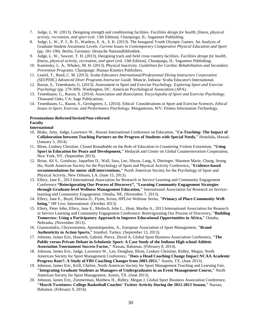- 7. Judge, L. W. (2013). Designing strength and conditioning facilities. *Facilities design for health, fitness, physical activity, recreation, and sport* (vol. 13th Edition). Champaign, IL: Sagamore Publishing.
- 8. Judge, L. W., P. J., B. D., Wanless, E. A., S. K. (2013). The Inaugural Youth Olympic Games: An Analysis of Graduate Student Awareness Levels. *Current Issues in Contemporary Comparative Physical Education and Sport* (pp. 181-190). Berlin, Germany: Deutsche Nationalbibliothek.
- 9. Judge, L. W., Sawyer, T. H. (2013). Designing track and field cross country facilities. *Facilities design for health, fitness, physical activity, recreation, and sport* (vol. 13th Edition). Champaign, IL: Sagamore Publishing.
- 10. Kaminsky, L. A., Whaley, M. H. (2013). Physical Inactivity. *Guidelines for Cardiac Rehabilitation and Secondary Prevention Programs*. Champaign: Human Kinetics Publishers.
- 11. Leaird, T., Reed, C. M. (2013). *Scuba Educators International/Professional Diving Instructors Corporation (SEI/PDIC) Advanced Diver Programs Instructor Guide*. Muncie, Indiana: Scuba Educator's International.
- 12. Razon, S., Tenenbaum, G. (2013). Assessment in Sport and Exercise Psychology. *Exploring Sport and Exercise Psychology* (pp. 279-309). Washington, DC: American Psychological Association (APA)..
- 13. Tenenbaum, G., Razon, S. (2014). Association and dissociation. *Encyclopedia of Sport and Exercise Psychology*. Thousand Oaks, CA: Sage Publications.
- 14. Tenenbaum, G., Razon, S., Gershgoren, L. (2014). Ethical Considerations in Sport and Exercise Sciences. *Ethical Issues in Sport, Exercise, and Performance Psychology*. Morgantown, WV: Fitness Information Technology.

#### **Presentations-Refereed/Invited/Non-refereed**

#### **Faculty**

#### **International**

- 10. Blake, Amy, Judge, Lawrence W., Hawaii International Conference on Education, **"Co-Teaching: The Impact of Collaboration between Teaching Partners on the Progress of Students with Special Needs,"** Honolulu, Hawaii. (January 5, 2014).
- 11. Blom, Lindsey Christine, Closed Roundtable on the Role of Education in Countering Violent Extremism, **"Using Sport in Education for Peace and Development,"** Hedayah and Center on Global Counterterrorism Cooperation, New York, NY. (September 2013).
- 12. Brian, Ali S., Goodway, Jaqueline D., Wall, Sara, Lee, Jihyun, Lang, S, Dieringer, Shannon Marie, Chang, Seung Ho, North American Society for the Psychology of Sport and Physical Activity Conference**, "Evidence-based recommendations for motor skill interventions,"** North American Society for the Psychology of Sport and Physical Activity, New Orleans, LA. (June 15, 2013).
- 13. Ellery, Jane E., 2013 International Association for Research in Service Learning and Community Engagement Conference **"Reinvigorating Our Process of Discovery", "Learning Community Engagement Strategies through Graduate-level Wellness Management Education,"** International Association for Research on Servicelearning and Community Engagement, Omaha, NE. (November 7, 2013).
- 14. Ellery, Jane E., Boyd, Delaina D., Flynn, Krista, HPLive Webinar Series, **"Primacy of Place-Community Wellbeing,"** HP Live, International. (October 2013).
- 15. Ellery, Peter John, Ellery, Jane E., Motloch, John L., Hunt, Martha A., 2013 International Association for Research in Service Learning and Community Engagement Conference: Reinvigorating Our Process of Discovery**, "Building Tomorrow: Using a Participatory Approach to Improve Educational Opportunities in Africa,"** Omaha, Nebraska. (November 2013).
- 16. Giannoulakis, Chrysostomos, Apostolopoulou, A., European Association of Sport Management, **"Brand Authenticity in Action Sports,"** Istanbul, Turkey. (September 13, 2013).
- 17. Johnson, James Eric, Haworth, Gabriel, Pierce, David A, Global Sport Business Association Conference, **"The Public versus Private Debate in Scholastic Sport: A Case Study of the Indiana High school Athletic Association Tournament Success Factor,"** Nassau, Bahamas. (February 8, 2014).
- 18. Johnson, James Eric, Judge, Lawrence W., Lee, Donghun, Blom, Lindsey Christine, Ridley, Megan, North American Society for Sport Management Conference, **"Does a Head Coaching Change Impact NCAA Academic Progress Rate?: A Study of FBS Coaching Changes from 2003-2011,"** Austin, TX. (June 2013).
- 19. Johnson, James Eric, Krill, Chelsie, North American Society for Sport Management Teaching and Learning Fair, **"Integrating Graduate Students as Managers of Undergraduates in an Event Management Course,"** North American Society for Sport Management, Austin, TX. (June 2013).
- 20. Johnson, James Eric, Zimmerman, Matthew H., Ridley, Megan J, Global Sport Business Association Conference, **"March Tweetness: College Basketball Coaches' Twitter Activity During the 2012-2013 Season,"** Nassau, Bahamas. (February 9, 2014).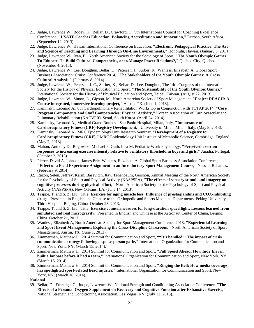- 21. Judge, Lawrence W., Bodey, K., Bellar, D., Crawford, T., 9th International Council for Coaching Excellence Conference, **"USATF Coaches Education: Balancing Accreditation and Innovation,"** Durban, South Africa. (September 12, 2013).
- 22. Judge, Lawrence W., Hawaii International Conference on Education, **"Electronic Pedagogical Practice: The Art and Science of Teaching and Learning Through On-Line Environments,"** Honolulu, Hawaii. (January 5, 2014).
- 23. Judge, Lawrence W., Ivan, E., North American Society for the Sociology of Sport, **"The Youth Olympic Games: To Educate, To Build Cultural Competencies, or to Manage Power Relations?,"** Quebec City, Quebec. (November 4, 2013).
- 24. Judge, Lawrence W., Lee, Donghun, Bellar, D., Petersen, J., Surber, K., Wanless, Elizabeth A, Global Sport Business Association: Cruise Conference 2014**, "The Stakeholders of the Youth Olympic Games: A Cross Cultural Analysis."** (February 8, 2014).
- 25. Judge, Lawrence W., Petersen, J. C., Surber, K., Bellar, D., Lee, Donghun, The 14th Congress of the International Society for the History of Physical Education and Sport, **"The Sustainability of the Youth Olympic Games,"**  International Society for the History of Physical Education and Sport, Taipei, Taiwan. (August 22, 2013).
- 26. Judge, Lawrence W., Simon, L., Gipson, M., North Amercian Society of Sport Management, **"Project REACH: A Course integrated, immersive learning project,"** Austin, TX. (June 1, 2013).
- 27. Kaminsky, Leonard A., 8th Cardiopulmonary Rehabilitation Workshop in Conjunction with TCTAP 2014, **"Core Program Components and Staff Competencies: Physical Activity,"** Korean Association of Cardiovascular and Pulmonary Rehabilitation (KACVPR), Seoul, South Korea. (April 24, 2014).
- 28. Kaminsky, Leonard A., Medical Grand Rounds San Paolo Hospital, Milan, Italy, **"Importance of Cardiorespiratory Fitness (CRF)-Registry Development,"** University of Milan, Milan, Italy. (May 8, 2013).
- 29. Kaminsky, Leonard A., MRC Epidemiology Unit Research Seminar, **"Development of a Registry for Cardiorespiratory Fitness (CRF),"** MRC Epidemiology Unit Institute of Metabolic Science, Cambridge, England. (May 2, 2013).
- 30. Mahon, Anthony D., Rogowski, Michael P, Guth, Lisa M, Pediatric Work Physiology, **"Perceived exertion responses to increasing exercise intensity relative to ventilatory threshold in boys and girls,"** Anadia, Portugal. (October 2, 2013).
- 31. Pierce, David A, Johnson, James Eric, Wanless, Elizabeth A, Global Sport Business Association Conference**, "Effect of a Field Experience Assignment in an Introductory Sport Management Course,"** Nassau, Bahamas. (February 9, 2014).
- 32. Razon, Selen, Jeffrey, Karin, Basevitch, Itay, Tenenbaum, Gershon, Annual Meeting of the North American Society for the Psychology of Sport and Physical Activity (NASPSPA), **"The effects of sensory stimuli and imagery on cognitive processes during physical effort,"** North American Society for the Psychology of Sport and Physical Activity (NASPSPA), New Orleans, LA. (June 14, 2013).
- 33. Trappe, T. and S. Z. Liu. Title: **Exercise for aging muscle loss: Influence of prostaglandins and COX-inhibiting drugs**. Presented in English and Chinese to the Orthopedic and Sports Medicine Departments, Peking University Third Hospital, Beijing, China October 23, 2013.
- 34. Trappe, T. and S. Z. Liu. Title: **Exercise countermeasures for long-duration spaceflight: Lessons learned from simulated and real microgravity.** Presented in English and Chinese at the Astronaut Center of China, Beijing, China October 21, 2013.
- 35. Wanless, Elizabeth A, North American Society for Sport Management Conference 2013, **"Experiential Learning and Sport Event Management: Exploring the Cross-Discipline Classroom,"** North American Society of Sport Management, Austin, TX. (June 1, 2013).
- 36. Zimmerman, Matthew H., 2014 Summit for Communication and Sport, **""It's handled": The impact of crisis communication strategy following a spokesperson gaffe,"** International Organization for Communication and Sport, New York, NY. (March 15, 2014).
- 37. Zimmerman, Matthew H., 2014 Summit for Communication and Sport, **"Full Speed Ahead: How Indy Eleven built a fanbase before it had a team,"** International Organization for Communication and Sport, New York, NY. (March 16, 2014).
- 38. Zimmerman, Matthew H., 2014 Summit for Communication and Sport, **"Ringing the Bell: How media coverage has spotlighted sport-related head injuries,"** International Organization for Communication and Sport, New York, NY. (March 16, 2014).
- **National**
- 39. Bellar, D., Ethredge, C., Judge, Lawrence W., National Strength and Conditioning Association Conference, **"The Effects of a Personal Oxygen Supplement on Recovery and Cognitive Function after Exhaustive Exercise,"** National Strength and Conditioning Association, Las Vegas, NV. (July 12, 2013).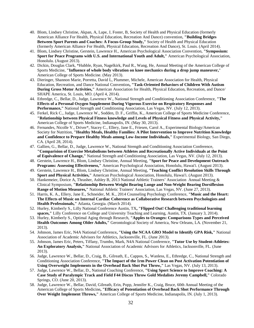- 40. Blom, Lindsey Christine, Akpan, A, Lape, J, Foster, B, Society of Health and Physical Education (formerly American Alliance For Health, Physical Education, Recreation And Dance) convention, **"Building Bridges Between Sport Parents and Coaches: A Focus-Group Study,"** Society of Health and Physical Education (formerly American Alliance For Health, Physical Education, Recreation And Dance), St. Louis. (April 2014).
- 41. Blom, Lindsey Christine, Gerstein, Lawrence H., American Psychological Association Convention, **"Symposium: Sport for Peace Programs with U.S. and International Youth and Adult,"** American Psychological Association, Honolulu. (August 2013).
- 42. Dickin, Douglas Clark, \*Hubble, Ryan, Nagelkirk, Paul R., Wang, He, Annual Meeting of the American College of Sports Medicine, **"Influence of whole body vibration on knee mechanics during a drop jump maneuver,**" American College of Sports Medicine. (May 2013).
- 43. Dieringer, Shannon Marie, Porretta, David L, Plummer, Michele, American Association for Health, Physical Education, Recreation, and Dance National Convention**, "Task-Oriented Behaviors of Children With Autism During Gross Motor Activities,"** American Association for Health, Physical Education, Recreation, and Dance/ SHAPE America, St. Louis, MO. (April 4, 2014).
- 44. Ethredge, C., Bellar, D., Judge, Lawrence W., National Strength and Conditioning Association Conference, **"The Effects of a Personal Oxygen Supplement During Vigorous Exercise on Respiratory Responses and Performance,"** National Strength and Conditioning Association, Las Vegas, NV. (July 12, 2013).
- 45. Ferkel, Rick C., Judge, Lawrence W., Sodden, D. F., Griffin, K., American College of Sports Medicine Conference, **"Relationship between Physical Fitness knowledge and Levels of Physical Fitness and Physical Activity,"** American College of Sports Medicine, Indianapolis, IN. (May 30, 2013).
- 46. Fernandes, Nicolle V., Driver\*, Stacey C., Ellery, Jane E., Friesen, Carol A., Experimental Biology/American Society for Nutrition, **"Healthy Meals, Healthy Families: A Pilot Intervention to Improve Nutrition Knowledge and Confidence to Prepare Healthy Meals among Low-Income Individuals,"** Experimental Biology, San Diego, CA. (April 28, 2014).
- 47. Gallien, G., Bellar, D., Judge, Lawrence W., National Strength and Conditioning Association Conference, **"Comparision of Exercise Metabolisms between Athletes and Recreationally Active Individuals at the Point of Equivalence of Change,"** National Strength and Conditioning Association, Las Vegas, NV. (July 12, 2013).
- 48. Gerstein, Lawrence H., Blom, Lindsey Christine, Annual Meeting, **"Sport for Peace and Development Outreach Programs: Assessing Effectiveness,"** American Psychological Association, Honolulu, Hawai'i. (August 2013).
- 49. Gerstein, Lawrence H., Blom, Lindsey Christine, Annual Meeting, **"Teaching Conflict Resolution Skills Through Sport and Physical Activities,"** American Psychological Association, Honolulu, Hawai'i. (August 2013).
- 50. Hankemeier, Dorice A, Thrasher, Ashley B, 2013 National Athletic Trainers' Association Annual Meeting & Clinical Symposium, **"Relationship Between Weight Bearing Lunge and Non-Weight Bearing Dorsiflexion Range of Motion Measures,"** National Athletic Trainers' Association, Las Vegas, NV. (June 27, 2013).
- 51. Harris, K. A., Ellery, Jane E., Schneider, M. K., 2014 Counseling Psychology Conference, **"Music and the Heart: The Effects of Music on Internal Cardiac Coherence as Collaborative Research between Psychologists and Health Professionals,"** Atlanta, Georgia. (March 2014).
- 52. Hurley, Kimberly S., Lilly National Conference Austin, TX**, "Flipped Out! Challenging traditional learning spaces,"** Lilly Conference on College and University Teaching and Learning, Austin, TX. (January 3, 2014).
- 53. Hurley, Kimberly S., Optimal Aging through Research, **"Apples to Oranges: Comparisons Types and Perceived Health Outcomes Among Older Adults,"** Gerontological Society of America, New Orleans, LA. (November 21, 2013).
- 54. Johnson, James Eric, N4A National Conference**, "Using the NCAA GRO Model to Identify GPA Risk,"** National Association of Academic Advisors for Athletics, Jacksonville, FL. (June 2013).
- 55. Johnson, James Eric, Peters, Tiffany, Trumbo, Mark, N4A National Conference, **"Tutor Use by Student-Athletes: An Exploratory Analysis,"** National Association of Academic Advisors for Athletics, Jacksonville, FL. (June 2013).
- 56. Judge, Lawrence W., Bellar, D., Craig, B., Gilreath, E., Cappos, S., Wanless, E., Ethredge, C., National Strength and Conditioning Association Conference, **"The Impact of the 1rm Power Clean on Post Activation Potentiation of Using Overweight Implements in the Overhead Back Shot Put Throw,"** Las Vegas, NV. (July 13, 2013).
- 57. Judge, Lawrence W., Bellar, D., National Coaching Conference, **"Using Sport Science to Improve Coaching: A Case Study of Paralympic Track and Field F44 Discus Throw Gold Medalists Jeremy Campbell,"** Colorado Springs, CO. (June 20, 2013).
- 58. Judge, Lawrence W., Bellar, David, Gilreath, Erin, Popp, Jennifer K., Craig, Bruce, 60th Annual Meeting of the American College of Sports Medicine**, "Efficacy of Potentiation of Overhead Back Shot Performance Through Over Weight Implement Throws,"** American College of Sports Medicine, Indianapolis, IN. (July 1, 2013).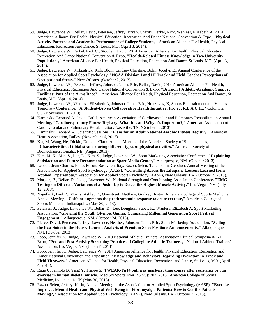- 59. Judge, Lawrence W., Bellar, David, Petersen, Jeffrey, Bryan, Charity, Ferkel, Rick, Wanless, Elizabeth A, 2014 American Alliance For Health, Physical Education, Recreation And Dance National Convention & Expo, **"Physical Activity Patterns and Academics Performance of College Students,"** American Alliance For Health, Physical Education, Recreation And Dance, St Louis, MO. (April 3, 2014).
- 60. Judge, Lawrence W., Ferkel, Rick C., Stodden, David, 2014 American Alliance For Health, Physical Education, Recreation And Dance National Convention & Expo, **"Health-Related Fitness Knowledge in Two University Populations,"** American Alliance For Health, Physical Education, Recreation And Dance, St Louis, MO. (April 3, 2014).
- 61. Judge, Lawrence W., Kirkpatrick, Kirk, Blom, Lindsey Christine, Bolin, Jocelyn E., Annual Conference of the Association for Applied Sport Psychology**, "NCAA Division I and III Track and Field Coaches Perceptions of Occupational Stress,"** New Orleans. (October 2, 2013).
- 62. Judge, Lawrence W., Petersen, Jeffrey, Johnson, James Eric, Bellar, David, 2014 American Alliance For Health, Physical Education, Recreation And Dance National Convention & Expo, **"Division I Athletic-Academic Support Facilities: Part of the Arms Race?,"** American Alliance For Health, Physical Education, Recreation And Dance, St Louis, MO. (April 4, 2014).
- 63. Judge, Lawrence W., Wanless, Elizabeth A, Johnson, James Eric, Holtzclaw, K, Sports Entertainment and Venues Tomorrow Conference, **"A Student-Driven Collaborative Health Initiative: Project R.E.A.C.H.."** Columbia, SC. (November 21, 2013).
- 64. Kaminsky, Leonard A., lavie, Carl J, American Association of Cardiovascular and Pulmonary Rehabilitation Annual Meeting**, "Cardiorespiratory Fitness Registry: What it is and Why it's Important?,"** American Association of Cardiovascular and Pulmonary Rehabilitation, Nashville, TN. (October 4, 2013).
- 65. Kaminsky, Leonard A., Scientific Sessions, **"Plans for an Adult National Aerobic Fitness Registry,"** American Heart Association, Dallas. (November 16, 2013).
- 66. Kia, M, Wang, He, Dickin, Douglas Clark, Annual Meeting of the American Society of Biomechanics, **"Characteristics of tibial strains during different types of physical activities,"** American Society of Biomechanics, Omaha, NE. (August 2013).
- 67. Kim, M. K., Min, S., Lee, D., Kim, S., Judge, Lawrence W., Sport Marketing Association Conference, **"Explaining Satisfaction and Future Recommendation at Sport Media Center,"** Albuquerque, NM. (October 2013).
- 68. Lebeau, Jean-Charles, Filho, Edson, Basevitch, Itay, Razon, Selen, Tenenbaum, Gershon, Annual Meeting of the Association for Applied Sport Psychology (AASP), **"Consulting Across the Lifespan: Lessons Learned from Applied Experiences,"** Association for Applied Sport Psychology (AASP), New Orleans, LA. (October 2, 2013).
- 69. Morgan, B., Bellar, D., Judge, Lawrence W., National Strength and Conditioning Association Conference**, "EMG Testing on Different Variations of a Push - Up to Detect the Highest Muscle Activity,"** Las Vegas, NV. (July 12, 2013).
- 70. Nagelkirk, Paul R., Morris, Ashley E., Overstreet, Matthew, Guilkey, Justin, American College of Sports Medicine Annual Meeting, **"Caffeine augments the prothrombotic response to acute exercise,"** American College of Sports Medicine, Indianapolis. (May 30, 2013).
- 71. Petersen, J., Judge, Lawrence W., Bellar, D., Lee, Donghun, Suber, K., Wanless, Elizabeth A, Sport Marketing Association, **"Growing the Youth Olympic Games: Comparing Millennial Generation Sport Festival Engagement,"** Albuquerque, NM. (October 24, 2013).
- 72. Pierce, David, Petersen, Jeffrey, Lawrence, Heather, Johnson, James Eric, Sport Marketing Association**, "Selling the Best Suites in the House: Content Analysis of Premium Sales Positions Announcements,"** Albuquerque, NM. (October 2013).
- 73. Popp, Jennifer K., Judge, Lawrence W., 2013 National Athletic Trainers' Association Clinical Symposia & AT Expo, **"Pre- and Post-Activity Stretching Practices of Collegiate Athletic Trainers.,"** National Athletic Trainers' Association, Las Vegas, NV. (June 27, 2013).
- 74. Popp, Jennifer K., Judge, Lawrence W., 2014 American Alliance for Health, Physical Education, Recreation and Dance National Convention and Exposition, **"Knowledge and Behaviors Regarding Hydration in Track and Field Throwers,"** American Alliance for Health, Physical Education, Recreation, and Dance, St. Louis, MO. (April 4, 2014).
- 75. Raue U, Jemiolo B, Yang Y, Trappe S. **TWEAK-Fn14 pathway markers: time course after resistance or run exercise in human skeletal muscle.** Med Sci Sports Exer, 45(5S): 302, 2013. American College of Sports Medicine, Indianapolis, IN (May 30, 2013).
- 76. Razon, Selen, Jeffrey, Karin, Annual Meeting of the Association for Applied Sport Psychology (AASP), **"Exercise Improves Mental Health and Physical Well-Being in Fibromyalgia Patients: How to Get the Patients Moving?,"** Association for Applied Sport Psychology (AASP), New Orleans, LA. (October 3, 2013).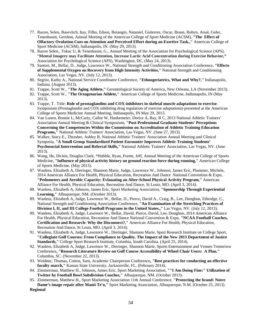- 77. Razon, Selen, Basevitch, Itay, Filho, Edson, Boiangin, Nataniel, Guiterrez, Oscar, Braun, Robyn, Arsal, Guler, Tenenbaum, Gershon, Annual Meeting of the American College of Sport Medicine (ACSM), **"The Effect of Olfactory Ovulation Cues on Attention and Perceived Effort during an Exertive Task.,"** American College of Sport Medicine (ACSM), Indianapolis, IN. (May 29, 2013).
- 78. Razon Selen., Tokac U, & Tenenbaum, G., Annual Meeting of the Association for Psychological Science (APS), "**Mental Imagery may Facilitate Attention, Increase Lactic Acid Concentration during Exercise Behavior,"**  Association for Psychological Science (APS), Washington, DC, (May 24, 2013).
- 79. Santori, M., Bellar, D., Judge, Lawrence W., National Strength and Conditioning Association Conference, **"Effects of Supplemental Oxygen on Recovery from High Intensity Activities,"** National Strength and Conditioning Association, Las Vegas, NV. (July 12, 2013).
- 80. Segrist, Kathy A., National Service Coordinator Conference, **"Ethnogeriatrics, What and Why?,"** Indianapolis, Indiana. (August 2013).
- 81. Trappe, Scott W., **"The Aging Athlete,"** Gerontological Society of America, New Orleans, LA (November 2013).
- 82. Trappe, Scott W., **"The Octogenarian Athlete,"** American College of Sports Medicine, Indianapolis, IN (May 2013).
- 83. Trappe, T. Title: **Role of prostaglandins and COX-inhibitors in skeletal muscle adaptations to exercise**. Symposium (Prostaglandin and COX inhibiting drug regulation of exercise adaptations) presented at the American College of Sports Medicine Annual Meeting, Indianapolis, IN May 29, 2013.
- 84. Van Lunen, Bonnie L, McCarty, Cailee W, Hankemeier, Dorice A, Bay, R C, 2013 National Athletic Trainers' Association Annual Meeting & Clinical Symposium, **"Post-Professional Graduate Students' Perceptions Concerning the Competencies Within the Commission on Accreditation of Athletic Training Education Programs,"** National Athletic Trainers' Association, Las Vegas, NV. (June 27, 2013).
- 85. Walker, Stacy E., Thrasher, Ashley B, National Athletic Trainers' Association Annual Meeting and Clinical Symposia, **"A Small Group Standardized Patient Encounter Improves Athletic Training Students' Psychosocial Intervention and Referral Skills,"** National Athletic Trainers' Association, Las Vegas, NV. (June 2013).
- 86. Wang, He, Dickin, Douglas Clark, \*Hubble, Ryan, Frame, Jeff, Annual Meeting of the American College of Sports Medicine, **"Influence of physical activity history on ground reaction force during running,"** American College of Sports Medicine. (May 2013).
- 87. Wanless, Elizabeth A, Dieringer, Shannon Marie, Judge, Lawrence W., Johnson, James Eric, Plummer, Michele, 2014 American Alliance For Health, Physical Education, Recreation And Dance National Convention & Expo, **"Pedometers and Aerobic Capacity: Evlauating an After-School Physical Activity Program,"** American Alliance For Health, Physical Education, Recreation And Dance, St Louis, MO. (April 3, 2014).
- 88. Wanless, Elizabeth A, Johnson, James Eric, Sport Marketing Association, **"Sponsorship Through Experiential Learning,"** Albuquerque, NM. (October 2013).
- 89. Wanless, Elizabeth A, Judge, Lawrence W., Bellar, D., Pierce, David A., Craig, B., Lee, Donghun, Ethredge, C., National Strength and Conditioning Association Conference, **"An Examination of the Stretching Practices of Division I, II, and III College Football Programs in the United States.,"** Las Vegas, NV. (July 12, 2013).
- 90. Wanless, Elizabeth A, Judge, Lawrence W., Bellar, David, Pierce, David, Lee, Donghun, 2014 American Alliance For Health, Physical Education, Recreation And Dance National Convention & Expo, **"NCAA Football Coaches, Certification and Research: Why the Disconnect?,"** American Alliance For Health, Physical Education, Recreation And Dance, St Louis, MO. (April 3, 2014).
- 91. Wanless, Elizabeth A, Judge, Lawrence W., Dieringer, Shannon Marie, Sport Research Institute on College Sport, **"Collegiate Golf Courses: From Compliance to Quality. The Impact of the New 2013 Department of Justice Standards,"** College Sport Research Institute, Colunbia, South Carolina. (April 25, 2014).
- 92. Wanless, Elizabeth A, Judge, Lawrence W., Dieringer, Shannon Marie, Sports Entertainment and Venues Tomorrow Conference**, "Research Literature Review on Golf Course Accessibility of Wheel Chair Users: A Plan."** Columbia, SC. (November 22, 2013).
- 93. Weidner, Thomas, Cotton, Sam, Academic Chairperson Conference**, "Best practices for conducting an effective faculty search,"** Kansas State University, Jacksonville, FL. (February 2014).
- 94. Zimmerman, Matthew H., Johnson, James Eric, Sport Marketing Association, **""I Am Doing Fine:" Utilization of Twitter by Football Bowl Subdivision Coaches,"** Albuquerque, NM. (October 2013).
- 95. Zimmerman, Matthew H., Sport Marketing Association 11th Annual Conference, **"Protecting the brand: Notre Dame's image repair after Manti Te'o,"** Sport Marketing Association, Albuquerque, N.M. (October 25, 2013). **Regional**

34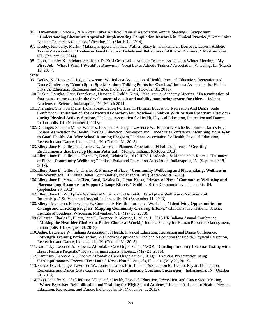- 96. Hankemeier, Dorice A, 2014 Great Lakes Athletic Trainers' Association Annual Meeting & Symposium, **"Understanding Literature Appraisal: Implementing Compilation Research in Clinical Practice,"** Great Lakes Athletic Trainers' Association, Wheeling, IL. (March 14, 2014).
- 97. Keeley, Kimberly, Martin, Malissa, Kappert, Thomas, Walker, Stacy E., Hankemeier, Dorice A, Eastern Athletic Trainers' Association, **"Evidence-Based Practice: Beliefs and Behaviors of Athletic Trainers',"** Mashantucket, CT. (January 11, 2014).
- 98. Popp, Jennifer K., Stichter, Stephanie D, 2014 Great Lakes Athletic Trainers' Association Winter Meeting, **"My First Job: What I Wish I Would've Known...,"** Great Lakes Athletic Trainers' Association, Wheeling, IL. (March 13, 2014).
- **State**
- 99. Bodey, K., Hoover, J., Judge, Lawrence W., Indiana Association of Health, Physical Education, Recreation and Dance Conference, "**Youth Sport Specialization: Talking Points for Coaches**," Indiana Association for Health, Physical Education, Recreation and Dance, Indianapolis, IN. (October 31, 2013).
- 100.Dickin, Douglas Clark, Francksen\*, Natasha C, Dahl\*, Kimi, 129th Annual Academy Meeting, **"Determination of foot pressure measures in the development of a gait and mobility monitoring system for elders,"** Indiana Academy of Science, Indianapolis, IN. (March 2014).
- 101.Dieringer, Shannon Marie, Indiana Association For Health, Physical Education, Recreation And Dance State Conference**, "Initiation of Task-Oriented Behaviors for Preschool Children With Autism Spectrum Disorders during Physical Activity Sessions,"** Indiana Association for Health, Physical Education, Recreation and Dance, Indianapolis, IN. (November 1, 2013).
- 102.Dieringer, Shannon Marie, Wanless, Elizabeth A, Judge, Lawrence W., Plummer, Michelle, Johnson, James Eric, Indiana Association for Health, Physical Education, Recreation and Dance State Conference**, "Running Your Way to Good Health: An After School Running Program,"** Indiana Association for Health, Physical Education, Recreation and Dance, Indianapolis, IN. (October 31, 2013).
- 103.Ellery, Jane E., Gillespie, Charles. R., American Planners Association IN Fall Conference**, "Creating Environments that Develop Human Potential,"** Muncie, Indiana. (October 2013).
- 104.Ellery, Jane E., Gillespie, Charles R, Boyd, Delaina D., 2013 IPRA Leadership & Membership Retreat**, "Primacy of Place - Community Wellbeing,"** Indiana Parks and Recreation Association, Indianapolis, IN. (September 18, 2013).
- 105.Ellery, Jane E., Gillespie, Charles R, Primacy of Place**, "Community Wellbeing and Placemaking: Wellness in the Workplace,"** Building Better Communities, Indianapolis, IN. (September 20, 2013).
- 106.Ellery, Jane E., Vrazel, JoEllen, Boyd, Delaina D., Flynn, Krista, Primacy of Place, **"Community Wellbeing and Placemaking: Resources to Support Change Efforts,"** Building Better Communities, Indianapolis, IN. (September 20, 2013).
- 107.Ellery, Jane E., Workplace Wellness at St. Vincent's Hospital, **"Workplace Wellness - Practices and Internships,"** St. Vincent's Hospital, Indianapolis, IN. (September 11, 2013).
- 108.Ellery, Peter John, Ellery, Jane E., Community Health Informatics Workshop, **"Identifying Opportunities for Change and Tracking Progress: Mapping Community Clean-up Efforts,"** Clinical & Translational Science Institute of Southeast Wisconsin, Milwaukee, WI. (May 30, 2013).
- 109.Gillespie, Charles R, Ellery, Jane E., Brenner, B, Werner, L, Allen, L, 2013 HR Indiana Annual Conference**, "Making the Healthier Choice the Easier Choice at Work!,"** Indiana Society for Human Resource Management, Indianapolis, IN. (August 30, 2013).
- 110.Judge, Lawrence W., Indiana Association of Health, Physical Education, Recreation and Dance Conference, **"Strength Training Periodization: A Practical Approach,"** Indiana Association for Health, Physical Education, Recreation and Dance, Indianapolis, IN. (October 31, 2013).
- 111.Kaminsky, Leonard A., Phoenix Affordable Care Organization (ACO), **"Cardiopulmonary Exercise Testing with Heart Failure Patients,"** Kowa Pharmaceuticals, Phoenix. (May 21, 2013).
- 112.Kaminsky, Leonard A., Phoenix Affordable Care Organization (ACO), **"Exercise Prescription using Cardiopulmonary Exercise Test Data,"** Kowa Pharmaceuticals, Phoenix. (May 21, 2013).
- 113.Pierce, David, Judge, Lawrence W., Johnson, James Eric, Indiana Association for Health, Physical Education, Recreation and Dance State Conference, **"Factors Influencing Coaching Succession,"** Indianapolis, IN. (October 31, 2013).
- 114.Popp, Jennifer K., 2013 Indiana Alliance for Health, Physical Education, Recreation, and Dance State Meeting, **"Water Exercise: Rehabilitation and Training for High School Athletes,"** Indiana Alliance for Health, Physical Education, Recreation, and Dance, Indianapolis, IN. (November 1, 2013).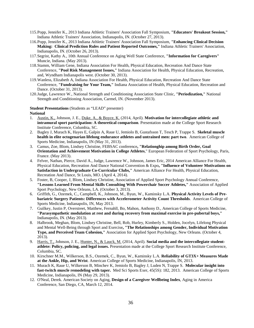- 115.Popp, Jennifer K., 2013 Indiana Athletic Trainers' Association Fall Symposium, **"Educators' Breakout Session,"** Indiana Athletic Trainers' Association, Indianapolis, IN. (October 27, 2013).
- 116.Popp, Jennifer K., 2013 Indiana Athletic Trainers' Association Fall Symposium, **"Enhancing Clinical Decision Making: Clinical Prediction Rules and Patient Reported Outcomes,"** Indiana Athletic Trainers' Association, Indianapolis, IN. (October 26, 2013).
- 117.Segrist, Kathy A., 10th Annual Conference on Aging Well State Conference, **"Information for Caregivers"** Muncie, Indiana. (May 2013).
- 118.Stamm, William Gene, Indiana Association For Health, Physical Education, Recreation And Dance State Conference, **"Pool Risk Management Issues,"** Indiana Association for Health, Physical Education, Recreation, and, Wyndham Indianapolis west. (October 30, 2013).
- 119.Wanless, Elizabeth A, Indiana Association For Health, Physical Education, Recreation And Dance State Conference, **"Fundraising for Your Team,"** Indiana Association of Health, Physical Education, Recreation and Dance. (October 31, 2013).
- 120.Judge, Lawrence W., National Strength and Conditioning Association State Clinic, **"Periodization,"** National Strength and Conditioning Association, Carmel, IN. (November 2013).

#### **Student Presentations** (Students as "LEAD" presenter) **National**

- 1. Austin, K., Johnson, J. E., Duke, A., & Boyce, K. (2014, April). **Motivation for intercollegiate athletic and intramural sport participation: A theoretical comparison***.* Presentation made at the College Sport Research Institute Conference, Columbia, SC.
- 2. Bagley J, Murach K, Hayes E, Galpin A, Raue U, Jemiolo B, Gustafsson T, Tesch P, Trappe S. **Skeletal muscle health in elite octogenarian lifelong endurance athletes and untrained men: part two**. American College of Sports Medicine, Indianapolis, IN (May 31, 2013).
- 3. Camus, Zoe, Blom, Lindsey Christine, FEBSAC conference**, "Relationghip among Birth Order, Goal Orientation and Achievement Motivation in College Athletes**," European Federation of Sport Psychology, Paris, France. (May 2013).
- 4. Felver, Nathan, Pierce, David A., Judge, Lawrence W., Johnson, James Eric, 2014 American Alliance For Health, Physical Education, Recreation And Dance National Convention & Expo**, "Influence of Volunteer Motivations on Satisfaction in Undergraduate Co-Curricular Clubs,"** American Alliance For Health, Physical Education, Recreation And Dance, St Louis, MO. (April 4, 2014).
- 5. Foster, B, Cooper, J, Blom, Lindsey Christine, Association of Applied Sport Psychology Annual Conference, **"Lessons Learned From Mental Skills Consulting With Powerchair Soccer Athletes,"** Association of Applied Sport Psychology, New Orleans, LA. (October 3, 2013).
- 6. Griffith, G., Ozemek, C., Campbell, K., Johnson, M., Byun, W., Kaminsky L.A. **Physical Activity Levels of Prebariatric Surgery Patients: Differences with Accelerometer Activity Count Thresholds**. American College of Sports Medicine, Indianapolis, IN, May 2013.
- 7. Guilkey, Justin P, Overstreet, Matthew, Fernahll, Bo, Mahon, Anthony D., American College of Sports Medicine, **"Parasympathetic modulation at rest and during recovery from maximal exercise in pre-pubertal boys,"**  Indianapolis, IN. (May 2013).
- 8. Halbrook, Meghan, Blom, Lindsey Christine, Bell, Rob, Hurley, Kimberly S., Holden, Jocelyn, Lifelong Physical and Mental Well-Being through Sport and Exercise**, "The Relationships among Gender, Individual Motivation Type, and Perceived Team Cohesion,"** Association for Applied Sport Psychology, New Orleans. (October 4, 2013).
- 9. Harris, T., Johnson, J. E., Hunter, N., & Lauck, M. (2014, April). **Social media and the intercollegiate studentathlete: Policy, policing, and legal issues.** Presentation made at the College Sport Research Institute Conference, Columbia, SC.
- 10. Kirschner M.M., Wilkerson, B.S., Ozemek, C., Byun, W., Kaminsky L.A. **Reliability of GT3X+ Measures Made at the Ankle, Hip, and Wrist**. American College of Sports Medicine, Indianapolis, IN, 2013.
- 11. Murach K, Raue U, Wilkerson B, Minchev K, Jemiolo B, Bagley J, Luden N, Trappe S. **Molecular insight into fast-twitch muscle remodeling with taper.** Med Sci Sports Exer, 45(5S): 182, 2013. American College of Sports Medicine, Indianapolis, IN (May 29, 2013).
- 12. O'Neal, Derek. American Society on Aging, **Design of a Caregiver Wellbeing Index**, Aging in America Conference, San Diego, CA, March 12, 2014.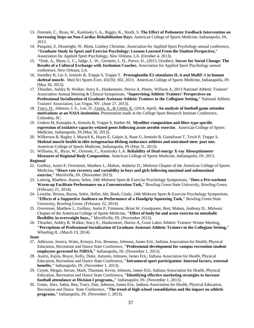- 13. Ozemek, C., Byun, W., Kaminsky L.A., Riggin, K., Strath, S. **The Effect of Pedometer Feedback Intervention on Increasing Steps on Non-Cardiac Rehabilitation Days**. American College of Sports Medicine, Indianapolis, IN, 2013.
- 14. Pasquini, E, Drumright, W, Blom, Lindsey Christine, Association for Applied Sport Psychology annual conference**, "Graduate Study In Sport and Exercise Psychology: Lessons Learned From the Student Perspective,"** Association for Applied Sport Psychology, New Orleans, LA. (October 4, 2013).
- 15. \*Sink, A., Blom, L. C.**,** Judge, L. W., Gerstein, L. H., Pierce, D., (2013, October). **Soccer for Social Change: The Results of a Cultural Exchange with Jordanian Coaches.** Association for Applied Sport Psychology annual conference, New Orleans, LA.
- 16. Standley R, Liu S, Jemiolo B, Trappe S, Trappe T. **Prostaglandin E2 stimulates IL-6 and MuRF-1 in human skeletal muscle.** Med Sci Sports Exer, 45(5S): 302, 2013. American College of Sports Medicine, Indianapolis, IN (May 30, 2013).
- 17. Thrasher, Ashley B, Walker, Stacy E., Hankemeier, Dorice A, Pitney, William A, 2013 National Athletic Trainers' Association Annual Meeting & Clinical Symposium, **"Supervising Athletic Trainers' Perspectives on Professional Socialization of Graduate Assistant Athletic Trainers in the Collegiate Setting,"** National Athletic Trainers' Association, Las Vegas, NV. (June 27, 2013).
- 18. Tracy, D., Johnson, J. E., Lee, D., Goins, A., & Cretin, K. (2014, April). **An analysis of football game attendee motivations at an NAIA institution.** Presentation made at the College Sport Research Institute Conference, Columbia, SC.
- 19. Undem M, Konopka A, Jemiolo B, Trappe S, Harber M. **Myofiber composition and fiber-type specific expression of oxidative capacity-related genes following acute aerobic exercise.** American College of Sports Medicine, Indianapolis, IN (May 30, 2013).
- 20. Wilkerson B, Bagley J, Murach K, Hayes E, Galpin A, Raue U, Jemiolo B, Gustafsson T, Tesch P, Trappe S. **Skeletal muscle health in elite octogenarian lifelong endurance athletes and untrained men: part one.** American College of Sports Medicine, Indianapolis, IN (May 31, 2013).
- 21. Williams, K., Byun, W., Ozemek, C., Kaminsky L.A. **Reliability of Dual-energy X-ray Absorptiometer Measures of Regional Body Composition**. American College of Sports Medicine, Indianapolis, IN, 2013. **Regional**
- 22. Guilkey, Justin P, Overstreet, Matthew L, Mahon, Anthony D., Midwest Chapter of the American College of Sports Medicine**, "Heart rate recovery and variability in boys and girls following maximal and submaximal exercise,"** Merrilville, IN. (November 2013).
- 23. Ladwig, Matthew, Razon, Selen, 24th Midwest Sport & Exercise Psychology Symposium**, "Does a Pre-workout Warm-up Facilitate Performance on a Concentration Task,"** Bowling Green State University, Bowling Green. (February 21, 2014).
- 24. Leizelar, Brinna, Razon, Selen, Heller, Ido, Book, Cindy, 24th Midwest Sport & Exercise Psychology Symposium, **"Effects of a Supportive Audience on Performance of a Handgrip Squeezing Task,"** Bowling Green State University, Bowling Green. (February 22, 2014).
- 25. Overstreet, Matthew L, Guilkey, Justin P, Timmons, Brian W, Goodpaster, Bret, Mahon, Anthony D., Midwest Chapter of the American College of Sports Medicine, **"Effect of body fat and acute exercise on metabolic flexibility in overweight boys.,"** Merrillville, IN. (November 2013).
- 26. Thrasher, Ashley B, Walker, Stacy E., Hankemeier, Dorice A, Great Lakes Athletic Trainers' Winter Meeting, **"Perceptions of Professional Socialization of Graduate Assistant Athletic Trainers in the Collegiate Setting,"** Wheeling IL. (March 13, 2014).

**State**

- 27. Adkisson, Jessica, Watts, Kristyn, Fox, Brennon, Johnson, James Eric, Indiana Association for Health, Physical Education, Recreation and Dance State Conference, **"Professional development for campus recreation student employees governed by NIRSA,"** Indianapolis, IN. (November 1, 2013).
- 28. Austin, Kayla, Boyce, Kelly, Duke, Autumn, Johnson, James Eric, Indiana Association for Health, Physical Education, Recreation and Dance State Conference, **"Intramural sport participation: Internal factors, external benefits."** Indianapolis, IN. (November 1, 2013).
- 29. Coyne, Megan, Serrao, Mark, Thurman, Kevin, Johnson, James Eric, Indiana Association for Health, Physical Education, Recreation and Dance State Conference**, "Identifying effective marketing strategies to increase football attendance at Division I programs.,"** Indianapolis, IN. (November 1, 2013).
- 30. Goins, Alex, Sabin, Ben, Tracy, Dan, Johnson, James Eric, Indiana Association for Health, Physical Education, Recreation and Dance State Conference, **"The trend of high school consolidation and the impact on athletic programs,"** Indianapolis, IN. (November 1, 2013).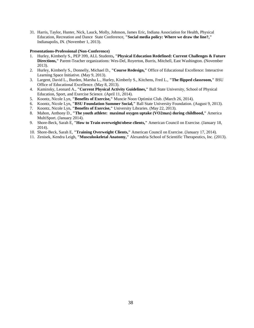31. Harris, Taylor, Hunter, Nick, Lauck, Molly, Johnson, James Eric, Indiana Association for Health, Physical Education, Recreation and Dance State Conference, **"Social media policy: Where we draw the line?,"** Indianapolis, IN. (November 1, 2013).

#### **Presentations-Professional (Non-Conference)**

- 1. Hurley, Kimberly S., PEP 399, ALL Students**, "Physical Education Redefined: Current Challenges & Future Directions,"** Parent-Teacher organizations: Wes-Del, Royerton, Burris, Mitchell, East Washington. (November 2013).
- 2. Hurley, Kimberly S., Donnelly, Michael D., **"Course Redesign,"** Office of Educational Excellence: Interactive Learning Space Initiative. (May 9, 2013).
- 3. Largent, David L., Burden, Marsha L., Hurley, Kimberly S., Kitchens, Fred L., **"The flipped classroom,"** BSU Office of Educational Excellence. (May 8, 2013).
- 4. Kaminsky, Leonard A., **"Current Physical Activity Guidelines,"** Ball State University, School of Physical Education, Sport, and Exercise Science. (April 11, 2014).
- 5. Koontz, Nicole Lyn, **"Benefits of Exercise,"** Muncie Noon Optimist Club. (March 26, 2014).
- 6. Koontz, Nicole Lyn, **"BSU Foundation Summer Social,"** Ball State University Foundation. (August 9, 2013).
- 7. Koontz, Nicole Lyn, **"Benefits of Exercise,"** University Libraries. (May 22, 2013).
- 8. Mahon, Anthony D., **"The youth athlete: maximal oxygen uptake (VO2max) during childhood,"** America MultiSport. (January 2014).
- 9. Shore-Beck, Sarah E, **"How to Train overweight/obese clients,"** American Council on Exercise. (January 18, 2014).
- 10. Shore-Beck, Sarah E, **"Training Overweight Clients,"** American Council on Exercise. (January 17, 2014).
- 11. Zenisek, Kendra Leigh, **"Musculoskeletal Anatomy,"** Alexandria School of Scientific Therapeutics, Inc. (2013).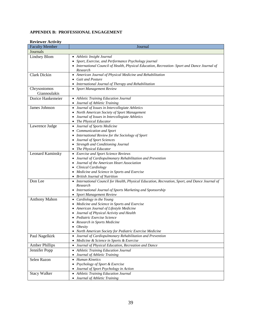## <span id="page-38-0"></span>**APPENDIX B: PROFESSIONAL ENGAGEMENT**

| <b>Reviewer Activity</b> |                                                                                                 |
|--------------------------|-------------------------------------------------------------------------------------------------|
| <b>Faculty Member</b>    | Journal                                                                                         |
| Journals                 |                                                                                                 |
| Lindsey Blom             | • Athletic Insight Journal                                                                      |
|                          | Sport, Exercise, and Performance Psychology journal                                             |
|                          | • International Council of Health, Physical Education, Recreation-Sport and Dance Journal of    |
|                          | Research                                                                                        |
| Clark Dickin             | • American Journal of Physical Medicine and Rehabilitation                                      |
|                          | <b>Gait and Posture</b><br>$\bullet$                                                            |
|                          | International Journal of Therapy and Rehabilitation                                             |
| Chrysostomos             | • Sport Management Review                                                                       |
| Giannoulakis             |                                                                                                 |
| Dorice Hankemeier        | • Athletic Training Education Journal                                                           |
|                          | Journal of Athletic Training                                                                    |
| James Johnson            | Journal of Issues in Intercollegiate Athletics<br>$\bullet$                                     |
|                          | North American Society of Sport Management<br>٠                                                 |
|                          | Journal of Issues in Intercollegiate Athletics                                                  |
|                          | The Physical Educator                                                                           |
| Lawrence Judge           | Journal of Sports Medicine<br>$\bullet$                                                         |
|                          | Communication and Sport                                                                         |
|                          | International Review for the Sociology of Sport<br>$\bullet$                                    |
|                          | Journal of Sport Sciences<br>٠                                                                  |
|                          | Strength and Conditioning Journal<br>$\bullet$                                                  |
|                          | The Physical Educator<br>$\bullet$                                                              |
| Leonard Kaminsky         | <b>Exercise and Sport Science Reviews</b>                                                       |
|                          | Journal of Cardiopulmonary Rehabilitation and Prevention<br>٠                                   |
|                          | Journal of the American Heart Association                                                       |
|                          | Clinical Cardiology<br>٠                                                                        |
|                          | Medicine and Science in Sports and Exercise<br>$\bullet$                                        |
|                          | • British Journal of Nutrition                                                                  |
| Don Lee                  | • International Council for Health, Physical Education, Recreation, Sport, and Dance Journal of |
|                          | Research                                                                                        |
|                          | • International Journal of Sports Marketing and Sponsorship                                     |
|                          | Sport Management Review                                                                         |
| Anthony Mahon            | • Cardiology in the Young                                                                       |
|                          | Medicine and Science in Sports and Exercise                                                     |
|                          | American Journal of Lifestyle Medicine                                                          |
|                          | Journal of Physical Activity and Health                                                         |
|                          | Pediatric Exercise Science                                                                      |
|                          | Research in Sports Medicine                                                                     |
|                          | <i>Obesity</i><br>• North American Society for Pediatric Exercise Medicine                      |
| Paul Nagelkirk           | Journal of Cardiopulmonary Rehabilitation and Prevention<br>$\bullet$                           |
|                          | Medicine & Science in Sports & Exercise<br>$\bullet$                                            |
| <b>Amber Phillips</b>    | Journal of Physical Education, Recreation and Dance<br>$\bullet$                                |
|                          |                                                                                                 |
| Jennifer Popp            | • Athletic Training Education Journal                                                           |
|                          | Journal of Athletic Training<br>$\bullet$<br><b>Human Kinetics</b>                              |
| Selen Razon              | $\bullet$<br>Psychology of Sport & Exercise                                                     |
|                          |                                                                                                 |
| <b>Stacy Walker</b>      | Journal of Sport Psychology in Action<br>$\bullet$                                              |
|                          | Athletic Training Education Journal<br>$\bullet$                                                |
|                          | Journal of Athletic Training<br>$\bullet$                                                       |

## **Reviewer Activity**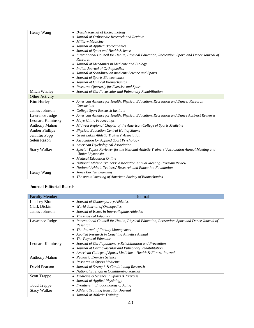| Henry Wang            | • British Journal of Biotechnology                                                              |  |  |  |  |  |
|-----------------------|-------------------------------------------------------------------------------------------------|--|--|--|--|--|
|                       | Journal of Orthopedic Research and Reviews                                                      |  |  |  |  |  |
|                       | Military Medicine<br>٠                                                                          |  |  |  |  |  |
|                       | Journal of Applied Biomechanics<br>٠                                                            |  |  |  |  |  |
|                       | Journal of Sport and Health Science<br>٠                                                        |  |  |  |  |  |
|                       | • International Council for Health, Physical Education, Recreation, Sport, and Dance Journal of |  |  |  |  |  |
|                       | Research                                                                                        |  |  |  |  |  |
|                       | Journal of Mechanics in Medicine and Biology<br>٠                                               |  |  |  |  |  |
|                       | • Indian Journal of Orthopaedics                                                                |  |  |  |  |  |
|                       | • Journal of Scandinavian medicine Science and Sports                                           |  |  |  |  |  |
|                       | Journal of Sports Biomechanics<br>$\bullet$                                                     |  |  |  |  |  |
|                       | Journal of Clinical Biomechanics                                                                |  |  |  |  |  |
|                       | Research Quarterly for Exercise and Sport                                                       |  |  |  |  |  |
| Mitch Whaley          | • Journal of Cardiovascular and Pulmonary Rehabilitation                                        |  |  |  |  |  |
| Other Activity        |                                                                                                 |  |  |  |  |  |
| Kim Hurley            | • American Alliance for Health, Physical Education, Recreation and Dance: Research              |  |  |  |  |  |
|                       | Consortium                                                                                      |  |  |  |  |  |
| James Johnson         | • College Sport Research Institute                                                              |  |  |  |  |  |
| Lawrence Judge        | • American Alliance for Health, Physical Education, Recreation and Dance Abstract Reviewer      |  |  |  |  |  |
| Leonard Kaminsky      | • Mayo Clinic Proceedings                                                                       |  |  |  |  |  |
| <b>Anthony Mahon</b>  | • Midwest Regional Chapter of the American College of Sports Medicine                           |  |  |  |  |  |
| <b>Amber Phillips</b> | • Physical Education Central Hall of Shame                                                      |  |  |  |  |  |
| Jennifer Popp         | <b>Great Lakes Athletic Trainers' Association</b>                                               |  |  |  |  |  |
| Selen Razon           | • Association for Applied Sport Psychology                                                      |  |  |  |  |  |
|                       | • American Psychological Association                                                            |  |  |  |  |  |
| <b>Stacy Walker</b>   | • Special Topics Reviewer for the National Athletic Trainers' Association Annual Meeting and    |  |  |  |  |  |
|                       | Clinical Symposia                                                                               |  |  |  |  |  |
|                       | • Medical Education Online                                                                      |  |  |  |  |  |
|                       | National Athletic Trainers' Association Annual Meeting Program Review<br>٠                      |  |  |  |  |  |
|                       | National Athletic Trainers' Research and Education Foundation                                   |  |  |  |  |  |
| Henry Wang            | • Jones Bartlett Learning                                                                       |  |  |  |  |  |
|                       | • The annual meeting of American Society of Biomechanics                                        |  |  |  |  |  |

#### **Journal Editorial Boards**

| <b>Faculty Member</b> | Journal                                                                                                   |  |  |  |  |  |  |
|-----------------------|-----------------------------------------------------------------------------------------------------------|--|--|--|--|--|--|
| Lindsey Blom          | Journal of Contemporary Athletics<br>٠                                                                    |  |  |  |  |  |  |
| Clark Dickin          | World Journal of Orthopedics<br>٠                                                                         |  |  |  |  |  |  |
| James Johnson         | Journal of Issues in Intercollegiate Athletics<br>٠                                                       |  |  |  |  |  |  |
|                       | The Physical Educator<br>$\bullet$                                                                        |  |  |  |  |  |  |
| Lawrence Judge        | International Council for Health, Physical Education, Recreation, Sport and Dance Journal of<br>$\bullet$ |  |  |  |  |  |  |
|                       | Research                                                                                                  |  |  |  |  |  |  |
|                       | The Journal of Facility Management<br>٠                                                                   |  |  |  |  |  |  |
|                       | Applied Research in Coaching Athletics Annual<br>٠                                                        |  |  |  |  |  |  |
|                       | The Physical Educator                                                                                     |  |  |  |  |  |  |
| Leonard Kaminsky      | Journal of Cardiopulmonary Rehabilitation and Prevention<br>٠                                             |  |  |  |  |  |  |
|                       | Journal of Cardiovascular and Pulmonary Rehabilitation                                                    |  |  |  |  |  |  |
|                       | American College of Sports Medicine - Health & Fitness Journal                                            |  |  |  |  |  |  |
| <b>Anthony Mahon</b>  | Pediatric Exercise Science<br>$\bullet$                                                                   |  |  |  |  |  |  |
|                       | Research in Sports Medicine<br>$\bullet$                                                                  |  |  |  |  |  |  |
| David Pearson         | Journal of Strength & Conditioning Research<br>٠                                                          |  |  |  |  |  |  |
|                       | National Strength & Conditioning Journal<br>$\bullet$                                                     |  |  |  |  |  |  |
| Scott Trappe          | Medicine & Science in Sports & Exercise<br>٠                                                              |  |  |  |  |  |  |
|                       | Journal of Applied Physiology                                                                             |  |  |  |  |  |  |
| <b>Todd Trappe</b>    | Frontiers in Endocrinology of Aging<br>٠                                                                  |  |  |  |  |  |  |
| <b>Stacy Walker</b>   | <b>Athletic Training Education Journal</b>                                                                |  |  |  |  |  |  |
|                       | Journal of Athletic Training                                                                              |  |  |  |  |  |  |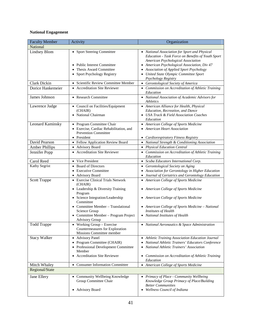#### **National Engagement**

| <b>Faculty Member</b> | Activity                                                      | Organization                                                                                                                             |
|-----------------------|---------------------------------------------------------------|------------------------------------------------------------------------------------------------------------------------------------------|
| National              |                                                               |                                                                                                                                          |
| Lindsey Blom          | • Sport Steering Committee                                    | • National Association for Sport and Physical<br>Education - Task Force on Benefits of Youth Sport<br>American Psychological Association |
|                       | • Public Interest Committee                                   | • American Psychological Association, Div 47                                                                                             |
|                       | Thesis Award Committee                                        | Association of Applied Sport Psychology<br>$\bullet$                                                                                     |
|                       | • Sport Psychology Registry                                   | United State Olympic Committee Sport                                                                                                     |
|                       |                                                               | Psychology Registry                                                                                                                      |
| Clark Dickin          | • Scientific Review Committee Member                          | Gerontological Society of America<br>$\bullet$                                                                                           |
| Dorice Hankemeier     | • Accreditation Site Reviewer                                 | Commission on Accreditation of Athletic Training<br>Education                                                                            |
| James Johnson         | • Research Committee                                          | • National Association of Academic Advisors for<br>Athletics                                                                             |
| Lawrence Judge        | • Council on Facilities/Equipment                             | • American Alliance for Health, Physical                                                                                                 |
|                       | (CHAIR)                                                       | Education, Recreation, and Dance                                                                                                         |
|                       | • National Chairman                                           | USA Track & Field Association Coaches                                                                                                    |
| Leonard Kaminsky      | • Program Committee Chair                                     | Education<br>• American College of Sports Medicine                                                                                       |
|                       | • Exercise, Cardiac Rehabilitation, and                       | <b>American Heart Association</b>                                                                                                        |
|                       | <b>Prevention Committee</b>                                   |                                                                                                                                          |
|                       | • President                                                   | Cardiorespiratory Fitness Registry                                                                                                       |
| David Pearson         | • Fellow Application Review Board                             | • National Strength & Conditioning Association                                                                                           |
| <b>Amber Phillips</b> | • Advisory Board                                              | • Physical Education Central                                                                                                             |
| Jennifer Popp         | • Accreditation Site Reviewer                                 | • Commission on Accreditation of Athletic Training                                                                                       |
|                       |                                                               | Education                                                                                                                                |
| Carol Reed            | • Vice President                                              | • Scuba Educators International Corp.                                                                                                    |
| Kathy Segrist         | • Board of Directors                                          | Gerontological Society on Aging<br>$\bullet$                                                                                             |
|                       | • Executive Committee                                         | Association for Gerontology in Higher Education                                                                                          |
|                       | • Advisory Board                                              | Journal of Geriatrics and Gerontology Education                                                                                          |
| <b>Scott Trappe</b>   | • Exercise Clinical Trials Network<br>(CHAIR)                 | • American College of Sports Medicine                                                                                                    |
|                       | • Leadership & Diversity Training<br>Program                  | American College of Sports Medicine<br>$\bullet$                                                                                         |
|                       | • Science Integration/Leadership<br>Committee                 | • American College of Sports Medicine                                                                                                    |
|                       | • Committee Member $-$ Translational                          | • American College of Sports Medicine - National                                                                                         |
|                       | Science Group                                                 | Institutes of Health                                                                                                                     |
|                       | • Committee Member - Program Project<br><b>Advisory Group</b> | • National Institutes of Health                                                                                                          |
| Todd Trappe           | Working Group - Exercise<br>Countermeasures for Exploration   | National Aeronautics & Space Administration                                                                                              |
| <b>Stacy Walker</b>   | Missions Committee member<br>• Advisory Panel                 | Athletic Training Association Education Journal<br>$\bullet$                                                                             |
|                       | • Program Committee (CHAIR)                                   | National Athletic Trainers' Educators Conference                                                                                         |
|                       | • Professional Development Committee                          | National Athletic Trainers' Association                                                                                                  |
|                       | Member                                                        |                                                                                                                                          |
|                       | • Accreditation Site Reviewer                                 | Commission on Accreditation of Athletic Training<br>$\bullet$<br>Education                                                               |
| Mitch Whaley          | <b>Consumer Information Committee</b>                         | • American College of Sports Medicine                                                                                                    |
| Regional/State        |                                                               |                                                                                                                                          |
| Jane Ellery           | • Community Wellbeing Knowledge                               | • Primacy of Place - Community Wellbeing                                                                                                 |
|                       | Group Committee Chair                                         | Knowledge Group Primacy of Place/Building                                                                                                |
|                       |                                                               | <b>Better Communities</b>                                                                                                                |
|                       | • Advisory Board                                              | Wellness Council of Indiana                                                                                                              |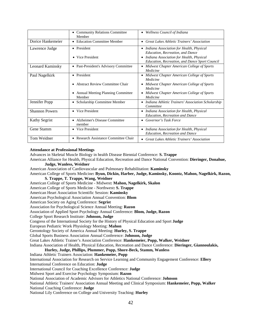|                       | <b>Community Relations Committee</b><br>Member      | Wellness Council of Indiana<br>$\bullet$                                                                |
|-----------------------|-----------------------------------------------------|---------------------------------------------------------------------------------------------------------|
| Dorice Hankemeier     | • Education Committee Member                        | Great Lakes Athletic Trainers' Association<br>$\bullet$                                                 |
| Lawrence Judge        | • President                                         | Indiana Association for Health, Physical<br>$\bullet$<br>Education, Recreation, and Dance               |
|                       | Vice President<br>$\bullet$                         | Indiana Association for Health, Physical<br>$\bullet$<br>Education, Recreation, and Dance Sport Council |
| Leonard Kaminsky      | • Past-President's Advisory Committee               | • Midwest Chapter American College of Sports<br>Medicine                                                |
| Paul Nagelkirk        | President<br>$\bullet$                              | Midwest Chapter American College of Sports<br>$\bullet$<br>Medicine                                     |
|                       | <b>Abstract Review Committee Chair</b><br>$\bullet$ | Midwest Chapter American College of Sports<br>$\bullet$<br>Medicine                                     |
|                       | • Annual Meeting Planning Committee<br>Member       | • Midwest Chapter American College of Sports<br>Medicine                                                |
| Jennifer Popp         | Scholarship Committee Member<br>٠                   | • Indiana Athletic Trainers' Association Scholarship<br>Committee                                       |
| <b>Shannon Powers</b> | • Vice President                                    | • Indiana Association for Health, Physical<br><b>Education, Recreation and Dance</b>                    |
| Kathy Segrist         | Alzheimer's Disease Committee<br>member             | Governor's Task Force                                                                                   |
| Gene Stamm            | • Vice President                                    | Indiana Association for Health, Physical<br>$\bullet$<br><b>Education, Recreation and Dance</b>         |
| Tom Weidner           | Research Assistance Committee Chair                 | <b>Great Lakes Athletic Trainers' Association</b><br>$\bullet$                                          |

#### **Attendance at Professional Meetings**

Advances in Skeletal Muscle Biology in health Disease Biennial Conference: **S. Trappe**

American Alliance for Health, Physical Education, Recreation and Dance National Convention: **Dieringer, Donahue,** 

## **Judge, Wanless, Weidner**

American Association of Cardiovascular and Pulmonary Rehabilitation: **Kaminsky**

American College of Sports Medicine**: Byun, Dickin, Harber, Judge, Kaminsky, Koontz, Mahon, Nagelkirk, Razon, S. Trappe, T. Trappe, Wang, Weidner**

American College of Sports Medicine - Midwest**: Mahon, Nagelkirk, Skalon**

American College of Sports Medicine - Northwest**: S. Trappe**

American Heart Association Scientific Session: **Kaminsky**

American Psychological Association Annual Convention: **Blom**

American Society on Aging Conference: **Segrist**

Association for Psychological Science Annual Meeting: **Razon**

Association of Applied Sport Psychology Annual Conference: **Blom, Judge, Razon** 

College Sport Research Institute: **Johnson, Judge** 

Congress of the International Society for the History of Physical Education and Sport **Judge**

European Pediatric Work Physiology Meeting: **Mahon**

Gerontology Society of America Annual Meeting: **Hurley, S. Trappe** 

Global Sports Business Association Annual Conference: **Johnson, Judge**

Great Lakes Athletic Trainer's Association Conference: **Hankemeier, Popp, Walker, Weidner**

Indiana Association of Health, Physical Education, Recreation and Dance Conference: **Dieringer, Giannoulakis,** 

#### **Hurley, Judge, Phillips, Plummer, Popp, Shore-Beck, Stamm, Wanless**

#### Indiana Athletic Trainers Association: **Hankemeier, Popp**

International Association for Research on Service Learning and Community Engagement Conference: **Ellery**  International Conference on Education: **Judge**

International Council for Coaching Excellence Conference: **Judge**

Midwest Sport and Exercise Psychology Symposium: **Razon**

National Association of Academic Advisors for Athletics National Conference: **Johnson** 

National Athletic Trainers' Association Annual Meeting and Clinical Symposium: **Hankemeier, Popp, Walker** National Coaching Conference: **Judge**

National Lily Conference on College and University Teaching: **Hurley**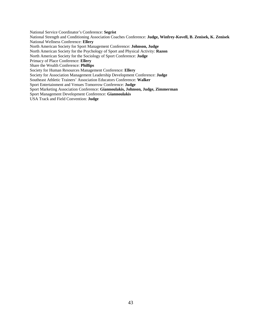National Service Coordinator's Conference: **Segrist**

National Strength and Conditioning Association Coaches Conference: **Judge, Winfrey-Kovell, B. Zenisek, K. Zenisek** National Wellness Conference: **Ellery**

North American Society for Sport Management Conference: **Johnson, Judge**

North American Society for the Psychology of Sport and Physical Activity: **Razon**

North American Society for the Sociology of Sport Conference: **Judge**

Primacy of Place Conference: **Ellery**

Share the Wealth Conference: **Phillips**

Society for Human Resources Management Conference: **Ellery**

Society for Association Management Leadership Development Conference: **Judge**

Southeast Athletic Trainers' Association Educators Conference: **Walker**

Sport Entertainment and Venues Tomorrow Conference: **Judge**

Sport Marketing Association Conference: **Giannoulakis, Johnson, Judge, Zimmerman**

Sport Management Development Conference: **Giannoulakis**

USA Track and Field Convention: **Judge**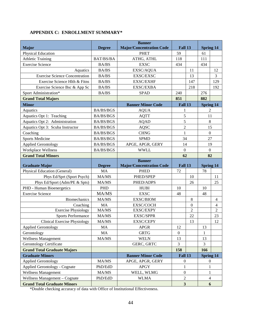## <span id="page-43-0"></span>**APPENDIX C: ENROLLMENT SUMMARY\***

|                                                                     |                  | <b>Banner</b>                   |                                             |                  |                                  |                |  |
|---------------------------------------------------------------------|------------------|---------------------------------|---------------------------------------------|------------------|----------------------------------|----------------|--|
| <b>Major</b>                                                        | <b>Degree</b>    | <b>Major/Concentration Code</b> | Fall 13                                     |                  | <b>Spring 14</b>                 |                |  |
| Physical Education                                                  |                  | <b>PHET</b>                     | 59                                          |                  | 61                               |                |  |
| <b>Athletic Training</b>                                            | BAT/BS/BA        | ATHG, ATHL                      | 118                                         |                  | 111                              |                |  |
| <b>Exercise Science</b>                                             | <b>BA/BS</b>     | <b>EXSC</b>                     | 434                                         |                  | 434                              |                |  |
| Aquatics                                                            | <b>BA/BS</b>     | EXSC/AQUA                       |                                             | 11               |                                  | 12             |  |
| <b>Exercise Science Concentration</b>                               | <b>BA/BS</b>     | <b>EXSC/EXSC</b>                |                                             | 13               |                                  | 3              |  |
| Exercise Science Hlth & Fitns                                       | <b>BA/BS</b>     | <b>EXSC/EXHF</b>                |                                             | 147              |                                  | 129            |  |
| Exercise Science Bsc & App Sc                                       | <b>BA/BS</b>     | <b>EXSC/EXBA</b>                |                                             | 218              |                                  | 192            |  |
| Sport Administration*                                               | <b>BA/BS</b>     | <b>SPAD</b>                     | 240                                         |                  | 276                              |                |  |
| <b>Grand Total Majors</b>                                           |                  |                                 | 851                                         |                  | 882                              |                |  |
| <b>Minor</b>                                                        |                  | <b>Banner Minor Code</b>        | Fall 13                                     |                  | <b>Spring 14</b>                 |                |  |
| Aquatics                                                            | <b>BA/BS/BGS</b> | <b>AQUA</b>                     | 1                                           |                  | $\sqrt{2}$                       |                |  |
| Aquatics Opt 1: Teaching                                            | <b>BA/BS/BGS</b> | <b>AQTT</b>                     | 5                                           |                  | 11                               |                |  |
| Aquatics Opt 2: Administration                                      | <b>BA/BS/BGS</b> | <b>AQAD</b>                     | 5                                           |                  | $\,8\,$                          |                |  |
| Aquatics Opt 3: Scuba Instructor                                    | BA/BS/BGS        | <b>AQSC</b>                     | $\overline{c}$                              |                  | 15                               |                |  |
| Coaching                                                            | BA/BS/BGS        | <b>CHNG</b>                     | $\mathbf{1}$                                |                  | $\boldsymbol{0}$                 |                |  |
| <b>Sports Medicine</b>                                              | BA/BS/BGS        | <b>SPMD</b>                     | 34<br>27                                    |                  |                                  |                |  |
| <b>Applied Gerontology</b>                                          | BA/BS/BGS        | APGE, APGR, GERY                | 14                                          |                  | 19                               |                |  |
| Workplace Wellness                                                  | BA/BS/BGS        | <b>WWLL</b>                     |                                             |                  | $\mathbf{0}$<br>$\boldsymbol{0}$ |                |  |
| <b>Grand Total Minors</b>                                           |                  |                                 | 62                                          |                  | 82                               |                |  |
|                                                                     |                  | <b>Banner</b>                   |                                             |                  |                                  |                |  |
| <b>Graduate Major</b>                                               | <b>Degree</b>    | <b>Major/Concentration Code</b> | Fall 13                                     |                  | <b>Spring 14</b>                 |                |  |
| <b>Physical Education (General)</b>                                 | <b>MA</b>        | <b>PHED</b>                     | 72                                          |                  | 78                               |                |  |
| Phys Ed/Sprt (Sport Psych)                                          | MA/MS            | PHED/SPEP                       |                                             | 10               |                                  | 11             |  |
| Phys Ed/Sport (Adm/PE & Spts)                                       | MA/MS            | PHED/ADPS                       |                                             | 26               |                                  | 25             |  |
| PHD - Human Bioenergetics                                           | PHD              | <b>HUBI</b>                     | 10                                          |                  | 10                               |                |  |
| <b>Exercise Science</b>                                             | MA/MS            |                                 | 48                                          |                  |                                  |                |  |
|                                                                     |                  | <b>EXSC</b>                     |                                             |                  | 48                               |                |  |
| <b>Biomechanics</b>                                                 | MA/MS            | <b>EXSC/BIOM</b>                |                                             | $8\phantom{.0}$  |                                  | $\overline{4}$ |  |
| Coaching                                                            | MA               | EXSC/COCH                       |                                             | $\boldsymbol{0}$ |                                  | $\overline{4}$ |  |
| <b>Exercise Physiology</b>                                          | MA/MS            | EXSC/EXPY                       |                                             | $\overline{2}$   |                                  | $\overline{2}$ |  |
| <b>Sports Performance</b>                                           | MA/MS            | EXSC/SPPR                       |                                             | 22               |                                  | 23             |  |
| <b>Clinical Exercise Physiology</b>                                 | MA/MS            | EXSC/CEPY                       |                                             | 13               |                                  | 12             |  |
| <b>Applied Gerontology</b>                                          | MA               | <b>APGR</b>                     | 12                                          |                  | 13                               |                |  |
| Gerontology                                                         | MA               | <b>GRTG</b>                     | $\Omega$                                    |                  | 1                                |                |  |
| Wellness Management                                                 | MA/MS            | <b>WELN</b>                     | 13                                          |                  | 13                               |                |  |
| <b>Gerontology Certificate</b>                                      |                  | GERC, GRTC                      | 3                                           |                  | 3                                |                |  |
| <b>Grand Total Graduate Majors</b>                                  |                  |                                 | 158                                         |                  | 166                              |                |  |
| <b>Graduate Minors</b>                                              |                  | <b>Banner Minor Code</b>        | Fall 13                                     |                  | <b>Spring 14</b>                 |                |  |
| <b>Applied Gerontology</b>                                          | MA/MS            | APGE, APGR, GERY                | $\boldsymbol{0}$                            |                  | $\boldsymbol{0}$                 |                |  |
| <b>Applied Gerontology - Cognate</b>                                | PhD/EdD          | <b>APGY</b>                     | $\mathbf{1}$                                |                  | $\mathbf{1}$                     |                |  |
| <b>Wellness Management</b>                                          | MA/MS            | WELL, WLMG                      | $\overline{0}$                              |                  | $\mathbf{1}$                     |                |  |
| Wellness Management - Cognate<br><b>Grand Total Graduate Minors</b> | PhD/EdD          | <b>WLMA</b>                     | $\boldsymbol{2}$<br>$\overline{\mathbf{3}}$ |                  | $\overline{4}$<br>6              |                |  |

\*Double checking accuracy of data with Office of Institutional Effectiveness.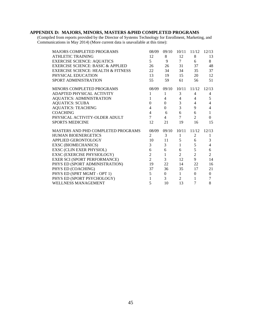#### <span id="page-44-0"></span>**APPENDIX D: MAJORS, MINORS, MASTERS &PHD COMPLETED PROGRAMS**

(Compiled from reports provided by the Director of Systems Technology for Enrollment, Marketing, and Communications in May 2014) (More current data is unavailable at this time):

| <b>MAJORS COMPLETED PROGRAMS</b>              | 08/09          | 09/10            |                 | $10/11$ $11/12$ | 12/13          |
|-----------------------------------------------|----------------|------------------|-----------------|-----------------|----------------|
| <b>ATHLETIC TRAINING</b>                      | 12             | 8                | 12              | 8               | 13             |
| <b>EXERCISE SCIENCE: AQUATICS</b>             | $\mathcal{5}$  | $9 \quad$        | $7\overline{ }$ | 6               | 8              |
| <b>EXERCISE SCIENCE: BASIC &amp; APPLIED</b>  | 26             | 26               | 31              | 37              | 48             |
| <b>EXERCISE SCIENCE: HEALTH &amp; FITNESS</b> | 22             | 34               | 34              | 35              | 37             |
| PHYSICAL EDUCATION                            | 13             |                  | 19 15           | 20              | 12             |
| SPORT ADMINISTRATION                          | 55             | 59               | 61              | 56              | 51             |
| MINORS COMPLETED PROGRAMS                     | 08/09          |                  | 09/10 10/11     | 11/12           | 12/13          |
| ADAPTED PHYSICAL ACTIVITY                     | 1              | 1                | 3               | 4               | $\overline{4}$ |
| <b>AQUATICS: ADMINISTRATION</b>               | $\mathbf{1}$   | $\overline{4}$   | $\overline{4}$  | $\overline{4}$  | 5              |
| <b>AQUATICS: SCUBA</b>                        | $\Omega$       | $\boldsymbol{0}$ | $\mathfrak{Z}$  | $\overline{4}$  | $\overline{4}$ |
| <b>AQUATICS: TEACHING</b>                     | $\overline{4}$ | $\Omega$         | $\overline{3}$  | 9               | $\overline{4}$ |
| <b>COACHING</b>                               | $\overline{4}$ | 6                | 6               | 6               | $\mathbf{1}$   |
| PHYSICAL ACTIVITY-OLDER ADULT                 | $\tau$         | $\overline{4}$   | $\tau$          | 2               | $\Omega$       |
| <b>SPORTS MEDICINE</b>                        | 12             | 21               | 19              | 16              | 15             |
| <b>MASTERS AND PHD COMPLETED PROGRAMS</b>     | 08/09          | 09/10            | 10/11           | 11/12           | 12/13          |
| <b>HUMAN BIOENERGETICS</b>                    | 2              | 3                | $\mathbf{1}$    | 2               | 1              |
| <b>APPLIED GERONTOLOGY</b>                    | 10             | $11 -$           | 5               | 6               | 3              |
| <b>EXSC (BIOMECHANICS)</b>                    | 3              | 3                | $\mathbf{1}$    | 5               | 4              |
| EXSC (CLIN EXER PHYSIOL)                      | 6              | 6                | 6               | 5               | 6              |
| EXSC (EXERCISE PHYSIOLOGY)                    | $\overline{c}$ | $\mathbf{1}$     | $\overline{2}$  | $\overline{2}$  | $\overline{2}$ |
| EXER SCI (SPORT PERFORMANCE)                  | $\overline{2}$ | 3                | 12              | 9               | 14             |
| PHYS ED (SPORT ADMINISTRATION)                | 19             | 22               | 14              | 22              | 16             |
| PHYS ED (COACHING)                            | 37             | 36               | 35              | 17              | 21             |
| PHYS ED (SPRT MGMT - OPT 1)                   | 5              | $\boldsymbol{0}$ | $\mathbf{1}$    | $\mathbf{0}$    | $\overline{0}$ |
| PHYS ED (SPORT PSYCHOLOGY)                    | 1              | 3                | $\overline{2}$  | $\mathbf{1}$    | 7              |
| <b>WELLNESS MANAGEMENT</b>                    | 5              | 10               | 13              | 7               | 8              |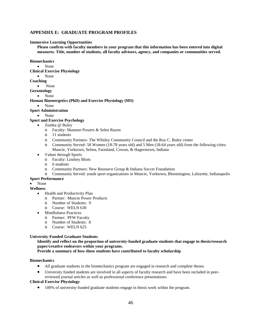#### <span id="page-45-0"></span>**APPENDIX E: GRADUATE PROGRAM PROFILES**

#### **Immersive Learning Opportunities**

**Please confirm with faculty members in your program that this information has been entered into digital measures. Title, number of students, all faculty advisors, agency, and companies or communities served.** 

**Biomechanics** 

• None

**Clinical Exercise Physiology** 

- None
- **Coaching**
	- None

#### **Gerontology**

• None

**Human Bioenergetics (PhD) and Exercise Physiology (MS)**

• None

#### **Sport Administration**

• None

#### **Sport and Exercise Psychology**

- Zumba @ Buley
	- o Faculty: Shannon Powers & Selen Razon
	- o 11 students
	- o Community Partners- The Whitley Community Council and the Roy C. Buley center
	- o Community Served- 58 Women (18-78 years old) and 5 Men (18-64 years old) from the following cities: Muncie, Yorktown, Selma, Farmland, Cowan, & Hagerstown, Indiana
- Values through Sports
	- o Faculty: Lindsey Blom
	- o 6 students
	- o Community Partners: New Resource Group & Indiana Soccer Foundation
	- o Community Served: youth sport organizations in Muncie, Yorktown, Bloomington, Lafayette, Indianapolis

#### **Sport Performance**

## • None

**Wellness**

- Health and Productivity Plan
	- o Partner: Muncie Power Products
	- o Number of Students: 9
	- o Course: WELN 630
- Mindfulness Practices
	- o Partner: PFW Faculty
	- o Number of Students: 8
	- o Course: WELN 625

#### **University-Funded Graduate Students**

#### **Identify and reflect on the proportion of university-funded graduate students that engage in thesis/research paper/creative endeavors within your programs.**

**Provide a summary of how these students have contributed to faculty scholarship**

#### **Biomechanics**

- All graduate students in the biomechanics program are engaged in research and complete theses.
- University funded students are involved in all aspects of faculty research and have been included in peerreviewed journal articles as well as professional conference presentations.

#### **Clinical Exercise Physiology**

• 100% of university-funded graduate students engage in thesis work within the program.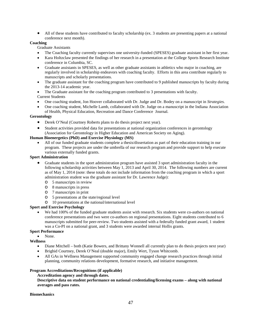• All of these students have contributed to faculty scholarship (ex. 3 students are presenting papers at a national conference next month).

#### **Coaching**

Graduate Assistants

- The Coaching faculty currently supervises one university-funded (SPESES) graduate assistant in her first year.
- Kara Holtzclaw presented the findings of her research in a presentation at the College Sports Research Institute conference in Columbia, SC.
- Graduate assistants in SPESES, as well as other graduate assistants in athletics who major in coaching, are regularly involved in scholarship endeavors with coaching faculty. Efforts in this area contribute regularly to manuscripts and scholarly presentations.
- The graduate assistant for the coaching program have contributed to 9 published manuscripts by faculty during the 2013-14 academic year.
- The Graduate assistant for the coaching program contributed to 3 presentations with faculty. Current Students
- One coaching student, Jon Hoover collaborated with Dr. Judge and Dr. Bodey on a manuscript in *Strategies*.
- One coaching student, Michelle Lamb, collaborated with Dr. Judge on a manuscript in the Indiana Association of Health, Physical Education, Recreation and Dance Conference Journal.

#### **Gerontology**

- Derek O'Neal (Courtney Roberts plans to do thesis project next year).
- Student activities provided data for presentations at national organization conferences in gerontology (Association for Gerontology in Higher Education and American Society on Aging).

#### **Human Bioenergetics (PhD) and Exercise Physiology (MS)**

• All of our funded graduate students complete a thesis/dissertation as part of their education training in our program. These projects are under the umbrella of our research program and provide support to help execute various externally funded grants.

#### **Sport Administration**

- Graduate students in the sport administration program have assisted 3 sport administration faculty in the following scholarship activities between May 1, 2013 and April 30, 2014. The following numbers are current as of May 1, 2014 (note: these totals do not include information from the coaching program in which a sport administration student was the graduate assistant for Dr. Lawrence Judge):
	- o 5 manuscripts in review
	- o 8 manuscripts in press
	- o 7 manuscripts in print
	- o 5 presentations at the state/regional level
	- o 10 presentations at the national/international level

#### **Sport and Exercise Psychology**

• We had 100% of the funded graduate students assist with research. Six students were co-authors on national conference presentations and two were co-authors on regional presentations. Eight students contributed to 6 manuscripts submitted for peer-review. Two students assisted with a federally funded grant award, 1 student was a Co-PI on a national grant, and 3 students were awarded internal Hollis grants.

#### **Sport Performance**

• None.

#### **Wellness**

- Diane Mitchell both (Katie Bowers, and Brittany Wonnell all currently plan to do thesis projects next year)
- Brighid Courtney, Derek O'Neal (double major), Emily Wert, Tyson Whitcomb.
- All GAs in Wellness Management supported community engaged change research practices through initial planning, community relations development, formative research, and initiative management.

#### **Program Accreditations/Recognitions (if applicable)**

**Accreditation agency and through dates.**

**Descriptive data on student performance on national credentialing/licensing exams – along with national averages and pass rates.**

#### **Biomechanics**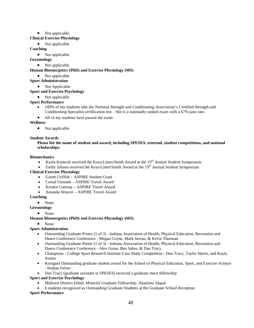#### • Not applicable.

#### **Clinical Exercise Physiology**

• Not applicable.

#### **Coaching**

• Not applicable.

- **Gerontology**
	- Not applicable.

#### **Human Bioenergetics (PhD) and Exercise Physiology (MS)**

- Not applicable.
- **Sport Administration**
	- Not Applicable.

#### **Sport and Exercise Psychology**

• Not applicable.

#### **Sport Performance**

- 100% of my students take the National Strength and Conditioning Association's Certified Strength and Conditioning Specialist certification test – this is a nationally ranked exam with a 67% pass rate.
- All of my students have passed the exam.

#### **Wellness**

• Not applicable.

#### **Student Awards**

#### **Please list the name of student and award, including SPESES, external, student competitions, and national scholarships.**

#### **Biomechanics**

- Kayla Kmiecik received the Keys/Litten/Smith Award at the 19<sup>th</sup> Annual Student Symposium
- Emily Johann received the Keys/Litten/Smith Award at the  $19<sup>th</sup>$  Annual Student Symposium

#### **Clinical Exercise Physiology**

- Garett Griffith ASPIRE Student Grant
- Cemal Ozemek ASPIRE Travel Award
- Kristen Conway ASPIRE Travel Award
- Amanda Weaver ASPIRE Travel Award

#### **Coaching**

• None

**Gerontology**

- None
- **Human Bioenergetics (PhD) and Exercise Physiology (MS)**

#### • None

#### **Sport Administration**

- Outstanding Graduate Poster (1 of 3) Indiana Association of Health, Physical Education, Recreation and Dance Conference Conference - Megan Coyne, Mark Serrao, & Kevin Thurman
- Outstanding Graduate Poster (1 of 3) Indiana Association of Health, Physical Education, Recreation and Dance Conference Conference - Alex Goins, Ben Sabin, & Dan Tracy
- Champions College Sport Research Institute Case Study Competition Dan Tracy, Taylor Harris, and Kayla Austin
- Korsgard Outstanding graduate student award for the School of Physical Education, Sport, and Exercise Science - Nathan Felver
- Dan Tracy (graduate assistant in SPESES) received a graduate merit fellowship

#### **Sport and Exercise Psychology**

- Midwest District Ethnic Minority Graduate Fellowship- Akanimo Akpan
- 6 students recognized as Outstanding Graduate Students at the Graduate School Reception

#### **Sport Performance**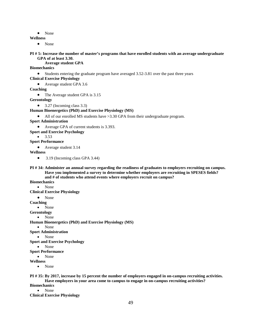• None

```
Wellness
```
• None

#### **PI # 5: Increase the number of master's programs that have enrolled students with an average undergraduate GPA of at least 3.30.**

**Average student GPA**

#### **Biomechanics**

• Students entering the graduate program have averaged 3.52-3.81 over the past three years

#### **Clinical Exercise Physiology**

• Average student GPA 3.6

#### **Coaching**

• The Average student GPA is 3.15

**Gerontology**

 $\bullet$  3.27 (Incoming class 3.3)

#### **Human Bioenergetics (PhD) and Exercise Physiology (MS)**

• All of our enrolled MS students have > 3.30 GPA from their undergraduate program.

**Sport Administration**

- Average GPA of current students is 3.393.
- **Sport and Exercise Psychology**
	- $3.53$

#### **Sport Performance**

• Average student 3.14

**Wellness**

- 3.19 (Incoming class GPA 3.44)
- **PI # 34: Administer an annual survey regarding the readiness of graduates to employers recruiting on campus. Have you implemented a survey to determine whether employers are recruiting in SPESES fields? and # of students who attend events where employers recruit on campus?**

**Biomechanics**

• None

**Clinical Exercise Physiology** 

• None

**Coaching**

• None

**Gerontology**

• None

**Human Bioenergetics (PhD) and Exercise Physiology (MS)**

- None
- **Sport Administration**

• None

**Sport and Exercise Psychology**

- None
- **Sport Performance**

• None

**Wellness**

• None

**PI # 35: By 2017, increase by 15 percent the number of employers engaged in on-campus recruiting activities. Have employers in your area come to campus to engage in on-campus recruiting activities?**

- **Biomechanics**
	- None

**Clinical Exercise Physiology**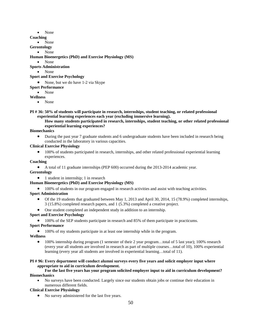- None
- **Coaching**
	- None

**Gerontology**

• None

#### **Human Bioenergetics (PhD) and Exercise Physiology (MS)**

• None

#### **Sports Administration**

• None

#### **Sport and Exercise Psychology**

- None, but we do have 1-2 via Skype
- **Sport Performance**
	- None

#### **Wellness**

• None

**PI # 36: 50% of students will participate in research, internships, student teaching, or related professional experiential learning experiences each year (excluding immersive learning).**

#### **How many students participated in research, internships, student teaching, or other related professional experiential learning experiences?**

#### **Biomechanics**

• During the past year 7 graduate students and 6 undergraduate students have been included in research being conducted in the laboratory in various capacities.

#### **Clinical Exercise Physiology**

• 100% of students participated in research, internships, and other related professional experiential learning experiences.

#### **Coaching**

• A total of 11 graduate internships (PEP 600) occurred during the 2013-2014 academic year.

#### **Gerontology**

• 1 student in internship; 1 in research

#### **Human Bioenergetics (PhD) and Exercise Physiology (MS)**

• 100% of students in our program engaged in research activities and assist with teaching activities.

#### **Sport Administration**

- Of the 19 students that graduated between May 1, 2013 and April 30, 2014, 15 (78.9%) completed internships, 3 (15.8%) completed research papers, and 1 (5.3%) completed a creative project.
- One student completed an independent study in addition to an internship.

#### **Sport and Exercise Psychology**

• 100% of the SEP students participate in research and 85% of them participate in practicums.

#### **Sport Performance**

• 100% of my students participate in at least one internship while in the program.

#### **Wellness**

• 100% internship during program (1 semester of their 2 year program...total of 5 last year); 100% research (every year all students are involved in research as part of multiple courses…total of 10), 100% experiential learning (every year all students are involved in experiential learning…total of 11).

#### **PI # 96: Every department will conduct alumni surveys every five years and solicit employer input where appropriate to aid in curriculum development.**

#### **For the last five years has your program solicited employer input to aid in curriculum development? Biomechanics**

• No surveys have been conducted. Largely since our students obtain jobs or continue their education in numerous different fields.

## **Clinical Exercise Physiology**

No survey administered for the last five years.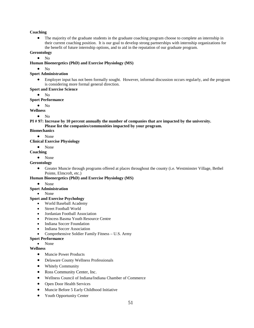#### **Coaching**

• The majority of the graduate students in the graduate coaching program choose to complete an internship in their current coaching position. It is our goal to develop strong partnerships with internship organizations for the benefit of future internship options, and to aid in the reputation of our graduate program.

#### **Gerontology**

 $\bullet$  No

#### **Human Bioenergetics (PhD) and Exercise Physiology (MS)**

• No

#### **Sport Administration**

• Employer input has not been formally sought. However, informal discussion occurs regularly, and the program is considering more formal general direction.

#### **Sport and Exercise Science**

• No

#### **Sport Performance**

 $\bullet$  No

**Wellness**

 $\bullet$  No

**PI # 97: Increase by 10 percent annually the number of companies that are impacted by the university. Please list the companies/communities impacted by your program.**

#### **Biomechanics**

• None

#### **Clinical Exercise Physiology**

• None

#### **Coaching**

• None

#### **Gerontology**

• Greater Muncie through programs offered at places throughout the county (i.e. Westminster Village, Bethel Pointe, Elmcroft, etc.)

#### **Human Bioenergetics (PhD) and Exercise Physiology (MS)**

• None

#### **Sport Administration**

• None

#### **Sport and Exercise Psychology**

- World Baseball Academy
- Street Football World
- Jordanian Football Association
- Princess Basma Youth Resource Centre
- Indiana Soccer Foundation
- Indiana Soccer Association
- Comprehensive Soldier Family Fitness U.S. Army

#### **Sport Performance**

#### • None

#### **Wellness**

- Muncie Power Products
- Delaware County Wellness Professionals
- Whitely Community
- Ross Community Center, Inc.
- Wellness Council of Indiana/Indiana Chamber of Commerce
- Open Door Health Services
- Muncie Before 5 Early Childhood Initiative
- Youth Opportunity Center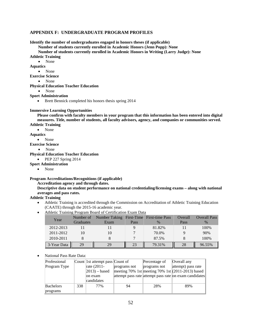#### <span id="page-51-0"></span>**APPENDIX F: UNDERGRADUATE PROGRAM PROFILES**

**Identify the number of undergraduates engaged in honors theses (if applicable)**

#### **Number of students currently enrolled in Academic Honors (Jenn Popp): None**

**Number of students currently enrolled in Academic Honors in Writing (Larry Judge): None**

**Athletic Training**

• None

**Aquatics**

• None

**Exercise Science**

• None

**Physical Education Teacher Education**

• None

#### **Sport Administration**

• Brett Bennick completed his honors thesis spring 2014

#### **Immersive Learning Opportunities**

**Please confirm with faculty members in your program that this information has been entered into digital measures. Title, number of students, all faculty advisors, agency, and companies or communities served. Athletic Training**

• None

**Aquatics**

• None

**Exercise Science**

• None

**Physical Education Teacher Education**

- PEP 227 Spring 2014
- **Sport Administration** 
	- None

#### **Program Accreditations/Recognitions (if applicable)**

#### **Accreditation agency and through dates.**

**Descriptive data on student performance on national credentialing/licensing exams – along with national averages and pass rates.** 

**Athletic Training**

- Athletic Training is accredited through the Commission on Accreditation of Athletic Training Education (CAATE) through the 2015-16 academic year.
- Athletic Training Program Board of Certification Exam Data

| Year        | Number of        | Number Taking First-Time First-time Pass |      |               | Overall | <b>Overall Pass</b> |
|-------------|------------------|------------------------------------------|------|---------------|---------|---------------------|
|             | <b>Graduates</b> | Exam                                     | Pass | $\frac{0}{6}$ | Pass    | $\%$                |
| 2012-2013   |                  |                                          |      | 81.82%        |         | 100%                |
| 2011-2012   |                  | 10                                       |      | 70.0%         |         | 90%                 |
| 2010-2011   |                  |                                          |      | 87.5%         |         | 100%                |
| 3-Year Data | 29               | 29                                       | 23   | 79.31%        | 28      | ∭<br>96.55%         |

#### • National Pass Rate Data:

| Professional     |     | Count 1st attempt pass Count of |              | Percentage of | Overall any                                            |
|------------------|-----|---------------------------------|--------------|---------------|--------------------------------------------------------|
| Program Type     |     | rate (2011-                     | programs not | programs not  | attempt) pass rate                                     |
|                  |     | $ 2013)$ – based                |              |               | meeting 70% 1st meeting 70% 1st $(2011-2013)$ based    |
|                  |     | lon exam                        |              |               | attempt pass rate attempt pass rate on exam candidates |
|                  |     | candidates                      |              |               |                                                        |
| <b>Bachelors</b> | 338 | 77%                             | 94           | 28%           | 89%                                                    |
| programs         |     |                                 |              |               |                                                        |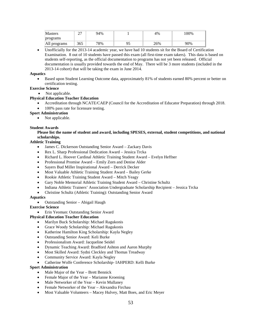| <b>Masters</b> | $\sim$<br>∽ | 94% | 4%  | $100\%$ |
|----------------|-------------|-----|-----|---------|
| programs       |             |     |     |         |
| All programs   | 365         | 78% | 26% | 90%     |

• Unofficially for the 2013-14 academic year, we have had 10 students sit for the Board of Certification Examination. 8 out of 10 students have passed this exam (all first-time exam takers). This data is based on students self-reporting, as the official documentation to programs has not yet been released. Official documentation is usually provided towards the end of May. There will be 3 more students (included in the 2013-14 cohort) that will be taking the exam in June 2014.

#### **Aquatics**

• Based upon Student Learning Outcome data, approximately 81% of students earned 80% percent or better on certification testing.

#### **Exercise Science**

• Not applicable.

#### **Physical Education Teacher Education**

• Accreditation through NCATE/CAEP (Council for the Accreditation of Educator Preparation) through 2018. 100% pass rate for licensure testing.

#### **Sport Administration**

• Not applicable.

#### **Student Awards**

#### **Please list the name of student and award, including SPESES, external, student competitions, and national scholarships.**

#### **Athletic Training**

- James C. Dickerson Outstanding Senior Award Zackary Davis
- Rex L. Sharp Professional Dedication Award Jessica Trcka
- Richard L. Hoover Cardinal Athletic Training Student Award Evelyn Heffner
- Professional Promise Award Emily Zorn and Denise Alder
- Sayers Bud Miller Inspirational Award Derrick Decker
- Most Valuable Athletic Training Student Award Bailey Gerke
- Rookie Athletic Training Student Award Mitch Yeagy
- Gary Noble Memorial Athletic Training Student Award Christine Schultz
- Indiana Athletic Trainers' Association Undergraduate Scholarship Recipient Jessica Trcka
- Christine Schultz (Athletic Training): Outstanding Senior Award

#### **Aquatics**

• Outstanding Senior – Abigail Haugh

#### **Exercise Science**

• Erin Yeoman: Outstanding Senior Award

#### **Physical Education Teacher Education**

- Marilyn Buck Scholarship: Michael Ragukonis
- Grace Woody Scholarship: Michael Ragukonis
- Katherine Hamilton King Scholarship: Kayla Negley
- Outstanding Senior Award: Keli Burke
- Professionalism Award: Jacqueline Seidel
- Dynamic Teaching Award: Bradford Ashton and Aaron Murphy
- Most Skilled Award: Sydni Cleckley and Thomas Treadway
- Community Service Award: Kayla Negley
- Catherine Wolfe Conference Scholarship- IAHPERD: Kelli Burke

#### **Sport Administration**

- Male Major of the Year Brett Bennick
- Female Major of the Year Marianne Kroening
- Male Networker of the Year Kevin Mullaney
- Female Networker of the Year Alexandra Firchau
- Most Valuable Volunteers Macey Hulvey, Matt Boes, and Eric Meyer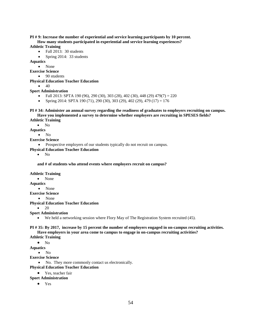#### **PI # 9: Increase the number of experiential and service learning participants by 10 percent. How many students participated in experiential and service learning experiences?**

#### **Athletic Training**

- Fall 2013: 30 students
- Spring 2014: 33 students

#### **Aquatics**

- None
- **Exercise Science**
	- 90 students
- **Physical Education Teacher Education**
	- $\bullet$  40

#### **Sport Administration**

- Fall 2013: SPTA 190 (96), 290 (30), 303 (28), 402 (30), 448 (29) 479(7) = 220
- Spring 2014: SPTA 190 (71), 290 (30), 303 (29), 402 (29), 479 (17) = 176

## **PI # 34: Administer an annual survey regarding the readiness of graduates to employers recruiting on campus. Have you implemented a survey to determine whether employers are recruiting in SPESES fields?**

## **Athletic Training**

• No

**Aquatics**

## • No

- **Exercise Science**
	- Prospective employers of our students typically do not recruit on campus.

#### **Physical Education Teacher Education**

 $\bullet$  No

**and # of students who attend events where employers recruit on campus?**

#### **Athletic Training**

• None

**Aquatics**

#### • None

**Exercise Science**

• None

#### **Physical Education Teacher Education**

 $20$ 

#### **Sport Administration**

• We held a networking session where Flory May of The Registration System recruited (45).

#### **PI # 35: By 2017, increase by 15 percent the number of employers engaged in on-campus recruiting activities. Have employers in your area come to campus to engage in on-campus recruiting activities?**

#### **Athletic Training**

• No

**Aquatics**

• No

- **Exercise Science**
	- No. They more commonly contact us electronically.

#### **Physical Education Teacher Education**

### Yes, teacher fair

#### **Sport Administration**

• Yes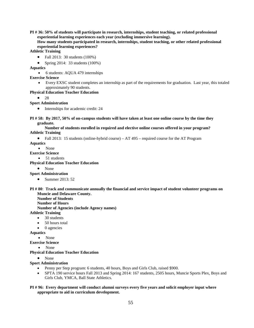**PI # 36: 50% of students will participate in research, internships, student teaching, or related professional experiential learning experiences each year (excluding immersive learning).**

**How many students participated in research, internships, student teaching, or other related professional experiential learning experiences?**

#### **Athletic Training**

- Fall 2013: 30 students (100%)
- Spring 2014: 33 students  $(100\%)$

**Aquatics**

• 6 students: AQUA 479 internships

#### **Exercise Science**

• Every EXSC student completes an internship as part of the requirements for graduation. Last year, this totaled approximately 90 students.

#### **Physical Education Teacher Education**

• 28

#### **Sport Administration**

• Internships for academic credit: 24

**PI # 58: By 2017, 50% of on-campus students will have taken at least one online course by the time they graduate.** 

#### **Number of students enrolled in required and elective online courses offered in your program? Athletic Training**

• Fall 2013: 15 students (online-hybrid course) – AT 495 – required course for the AT Program

#### **Aquatics**

• None

## **Exercise Science**

• 51 students

- **Physical Education Teacher Education**
	- None

#### **Sport Administration**

• Summer 2013: 52

#### **PI # 80**: **Track and communicate annually the financial and service impact of student volunteer programs on Muncie and Delaware County.**

**Number of Students**

**Number of Hours**

**Number of Agencies (include Agency names)** 

#### **Athletic Training**

- 30 students
- 50 hours total
- 0 agencies

**Aquatics**

#### • None

**Exercise Science**

• None

#### **Physical Education Teacher Education**

• None

#### **Sport Administration**

- Penny per Step program: 6 students, 40 hours, Boys and Girls Club, raised \$900.
- SPTA 190 service hours Fall 2013 and Spring 2014: 167 students, 2505 hours, Muncie Sports Plex, Boys and Girls Club, YMCA, Ball State Athletics.

#### **PI # 96: Every department will conduct alumni surveys every five years and solicit employer input where appropriate to aid in curriculum development.**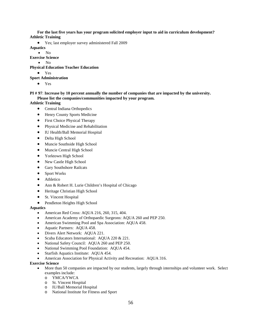**For the last five years has your program solicited employer input to aid in curriculum development? Athletic Training**

• Yes; last employer survey administered Fall 2009

**Aquatics**

• No

**Exercise Science**

• No

**Physical Education Teacher Education**

• Yes

**Sport Administration**

• Yes

#### **PI # 97**: **Increase by 10 percent annually the number of companies that are impacted by the university. Please list the companies/communities impacted by your program.**

#### **Athletic Training**

- Central Indiana Orthopedics
- Henry County Sports Medicine
- First Choice Physical Therapy
- Physical Medicine and Rehabilitation
- IU Health/Ball Memorial Hospital
- Delta High School
- Muncie Southside High School
- Muncie Central High School
- Yorktown High School
- New Castle High School
- Gary Southshore Railcats
- Sport Works
- Athletico
- Ann & Robert H. Lurie Children's Hospital of Chicago
- Heritage Christian High School
- St. Vincent Hospital
- Pendleton Heights High School

#### **Aquatics**

- American Red Cross: AQUA 216, 260, 315, 404.
- American Academy of Orthopaedic Surgeons: AQUA 260 and PEP 250.
- American Swimming Pool and Spa Association: AQUA 458.
- Aquatic Partners: AQUA 458.
- Divers Alert Network: AQUA 221.
- Scuba Educators International: AQUA 220 & 221.
- National Safety Council: AQUA 260 and PEP 250.
- National Swimming Pool Foundation: AQUA 454.
- Starfish Aquatics Institute: AQUA 454.
- American Association for Physical Activity and Recreation: AQUA 316.

#### **Exercise Science**

- More than 50 companies are impacted by our students, largely through internships and volunteer work. Select examples include:
	- o YMCA/YWCA
	- o St. Vincent Hospital
	- o IU/Ball Memorial Hospital
	- o National Institute for Fitness and Sport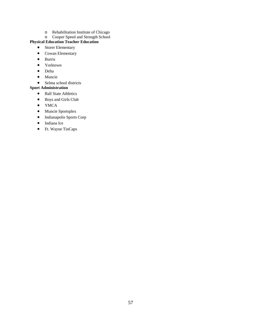- o Rehabilitation Institute of Chicago
- o Cooper Speed and Strength School

## **Physical Education Teacher Education**

- Storer Elementary
- Cowan Elementary
- Burris
- Yorktown
- Delta
- Muncie
- Selma school districts

## **Sport Administration**

- Ball State Athletics
- Boys and Girls Club
- YMCA
- Muncie Sportsplex
- Indianapolis Sports Corp
- Indiana Ice
- Ft. Wayne TinCaps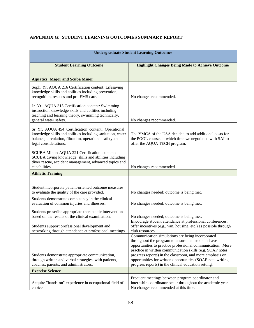## <span id="page-57-0"></span>**APPENDIX G: STUDENT LEARNING OUTCOMES SUMMARY REPORT**

| <b>Undergraduate Student Learning Outcomes</b>                                                                                                                                                         |                                                                                                                                                                                                                                                                                                                                                                                                                        |  |
|--------------------------------------------------------------------------------------------------------------------------------------------------------------------------------------------------------|------------------------------------------------------------------------------------------------------------------------------------------------------------------------------------------------------------------------------------------------------------------------------------------------------------------------------------------------------------------------------------------------------------------------|--|
| <b>Student Learning Outcome</b>                                                                                                                                                                        | <b>Highlight Changes Being Made to Achieve Outcome</b>                                                                                                                                                                                                                                                                                                                                                                 |  |
| <b>Aquatics: Major and Scuba Minor</b>                                                                                                                                                                 |                                                                                                                                                                                                                                                                                                                                                                                                                        |  |
| Soph. Yr. AQUA 216 Certification content: Lifesaving<br>knowledge skills and abilities including prevention,<br>recognition, rescues and pre-EMS care.                                                 | No changes recommended.                                                                                                                                                                                                                                                                                                                                                                                                |  |
| Jr. Yr. AQUA 315 Certification content: Swimming<br>instruction knowledge skills and abilities including<br>teaching and learning theory, swimming technically,<br>general water safety.               | No changes recommended.                                                                                                                                                                                                                                                                                                                                                                                                |  |
| Sr. Yr. AQUA 454 Certification content: Operational<br>knowledge skills and abilities including sanitation, water<br>balance, circulation, filtration, operational safety and<br>legal considerations. | The YMCA of the USA decided to add additional costs for<br>the POOL course, at which time we negotiated with SAI to<br>offer the AQUA TECH program.                                                                                                                                                                                                                                                                    |  |
| SCUBA Minor: AQUA 221 Certification content:<br>SCUBA diving knowledge, skills and abilities including<br>diver rescue, accident management, advanced topics and<br>capabilities.                      | No changes recommended.                                                                                                                                                                                                                                                                                                                                                                                                |  |
| <b>Athletic Training</b>                                                                                                                                                                               |                                                                                                                                                                                                                                                                                                                                                                                                                        |  |
| Student incorporate patient-oriented outcome measures<br>to evaluate the quality of the care provided.                                                                                                 | No changes needed; outcome is being met.                                                                                                                                                                                                                                                                                                                                                                               |  |
| Students demonstrate competency in the clinical<br>evaluation of common injuries and illnesses.                                                                                                        | No changes needed; outcome is being met.                                                                                                                                                                                                                                                                                                                                                                               |  |
| Students prescribe appropriate therapeutic interventions<br>based on the results of the clinical examination.                                                                                          | No changes needed; outcome is being met.                                                                                                                                                                                                                                                                                                                                                                               |  |
| Students support professional development and<br>networking through attendance at professional meetings.                                                                                               | Encourage student attendance at professional conferences;<br>offer incentives (e.g., van, housing, etc.) as possible through<br>club resources.                                                                                                                                                                                                                                                                        |  |
| Students demonstrate appropriate communication,<br>through written and verbal strategies, with patients,<br>coaches, parents, and administrators.                                                      | Communication simulations are being incorporated<br>throughout the program to ensure that students have<br>opportunities to practice professional communication. More<br>practice in written communication skills (e.g. SOAP notes,<br>progress reports) in the classroom, and more emphasis on<br>opportunities for written opportunities (SOAP note writing,<br>progress reports) in the clinical education setting. |  |
| <b>Exercise Science</b>                                                                                                                                                                                |                                                                                                                                                                                                                                                                                                                                                                                                                        |  |
| Acquire "hands-on" experience in occupational field of<br>choice                                                                                                                                       | Frequent meetings between program coordinator and<br>internship coordinator occur throughout the academic year.<br>No changes recommended at this time.                                                                                                                                                                                                                                                                |  |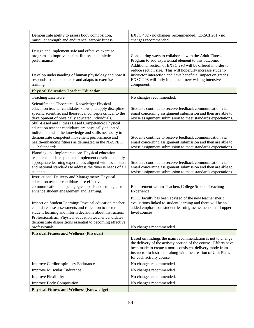| Demonstrate ability to assess body composition,<br>muscular strength and endurance, aerobic fitness            | EXSC 402 - no changes recommended. EXSCI 201 - no<br>changes recommended.                                                |
|----------------------------------------------------------------------------------------------------------------|--------------------------------------------------------------------------------------------------------------------------|
|                                                                                                                |                                                                                                                          |
| Design and implement safe and effective exercise<br>programs to improve health, fitness and athletic           | Considering ways to collaborate with the Adult Fitness                                                                   |
| performance                                                                                                    | Program to add experiential element to this outcome.                                                                     |
|                                                                                                                | Additional section of EXSC 293 will be offered in order to<br>reduce section size. This will hopefully increase student- |
| Develop understanding of human physiology and how it                                                           | instructor interaction and have beneficial impact on grades.                                                             |
| responds to acute exercise and adapts to exercise                                                              | EXSC 493 will fully implement new writing intensive                                                                      |
| training                                                                                                       | component.                                                                                                               |
| <b>Physical Education Teacher Education</b>                                                                    |                                                                                                                          |
| <b>Teaching Licensure</b>                                                                                      | No changes recommended.                                                                                                  |
| Scientific and Theoretical Knowledge: Physical<br>education teacher candidates know and apply discipline-      | Students continue to receive feedback communication via                                                                  |
| specific scientific and theoretical concepts critical to the                                                   | email concerning assignment submission and then are able to                                                              |
| development of physically educated individuals.                                                                | revise assignment submission to meet standards expectations.                                                             |
| Skill-Based and Fitness Based Competence: Physical                                                             |                                                                                                                          |
| education teacher candidates are physically educated<br>individuals with the knowledge and skills necessary to |                                                                                                                          |
| demonstrate competent movement performance and                                                                 | Students continue to receive feedback communication via                                                                  |
| health-enhancing fitness as delineated in the NASPE K                                                          | email concerning assignment submission and then are able to                                                              |
| $-12$ Standards.                                                                                               | revise assignment submission to meet standards expectations.                                                             |
| Planning and Implementation: Physical education<br>teacher candidates plan and implement developmentally       |                                                                                                                          |
| appropriate learning experiences aligned with local, state                                                     | Students continue to receive feedback communication via                                                                  |
| and national standards to address the diverse needs of all                                                     | email concerning assignment submission and then are able to                                                              |
| students.<br><b>Instructional Delivery and Management: Physical</b>                                            | revise assignment submission to meet standards expectations.                                                             |
| education teacher candidates use effective                                                                     |                                                                                                                          |
| communication and pedagogical skills and strategies to                                                         | Requirement within Teachers College Student Teaching                                                                     |
| enhance student engagement and learning.                                                                       | Experience                                                                                                               |
|                                                                                                                | PETE faculty has been advised of the new teacher merit                                                                   |
| Impact on Student Learning: Physical education teacher<br>candidates use assessments and reflection to foster  | evaluations linked to student learning and there will be an                                                              |
| student learning and inform decisions about instruction.                                                       | added emphasis on student-learning assessments in all upper<br>level courses.                                            |
| Professionalism: Physical education teacher candidates                                                         |                                                                                                                          |
| demonstrate dispositions essential to becoming effective                                                       |                                                                                                                          |
| professionals.                                                                                                 | No changes recommended.                                                                                                  |
| <b>Physical Fitness and Wellness (Physical)</b>                                                                | Based on findings the main recommendation is not to change                                                               |
|                                                                                                                | the delivery of the activity portion of the course. Efforts have                                                         |
|                                                                                                                | been made to create a more consistent delivery mode from                                                                 |
|                                                                                                                | instructor to instructor along with the creation of Unit Plans                                                           |
|                                                                                                                | for each activity course.                                                                                                |
| <b>Improve Cardiorespiratory Endurance</b>                                                                     | No changes recommended.                                                                                                  |
| <b>Improve Muscular Endurance</b>                                                                              | No changes recommended.                                                                                                  |
| <b>Improve Flexibility</b>                                                                                     | No changes recommended.                                                                                                  |
| <b>Improve Body Composition</b>                                                                                | No changes recommended.                                                                                                  |
| <b>Physical Fitness and Wellness (Knowledge)</b>                                                               |                                                                                                                          |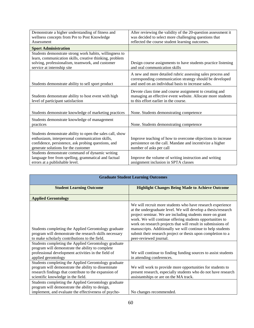| Demonstrate a higher understanding of fitness and         | After reviewing the validity of the 20-question assessment it                                                                                                                |
|-----------------------------------------------------------|------------------------------------------------------------------------------------------------------------------------------------------------------------------------------|
| wellness concepts from Pre to Post Knowledge              | was decided to select more challenging questions that                                                                                                                        |
| Assessment                                                | reflected the course student learning outcomes.                                                                                                                              |
| <b>Sport Administration</b>                               |                                                                                                                                                                              |
| Students demonstrate strong work habits, willingness to   |                                                                                                                                                                              |
| learn, communication skills, creative thinking, problem   |                                                                                                                                                                              |
| solving, professionalism, teamwork, and customer          | Design course assignments to have students practice listening                                                                                                                |
| service at internship site                                | and oral communication skills                                                                                                                                                |
| Students demonstrate ability to sell sport product        | A new and more detailed rubric assessing sales process and<br>corresponding communication strategy should be developed<br>and used on an individual basis to increase sales. |
|                                                           |                                                                                                                                                                              |
|                                                           | Devote class time and course assignment to creating and                                                                                                                      |
| Students demonstrate ability to host event with high      | managing an effective event website. Allocate more students                                                                                                                  |
| level of participant satisfaction                         | to this effort earlier in the course.                                                                                                                                        |
|                                                           |                                                                                                                                                                              |
| Students demonstrate knowledge of marketing practices     | None. Students demonstrating competence                                                                                                                                      |
| Students demonstrate knowledge of management              |                                                                                                                                                                              |
| practices                                                 | None. Students demonstrating competence                                                                                                                                      |
|                                                           |                                                                                                                                                                              |
| Students demonstrate ability to open the sales call, show |                                                                                                                                                                              |
| enthusiasm, interpersonal communication skills,           | Improve teaching of how to overcome objections to increase                                                                                                                   |
| confidence, persistence, ask probing questions, and       | persistence on the call. Mandate and incentivize a higher                                                                                                                    |
| generate solutions for the customer                       | number of asks per call                                                                                                                                                      |
| Students demonstrate command of dynamic writing           |                                                                                                                                                                              |
| language free from spelling, grammatical and factual      | Improve the volume of writing instruction and writing                                                                                                                        |
| errors at a publishable level.                            | assignment inclusion in SPTA classes                                                                                                                                         |

| <b>Graduate Student Learning Outcomes</b>                                                                                                                                                                  |                                                                                                                                                                                                                                                                                                                                                                                                                                                                               |  |
|------------------------------------------------------------------------------------------------------------------------------------------------------------------------------------------------------------|-------------------------------------------------------------------------------------------------------------------------------------------------------------------------------------------------------------------------------------------------------------------------------------------------------------------------------------------------------------------------------------------------------------------------------------------------------------------------------|--|
| <b>Student Learning Outcome</b>                                                                                                                                                                            | <b>Highlight Changes Being Made to Achieve Outcome</b>                                                                                                                                                                                                                                                                                                                                                                                                                        |  |
| <b>Applied Gerontology</b>                                                                                                                                                                                 |                                                                                                                                                                                                                                                                                                                                                                                                                                                                               |  |
| Students completing the Applied Gerontology graduate<br>program will demonstrate the research skills necessary<br>to make scholarly contributions to the field.                                            | We will recruit more students who have research experience<br>at the undergraduate level. We will develop a thesis/research<br>project seminar. We are including students more on grant<br>work. We will continue offering students opportunities to<br>work on research projects that will result in submissions of<br>manuscripts. Additionally we will continue to help students<br>submit their research project or thesis upon completion to a<br>peer-reviewed journal. |  |
| Students completing the Applied Gerontology graduate<br>program will demonstrate the ability to complete<br>professional development activities in the field of                                            | We will continue to finding funding sources to assist students                                                                                                                                                                                                                                                                                                                                                                                                                |  |
| applied gerontology                                                                                                                                                                                        | in attending conferences.                                                                                                                                                                                                                                                                                                                                                                                                                                                     |  |
| Students completing the Applied Gerontology graduate<br>program will demonstrate the ability to disseminate<br>research findings that contribute to the expansion of<br>scientific knowledge in the field. | We will work to provide more opportunities for students to<br>present research, especially students who do not have research<br>assistantships or are on the MA track.                                                                                                                                                                                                                                                                                                        |  |
| Students completing the Applied Gerontology graduate<br>program will demonstrate the ability to design,<br>implement, and evaluate the effectiveness of psycho-                                            | No changes recommended.                                                                                                                                                                                                                                                                                                                                                                                                                                                       |  |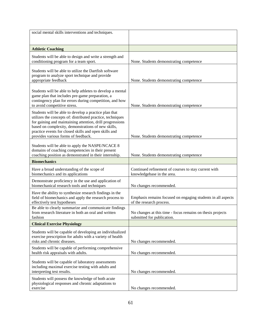| social mental skills interventions and techniques.                                                                                                                                                                                                                                                                                     |                                                                                          |
|----------------------------------------------------------------------------------------------------------------------------------------------------------------------------------------------------------------------------------------------------------------------------------------------------------------------------------------|------------------------------------------------------------------------------------------|
|                                                                                                                                                                                                                                                                                                                                        |                                                                                          |
| <b>Athletic Coaching</b>                                                                                                                                                                                                                                                                                                               |                                                                                          |
|                                                                                                                                                                                                                                                                                                                                        |                                                                                          |
| Students will be able to design and write a strength and<br>conditioning program for a team sport.                                                                                                                                                                                                                                     | None. Students demonstrating competence                                                  |
|                                                                                                                                                                                                                                                                                                                                        |                                                                                          |
| Students will be able to utilize the Dartfish software<br>program to analyze sport technique and provide                                                                                                                                                                                                                               |                                                                                          |
| appropriate feedback                                                                                                                                                                                                                                                                                                                   | None. Students demonstrating competence                                                  |
| Students will be able to help athletes to develop a mental<br>game plan that includes pre-game preparation, a<br>contingency plan for errors during competition, and how<br>to avoid competitive stress.                                                                                                                               | None. Students demonstrating competence                                                  |
| Students will be able to develop a practice plan that<br>utilizes the concepts of: distributed practice, techniques<br>for gaining and maintaining attention, drill progressions<br>based on complexity, demonstrations of new skills,<br>practice events for closed skills and open skills and<br>provides various forms of feedback. | None. Students demonstrating competence                                                  |
| Students will be able to apply the NASPE/NCACE 8<br>domains of coaching competencies in their present<br>coaching position as demonstrated in their internship.                                                                                                                                                                        | None. Students demonstrating competence                                                  |
| <b>Biomechanics</b>                                                                                                                                                                                                                                                                                                                    |                                                                                          |
| Have a broad understanding of the scope of<br>biomechanics and its applications                                                                                                                                                                                                                                                        | Continued refinement of courses to stay current with<br>knowledgebase in the area.       |
| Demonstrate proficiency in the use and application of<br>biomechanical research tools and techniques                                                                                                                                                                                                                                   | No changes recommended.                                                                  |
| Have the ability to synthesize research findings in the<br>field of biomechanics and apply the research process to<br>effectively test hypotheses                                                                                                                                                                                      | Emphasis remains focused on engaging students in all aspects<br>of the research process. |
| Be able to clearly summarize and communicate findings<br>from research literature in both an oral and written<br>fashion                                                                                                                                                                                                               | No changes at this time - focus remains on thesis projects<br>submitted for publication. |
| <b>Clinical Exercise Physiology</b>                                                                                                                                                                                                                                                                                                    |                                                                                          |
| Students will be capable of developing an individualized<br>exercise prescription for adults with a variety of health<br>risks and chronic diseases.                                                                                                                                                                                   | No changes recommended.                                                                  |
| Students will be capable of performing comprehensive<br>health risk appraisals with adults.                                                                                                                                                                                                                                            | No changes recommended.                                                                  |
| Students will be capable of laboratory assessments<br>including maximal exercise testing with adults and<br>interpreting test results.                                                                                                                                                                                                 | No changes recommended.                                                                  |
| Students will possess the knowledge of both acute<br>physiological responses and chronic adaptations to<br>exercise                                                                                                                                                                                                                    | No changes recommended.                                                                  |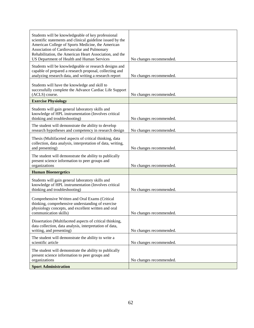| Students will be knowledgeable of key professional<br>scientific statements and clinical guideline issued by the<br>American College of Sports Medicine, the American<br>Association of Cardiovascular and Pulmonary<br>Rehabilitation, the American Heart Association, and the<br>US Department of Health and Human Services | No changes recommended. |
|-------------------------------------------------------------------------------------------------------------------------------------------------------------------------------------------------------------------------------------------------------------------------------------------------------------------------------|-------------------------|
| Students will be knowledgeable or research designs and<br>capable of prepared a research proposal, collecting and<br>analyzing research data, and writing a research report                                                                                                                                                   | No changes recommended. |
| Students will have the knowledge and skill to<br>successfully complete the Advance Cardiac Life Support<br>(ACLS) course.                                                                                                                                                                                                     | No changes recommended. |
| <b>Exercise Physiology</b>                                                                                                                                                                                                                                                                                                    |                         |
| Students will gain general laboratory skills and<br>knowledge of HPL instrumentation (Involves critical<br>thinking and troubleshooting)                                                                                                                                                                                      | No changes recommended. |
| The student will demonstrate the ability to develop<br>research hypotheses and competency in research design                                                                                                                                                                                                                  | No changes recommended. |
| Thesis (Multifaceted aspects of critical thinking, data<br>collection, data analysis, interpretation of data, writing,<br>and presenting)                                                                                                                                                                                     | No changes recommended. |
| The student will demonstrate the ability to publically<br>present science information to peer groups and<br>organizations                                                                                                                                                                                                     | No changes recommended. |
| <b>Human Bioenergetics</b>                                                                                                                                                                                                                                                                                                    |                         |
| Students will gain general laboratory skills and<br>knowledge of HPL instrumentation (Involves critical<br>thinking and troubleshooting)                                                                                                                                                                                      | No changes recommended. |
| Comprehensive Written and Oral Exams (Critical<br>thinking, comprehensive understanding of exercise<br>physiology concepts, and excellent written and oral<br>communication skills)                                                                                                                                           | No changes recommended. |
| Dissertation (Multifaceted aspects of critical thinking,<br>data collection, data analysis, interpretation of data,<br>writing, and presenting)                                                                                                                                                                               | No changes recommended. |
| The student will demonstrate the ability to write a<br>scientific article                                                                                                                                                                                                                                                     | No changes recommended. |
| The student will demonstrate the ability to publically<br>present science information to peer groups and<br>organizations                                                                                                                                                                                                     | No changes recommended. |
| <b>Sport Administration</b>                                                                                                                                                                                                                                                                                                   |                         |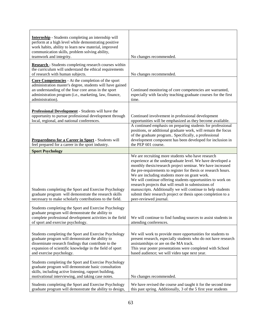| <b>Internship</b> - Students completing an internship will<br>perform at a high level while demonstrating positive<br>work habits, ability to learn new material, improved<br>communication skills, problem solving ability,<br>teamwork and integrity.  | No changes recommended.                                                                                                                                                                                                                                                                                                                                                                                                                                                                                                                                                          |
|----------------------------------------------------------------------------------------------------------------------------------------------------------------------------------------------------------------------------------------------------------|----------------------------------------------------------------------------------------------------------------------------------------------------------------------------------------------------------------------------------------------------------------------------------------------------------------------------------------------------------------------------------------------------------------------------------------------------------------------------------------------------------------------------------------------------------------------------------|
| Research - Students completing research courses within<br>the curriculum will understand the ethical requirements<br>of research with human subjects.                                                                                                    | No changes recommended.                                                                                                                                                                                                                                                                                                                                                                                                                                                                                                                                                          |
| Core Competencies - At the completion of the sport<br>administration master's degree, students will have gained<br>an understanding of the four core areas in the sport<br>administration program (i.e., marketing, law, finance,<br>administration).    | Continued monitoring of core competencies are warranted,<br>especially with faculty teaching graduate courses for the first<br>time.                                                                                                                                                                                                                                                                                                                                                                                                                                             |
| <b>Professional Development</b> - Students will have the<br>opportunity to pursue professional development through<br>local, regional, and national conferences.                                                                                         | Continued involvement in professional development<br>opportunities will be emphasized as they become available.                                                                                                                                                                                                                                                                                                                                                                                                                                                                  |
| Preparedness for a Career in Sport - Students will<br>feel prepared for a career in the sport industry.                                                                                                                                                  | A continued emphasis on preparing students for professional<br>positions, or additional graduate work, will remain the focus<br>of the graduate program Specifically, a professional<br>development component has been developed for inclusion in<br>the PEP 601 course.                                                                                                                                                                                                                                                                                                         |
| <b>Sport Psychology</b>                                                                                                                                                                                                                                  |                                                                                                                                                                                                                                                                                                                                                                                                                                                                                                                                                                                  |
| Students completing the Sport and Exercise Psychology<br>graduate program will demonstrate the research skills<br>necessary to make scholarly contributions to the field.                                                                                | We are recruiting more students who have research<br>experience at the undergraduate level. We have developed a<br>monthly thesis/research project seminar. We have increased<br>the pre-requirements to register for thesis or research hours.<br>We are including students more on grant work.<br>We will continue offering students opportunities to work on<br>research projects that will result in submissions of<br>manuscripts. Additionally we will continue to help students<br>submit their research project or thesis upon completion to a<br>peer-reviewed journal. |
| Students completing the Sport and Exercise Psychology<br>graduate program will demonstrate the ability to<br>complete professional development activities in the field<br>of sport and exercise psychology.                                              | We will continue to find funding sources to assist students in<br>attending conferences.                                                                                                                                                                                                                                                                                                                                                                                                                                                                                         |
| Students completing the Sport and Exercise Psychology<br>graduate program will demonstrate the ability to<br>disseminate research findings that contribute to the<br>expansion of scientific knowledge in the field of sport<br>and exercise psychology. | We will work to provide more opportunities for students to<br>present research, especially students who do not have research<br>assistantships or are on the MA track.<br>This year poster presentations were completed with School<br>based audience; we will video tape next year.                                                                                                                                                                                                                                                                                             |
| Students completing the Sport and Exercise Psychology<br>graduate program will demonstrate basic consultation<br>skills, including active listening, rapport building,<br>motivational interviewing, and taking case notes.                              | No changes recommended.                                                                                                                                                                                                                                                                                                                                                                                                                                                                                                                                                          |
| Students completing the Sport and Exercise Psychology<br>graduate program will demonstrate the ability to design,                                                                                                                                        | We have revised the course and taught it for the second time<br>this past spring. Additionally, 3 of the 5 first year students                                                                                                                                                                                                                                                                                                                                                                                                                                                   |